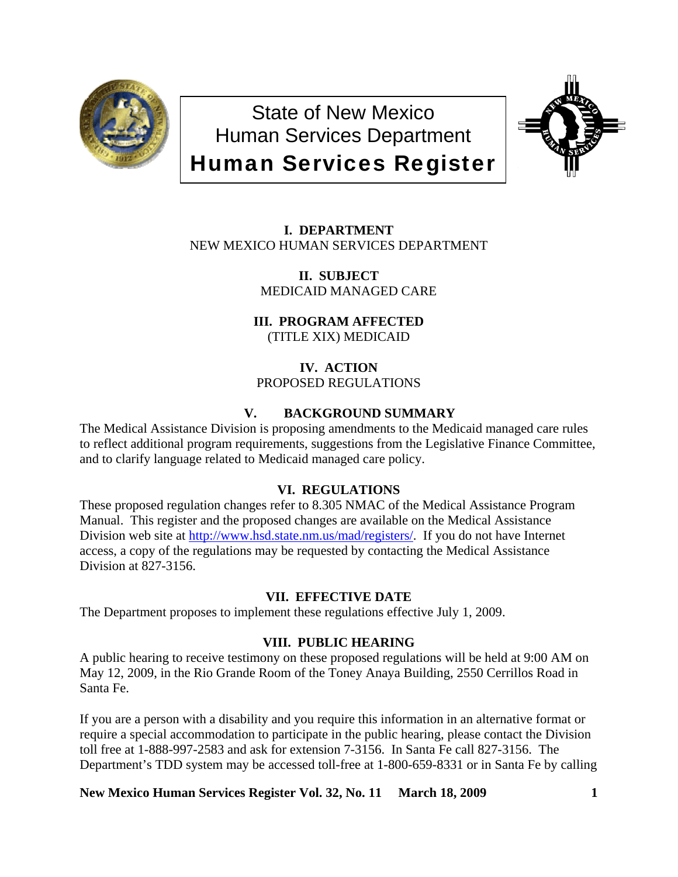

State of New Mexico Human Services Department Human Services Register



**I. DEPARTMENT** NEW MEXICO HUMAN SERVICES DEPARTMENT

> **II. SUBJECT** MEDICAID MANAGED CARE

# **III. PROGRAM AFFECTED**

(TITLE XIX) MEDICAID

**IV. ACTION** PROPOSED REGULATIONS

# **V. BACKGROUND SUMMARY**

The Medical Assistance Division is proposing amendments to the Medicaid managed care rules to reflect additional program requirements, suggestions from the Legislative Finance Committee, and to clarify language related to Medicaid managed care policy.

# **VI. REGULATIONS**

These proposed regulation changes refer to 8.305 NMAC of the Medical Assistance Program Manual. This register and the proposed changes are available on the Medical Assistance Division web site at <http://www.hsd.state.nm.us/mad/registers/>. If you do not have Internet access, a copy of the regulations may be requested by contacting the Medical Assistance Division at 827-3156.

# **VII. EFFECTIVE DATE**

The Department proposes to implement these regulations effective July 1, 2009.

# **VIII. PUBLIC HEARING**

A public hearing to receive testimony on these proposed regulations will be held at 9:00 AM on May 12, 2009, in the Rio Grande Room of the Toney Anaya Building, 2550 Cerrillos Road in Santa Fe.

If you are a person with a disability and you require this information in an alternative format or require a special accommodation to participate in the public hearing, please contact the Division toll free at 1-888-997-2583 and ask for extension 7-3156. In Santa Fe call 827-3156. The Department's TDD system may be accessed toll-free at 1-800-659-8331 or in Santa Fe by calling

**New Mexico Human Services Register Vol. 32, No. 11 March 18, 2009 1**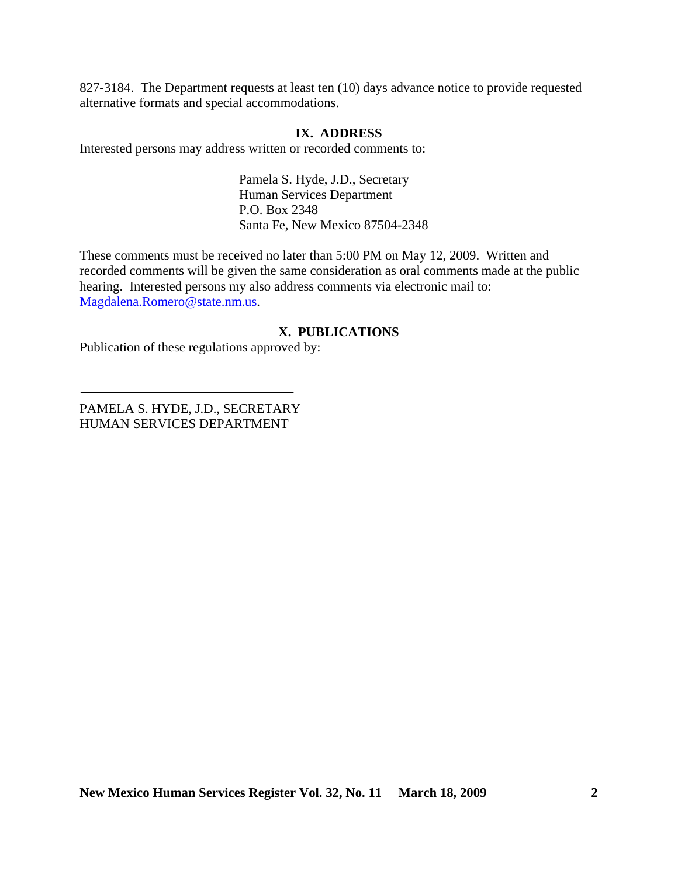827-3184. The Department requests at least ten (10) days advance notice to provide requested alternative formats and special accommodations.

## **IX. ADDRESS**

Interested persons may address written or recorded comments to:

Pamela S. Hyde, J.D., Secretary Human Services Department P.O. Box 2348 Santa Fe, New Mexico 87504-2348

These comments must be received no later than 5:00 PM on May 12, 2009. Written and recorded comments will be given the same consideration as oral comments made at the public hearing. Interested persons my also address comments via electronic mail to: [Magdalena.Romero@state.nm.us.](mailto:Magdalena.Romero@state.nm.us)

# **X. PUBLICATIONS**

Publication of these regulations approved by:

PAMELA S. HYDE, J.D., SECRETARY HUMAN SERVICES DEPARTMENT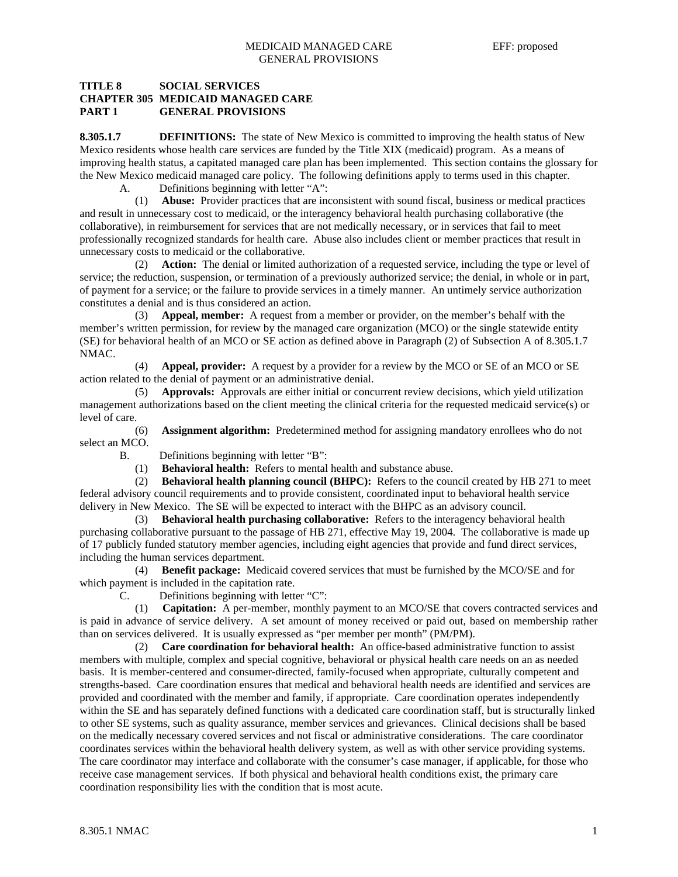## **TITLE 8 SOCIAL SERVICES CHAPTER 305 MEDICAID MANAGED CARE PART 1 GENERAL PROVISIONS**

**8.305.1.7 DEFINITIONS:** The state of New Mexico is committed to improving the health status of New Mexico residents whose health care services are funded by the Title XIX (medicaid) program. As a means of improving health status, a capitated managed care plan has been implemented. This section contains the glossary for the New Mexico medicaid managed care policy. The following definitions apply to terms used in this chapter.

A. Definitions beginning with letter "A":

 (1) **Abuse:** Provider practices that are inconsistent with sound fiscal, business or medical practices and result in unnecessary cost to medicaid, or the interagency behavioral health purchasing collaborative (the collaborative), in reimbursement for services that are not medically necessary, or in services that fail to meet professionally recognized standards for health care. Abuse also includes client or member practices that result in unnecessary costs to medicaid or the collaborative.

 (2) **Action:** The denial or limited authorization of a requested service, including the type or level of service; the reduction, suspension, or termination of a previously authorized service; the denial, in whole or in part, of payment for a service; or the failure to provide services in a timely manner. An untimely service authorization constitutes a denial and is thus considered an action.

 (3) **Appeal, member:** A request from a member or provider, on the member's behalf with the member's written permission, for review by the managed care organization (MCO) or the single statewide entity (SE) for behavioral health of an MCO or SE action as defined above in Paragraph (2) of Subsection A of 8.305.1.7 NMAC.

 (4) **Appeal, provider:** A request by a provider for a review by the MCO or SE of an MCO or SE action related to the denial of payment or an administrative denial.

 (5) **Approvals:** Approvals are either initial or concurrent review decisions, which yield utilization management authorizations based on the client meeting the clinical criteria for the requested medicaid service(s) or level of care.

 (6) **Assignment algorithm:** Predetermined method for assigning mandatory enrollees who do not select an MCO.

B. Definitions beginning with letter "B":

(1) **Behavioral health:** Refers to mental health and substance abuse.

 (2) **Behavioral health planning council (BHPC):** Refers to the council created by HB 271 to meet federal advisory council requirements and to provide consistent, coordinated input to behavioral health service delivery in New Mexico. The SE will be expected to interact with the BHPC as an advisory council.

 (3) **Behavioral health purchasing collaborative:** Refers to the interagency behavioral health purchasing collaborative pursuant to the passage of HB 271, effective May 19, 2004. The collaborative is made up of 17 publicly funded statutory member agencies, including eight agencies that provide and fund direct services, including the human services department.

 (4) **Benefit package:** Medicaid covered services that must be furnished by the MCO/SE and for which payment is included in the capitation rate.

C. Definitions beginning with letter "C":

 (1) **Capitation:** A per-member, monthly payment to an MCO/SE that covers contracted services and is paid in advance of service delivery. A set amount of money received or paid out, based on membership rather than on services delivered. It is usually expressed as "per member per month" (PM/PM).

 (2) **Care coordination for behavioral health:** An office-based administrative function to assist members with multiple, complex and special cognitive, behavioral or physical health care needs on an as needed basis. It is member-centered and consumer-directed, family-focused when appropriate, culturally competent and strengths-based. Care coordination ensures that medical and behavioral health needs are identified and services are provided and coordinated with the member and family, if appropriate. Care coordination operates independently within the SE and has separately defined functions with a dedicated care coordination staff, but is structurally linked to other SE systems, such as quality assurance, member services and grievances. Clinical decisions shall be based on the medically necessary covered services and not fiscal or administrative considerations. The care coordinator coordinates services within the behavioral health delivery system, as well as with other service providing systems. The care coordinator may interface and collaborate with the consumer's case manager, if applicable, for those who receive case management services. If both physical and behavioral health conditions exist, the primary care coordination responsibility lies with the condition that is most acute.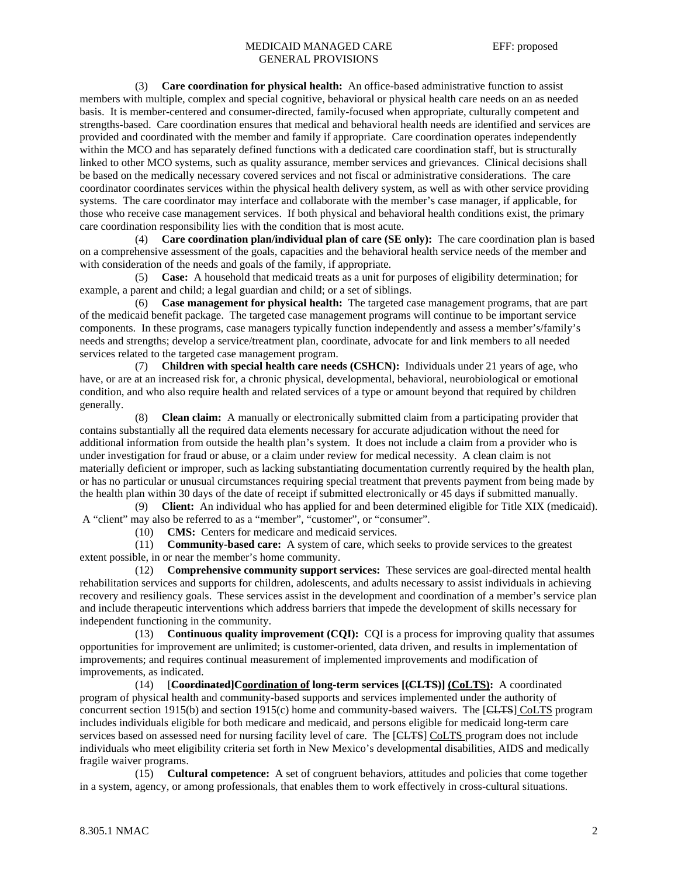#### MEDICAID MANAGED CARE EFF: proposed GENERAL PROVISIONS

 (3) **Care coordination for physical health:** An office-based administrative function to assist members with multiple, complex and special cognitive, behavioral or physical health care needs on an as needed basis. It is member-centered and consumer-directed, family-focused when appropriate, culturally competent and strengths-based. Care coordination ensures that medical and behavioral health needs are identified and services are provided and coordinated with the member and family if appropriate. Care coordination operates independently within the MCO and has separately defined functions with a dedicated care coordination staff, but is structurally linked to other MCO systems, such as quality assurance, member services and grievances. Clinical decisions shall be based on the medically necessary covered services and not fiscal or administrative considerations. The care coordinator coordinates services within the physical health delivery system, as well as with other service providing systems. The care coordinator may interface and collaborate with the member's case manager, if applicable, for those who receive case management services. If both physical and behavioral health conditions exist, the primary care coordination responsibility lies with the condition that is most acute.

 (4) **Care coordination plan/individual plan of care (SE only):** The care coordination plan is based on a comprehensive assessment of the goals, capacities and the behavioral health service needs of the member and with consideration of the needs and goals of the family, if appropriate.

 (5) **Case:** A household that medicaid treats as a unit for purposes of eligibility determination; for example, a parent and child; a legal guardian and child; or a set of siblings.

 (6) **Case management for physical health:** The targeted case management programs, that are part of the medicaid benefit package. The targeted case management programs will continue to be important service components. In these programs, case managers typically function independently and assess a member's/family's needs and strengths; develop a service/treatment plan, coordinate, advocate for and link members to all needed services related to the targeted case management program.

 (7) **Children with special health care needs (CSHCN):** Individuals under 21 years of age, who have, or are at an increased risk for, a chronic physical, developmental, behavioral, neurobiological or emotional condition, and who also require health and related services of a type or amount beyond that required by children generally.

 (8) **Clean claim:** A manually or electronically submitted claim from a participating provider that contains substantially all the required data elements necessary for accurate adjudication without the need for additional information from outside the health plan's system. It does not include a claim from a provider who is under investigation for fraud or abuse, or a claim under review for medical necessity. A clean claim is not materially deficient or improper, such as lacking substantiating documentation currently required by the health plan, or has no particular or unusual circumstances requiring special treatment that prevents payment from being made by the health plan within 30 days of the date of receipt if submitted electronically or 45 days if submitted manually.

 (9) **Client:** An individual who has applied for and been determined eligible for Title XIX (medicaid). A "client" may also be referred to as a "member", "customer", or "consumer".

(10) **CMS:** Centers for medicare and medicaid services.

 (11) **Community-based care:** A system of care, which seeks to provide services to the greatest extent possible, in or near the member's home community.

 (12) **Comprehensive community support services:** These services are goal-directed mental health rehabilitation services and supports for children, adolescents, and adults necessary to assist individuals in achieving recovery and resiliency goals. These services assist in the development and coordination of a member's service plan and include therapeutic interventions which address barriers that impede the development of skills necessary for independent functioning in the community.

 (13) **Continuous quality improvement (CQI):** CQI is a process for improving quality that assumes opportunities for improvement are unlimited; is customer-oriented, data driven, and results in implementation of improvements; and requires continual measurement of implemented improvements and modification of improvements, as indicated.

 (14) [**Coordinated]Coordination of long-term services [(CLTS)] (CoLTS):** A coordinated program of physical health and community-based supports and services implemented under the authority of concurrent section 1915(b) and section 1915(c) home and community-based waivers. The [CLTS] CoLTS program includes individuals eligible for both medicare and medicaid, and persons eligible for medicaid long-term care services based on assessed need for nursing facility level of care. The [CLTS] CoLTS program does not include individuals who meet eligibility criteria set forth in New Mexico's developmental disabilities, AIDS and medically fragile waiver programs.

 (15) **Cultural competence:** A set of congruent behaviors, attitudes and policies that come together in a system, agency, or among professionals, that enables them to work effectively in cross-cultural situations.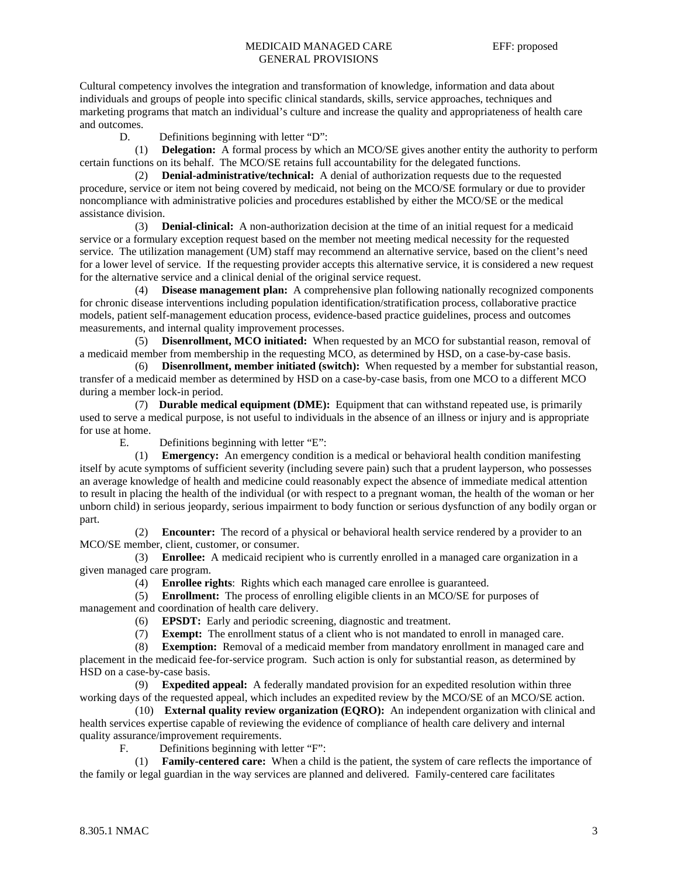Cultural competency involves the integration and transformation of knowledge, information and data about individuals and groups of people into specific clinical standards, skills, service approaches, techniques and marketing programs that match an individual's culture and increase the quality and appropriateness of health care and outcomes.

D. Definitions beginning with letter "D":

 (1) **Delegation:** A formal process by which an MCO/SE gives another entity the authority to perform certain functions on its behalf. The MCO/SE retains full accountability for the delegated functions.

 (2) **Denial-administrative/technical:** A denial of authorization requests due to the requested procedure, service or item not being covered by medicaid, not being on the MCO/SE formulary or due to provider noncompliance with administrative policies and procedures established by either the MCO/SE or the medical assistance division.

 (3) **Denial-clinical:** A non-authorization decision at the time of an initial request for a medicaid service or a formulary exception request based on the member not meeting medical necessity for the requested service. The utilization management (UM) staff may recommend an alternative service, based on the client's need for a lower level of service. If the requesting provider accepts this alternative service, it is considered a new request for the alternative service and a clinical denial of the original service request.

 (4) **Disease management plan:** A comprehensive plan following nationally recognized components for chronic disease interventions including population identification/stratification process, collaborative practice models, patient self-management education process, evidence-based practice guidelines, process and outcomes measurements, and internal quality improvement processes.

 (5) **Disenrollment, MCO initiated:** When requested by an MCO for substantial reason, removal of a medicaid member from membership in the requesting MCO, as determined by HSD, on a case-by-case basis.

 (6) **Disenrollment, member initiated (switch):** When requested by a member for substantial reason, transfer of a medicaid member as determined by HSD on a case-by-case basis, from one MCO to a different MCO during a member lock-in period.

 (7) **Durable medical equipment (DME):** Equipment that can withstand repeated use, is primarily used to serve a medical purpose, is not useful to individuals in the absence of an illness or injury and is appropriate for use at home.

E. Definitions beginning with letter "E":

 (1) **Emergency:** An emergency condition is a medical or behavioral health condition manifesting itself by acute symptoms of sufficient severity (including severe pain) such that a prudent layperson, who possesses an average knowledge of health and medicine could reasonably expect the absence of immediate medical attention to result in placing the health of the individual (or with respect to a pregnant woman, the health of the woman or her unborn child) in serious jeopardy, serious impairment to body function or serious dysfunction of any bodily organ or part.

 (2) **Encounter:** The record of a physical or behavioral health service rendered by a provider to an MCO/SE member, client, customer, or consumer.

 (3) **Enrollee:** A medicaid recipient who is currently enrolled in a managed care organization in a given managed care program.

(4) **Enrollee rights**: Rights which each managed care enrollee is guaranteed.

 (5) **Enrollment:** The process of enrolling eligible clients in an MCO/SE for purposes of management and coordination of health care delivery.

(6) **EPSDT:** Early and periodic screening, diagnostic and treatment.

(7) **Exempt:** The enrollment status of a client who is not mandated to enroll in managed care.

 (8) **Exemption:** Removal of a medicaid member from mandatory enrollment in managed care and placement in the medicaid fee-for-service program. Such action is only for substantial reason, as determined by HSD on a case-by-case basis.

 (9) **Expedited appeal:** A federally mandated provision for an expedited resolution within three working days of the requested appeal, which includes an expedited review by the MCO/SE of an MCO/SE action.

 (10) **External quality review organization (EQRO):** An independent organization with clinical and health services expertise capable of reviewing the evidence of compliance of health care delivery and internal quality assurance/improvement requirements.

F. Definitions beginning with letter "F":

 (1) **Family-centered care:** When a child is the patient, the system of care reflects the importance of the family or legal guardian in the way services are planned and delivered. Family-centered care facilitates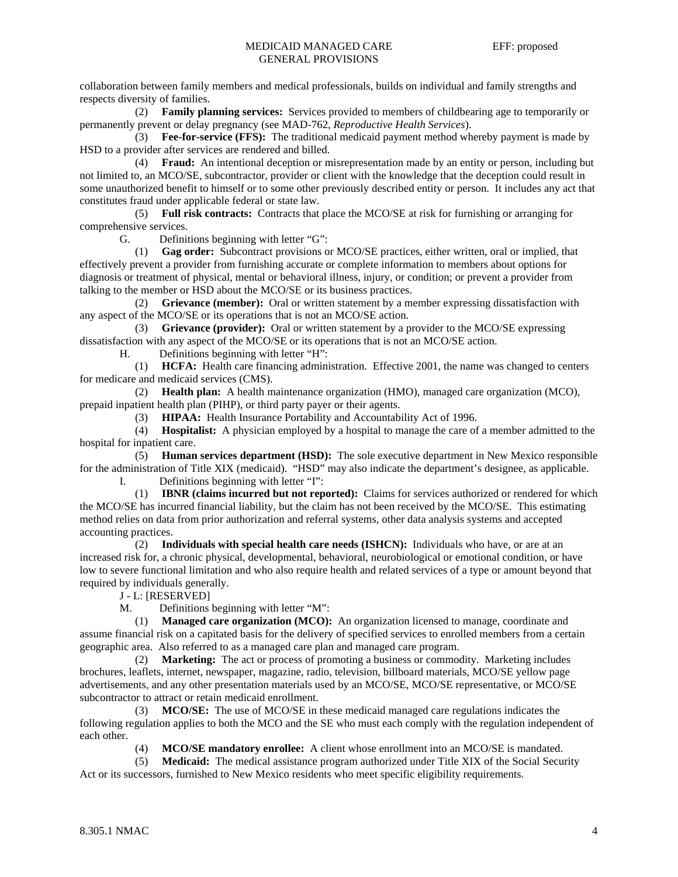collaboration between family members and medical professionals, builds on individual and family strengths and respects diversity of families.

 (2) **Family planning services:** Services provided to members of childbearing age to temporarily or permanently prevent or delay pregnancy (see MAD-762, *Reproductive Health Services*).

 (3) **Fee-for-service (FFS):** The traditional medicaid payment method whereby payment is made by HSD to a provider after services are rendered and billed.

 (4) **Fraud:** An intentional deception or misrepresentation made by an entity or person, including but not limited to, an MCO/SE, subcontractor, provider or client with the knowledge that the deception could result in some unauthorized benefit to himself or to some other previously described entity or person. It includes any act that constitutes fraud under applicable federal or state law.

 (5) **Full risk contracts:** Contracts that place the MCO/SE at risk for furnishing or arranging for comprehensive services.

G. Definitions beginning with letter "G":

 (1) **Gag order:** Subcontract provisions or MCO/SE practices, either written, oral or implied, that effectively prevent a provider from furnishing accurate or complete information to members about options for diagnosis or treatment of physical, mental or behavioral illness, injury, or condition; or prevent a provider from talking to the member or HSD about the MCO/SE or its business practices.

 (2) **Grievance (member):** Oral or written statement by a member expressing dissatisfaction with any aspect of the MCO/SE or its operations that is not an MCO/SE action.

 (3) **Grievance (provider):** Oral or written statement by a provider to the MCO/SE expressing dissatisfaction with any aspect of the MCO/SE or its operations that is not an MCO/SE action.

H. Definitions beginning with letter "H":

 (1) **HCFA:** Health care financing administration. Effective 2001, the name was changed to centers for medicare and medicaid services (CMS).

 (2) **Health plan:** A health maintenance organization (HMO), managed care organization (MCO), prepaid inpatient health plan (PIHP), or third party payer or their agents.

(3) **HIPAA:** Health Insurance Portability and Accountability Act of 1996.

 (4) **Hospitalist:** A physician employed by a hospital to manage the care of a member admitted to the hospital for inpatient care.

 (5) **Human services department (HSD):** The sole executive department in New Mexico responsible for the administration of Title XIX (medicaid). "HSD" may also indicate the department's designee, as applicable.

Definitions beginning with letter "I":

 (1) **IBNR (claims incurred but not reported):** Claims for services authorized or rendered for which the MCO/SE has incurred financial liability, but the claim has not been received by the MCO/SE. This estimating method relies on data from prior authorization and referral systems, other data analysis systems and accepted accounting practices.

 (2) **Individuals with special health care needs (ISHCN):** Individuals who have, or are at an increased risk for, a chronic physical, developmental, behavioral, neurobiological or emotional condition, or have low to severe functional limitation and who also require health and related services of a type or amount beyond that required by individuals generally.

J - L: [RESERVED]

M. Definitions beginning with letter "M":

 (1) **Managed care organization (MCO):** An organization licensed to manage, coordinate and assume financial risk on a capitated basis for the delivery of specified services to enrolled members from a certain geographic area. Also referred to as a managed care plan and managed care program.

 (2) **Marketing:** The act or process of promoting a business or commodity. Marketing includes brochures, leaflets, internet, newspaper, magazine, radio, television, billboard materials, MCO/SE yellow page advertisements, and any other presentation materials used by an MCO/SE, MCO/SE representative, or MCO/SE subcontractor to attract or retain medicaid enrollment.

 (3) **MCO/SE:** The use of MCO/SE in these medicaid managed care regulations indicates the following regulation applies to both the MCO and the SE who must each comply with the regulation independent of each other.

(4) **MCO/SE mandatory enrollee:** A client whose enrollment into an MCO/SE is mandated.

 (5) **Medicaid:** The medical assistance program authorized under Title XIX of the Social Security Act or its successors, furnished to New Mexico residents who meet specific eligibility requirements.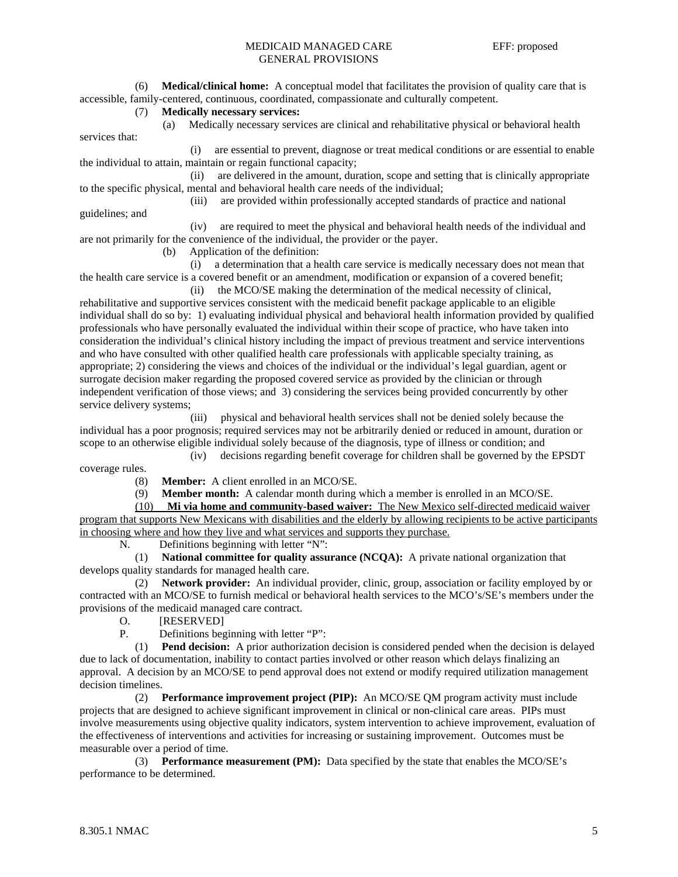(6) **Medical/clinical home:** A conceptual model that facilitates the provision of quality care that is accessible, family-centered, continuous, coordinated, compassionate and culturally competent.

#### (7) **Medically necessary services:**

 (a) Medically necessary services are clinical and rehabilitative physical or behavioral health services that:

 (i) are essential to prevent, diagnose or treat medical conditions or are essential to enable the individual to attain, maintain or regain functional capacity;

 (ii) are delivered in the amount, duration, scope and setting that is clinically appropriate to the specific physical, mental and behavioral health care needs of the individual;

(iii) are provided within professionally accepted standards of practice and national

guidelines; and

 (iv) are required to meet the physical and behavioral health needs of the individual and are not primarily for the convenience of the individual, the provider or the payer.

(b) Application of the definition:

 (i) a determination that a health care service is medically necessary does not mean that the health care service is a covered benefit or an amendment, modification or expansion of a covered benefit;

 (ii) the MCO/SE making the determination of the medical necessity of clinical, rehabilitative and supportive services consistent with the medicaid benefit package applicable to an eligible individual shall do so by: 1) evaluating individual physical and behavioral health information provided by qualified professionals who have personally evaluated the individual within their scope of practice, who have taken into consideration the individual's clinical history including the impact of previous treatment and service interventions and who have consulted with other qualified health care professionals with applicable specialty training, as appropriate; 2) considering the views and choices of the individual or the individual's legal guardian, agent or surrogate decision maker regarding the proposed covered service as provided by the clinician or through independent verification of those views; and 3) considering the services being provided concurrently by other service delivery systems;

 (iii) physical and behavioral health services shall not be denied solely because the individual has a poor prognosis; required services may not be arbitrarily denied or reduced in amount, duration or scope to an otherwise eligible individual solely because of the diagnosis, type of illness or condition; and

 (iv) decisions regarding benefit coverage for children shall be governed by the EPSDT coverage rules.

(8) **Member:** A client enrolled in an MCO/SE.

(9) **Member month:** A calendar month during which a member is enrolled in an MCO/SE.

 (10) **Mi via home and community-based waiver:** The New Mexico self-directed medicaid waiver program that supports New Mexicans with disabilities and the elderly by allowing recipients to be active participants in choosing where and how they live and what services and supports they purchase.

N. Definitions beginning with letter "N":

 (1) **National committee for quality assurance (NCQA):** A private national organization that develops quality standards for managed health care.

 (2) **Network provider:** An individual provider, clinic, group, association or facility employed by or contracted with an MCO/SE to furnish medical or behavioral health services to the MCO's/SE's members under the provisions of the medicaid managed care contract.

O. [RESERVED]

P. Definitions beginning with letter "P":

 (1) **Pend decision:** A prior authorization decision is considered pended when the decision is delayed due to lack of documentation, inability to contact parties involved or other reason which delays finalizing an approval. A decision by an MCO/SE to pend approval does not extend or modify required utilization management decision timelines.

 (2) **Performance improvement project (PIP):** An MCO/SE QM program activity must include projects that are designed to achieve significant improvement in clinical or non-clinical care areas. PIPs must involve measurements using objective quality indicators, system intervention to achieve improvement, evaluation of the effectiveness of interventions and activities for increasing or sustaining improvement. Outcomes must be measurable over a period of time.

 (3) **Performance measurement (PM):** Data specified by the state that enables the MCO/SE's performance to be determined.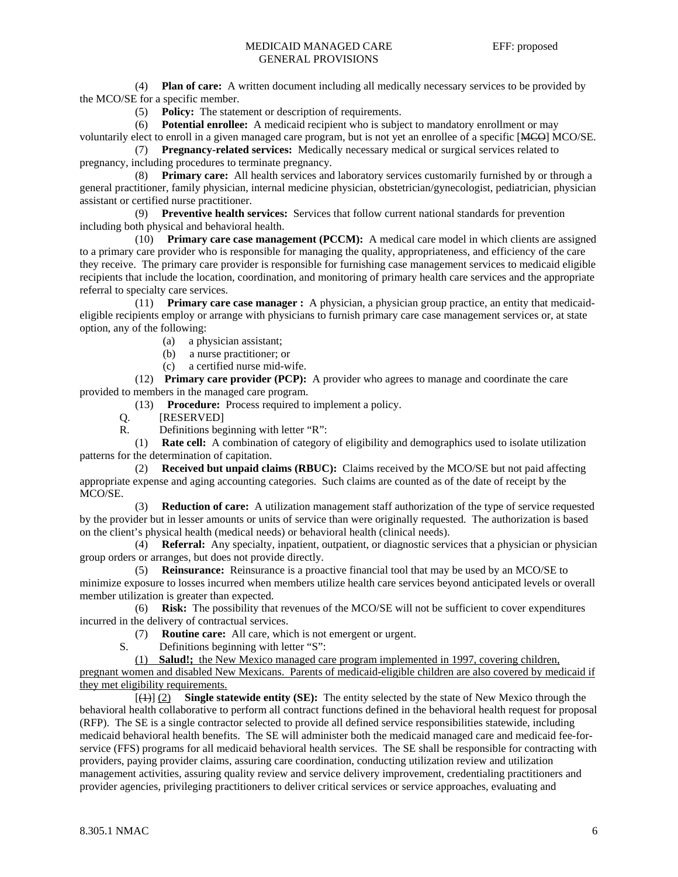## MEDICAID MANAGED CARE EFF: proposed GENERAL PROVISIONS

 (4) **Plan of care:** A written document including all medically necessary services to be provided by the MCO/SE for a specific member.

(5) **Policy:** The statement or description of requirements.

 (6) **Potential enrollee:** A medicaid recipient who is subject to mandatory enrollment or may voluntarily elect to enroll in a given managed care program, but is not yet an enrollee of a specific [MCO] MCO/SE.

 (7) **Pregnancy-related services:** Medically necessary medical or surgical services related to pregnancy, including procedures to terminate pregnancy.

 (8) **Primary care:** All health services and laboratory services customarily furnished by or through a general practitioner, family physician, internal medicine physician, obstetrician/gynecologist, pediatrician, physician assistant or certified nurse practitioner.

 (9) **Preventive health services:** Services that follow current national standards for prevention including both physical and behavioral health.

 (10) **Primary care case management (PCCM):** A medical care model in which clients are assigned to a primary care provider who is responsible for managing the quality, appropriateness, and efficiency of the care they receive. The primary care provider is responsible for furnishing case management services to medicaid eligible recipients that include the location, coordination, and monitoring of primary health care services and the appropriate referral to specialty care services.

 (11) **Primary care case manager :** A physician, a physician group practice, an entity that medicaideligible recipients employ or arrange with physicians to furnish primary care case management services or, at state option, any of the following:

(a) a physician assistant;

- (b) a nurse practitioner; or
- (c) a certified nurse mid-wife.

 (12) **Primary care provider (PCP):** A provider who agrees to manage and coordinate the care provided to members in the managed care program.

(13) **Procedure:** Process required to implement a policy.

Q. [RESERVED]

R. Definitions beginning with letter "R":

 (1) **Rate cell:** A combination of category of eligibility and demographics used to isolate utilization patterns for the determination of capitation.

 (2) **Received but unpaid claims (RBUC):** Claims received by the MCO/SE but not paid affecting appropriate expense and aging accounting categories. Such claims are counted as of the date of receipt by the MCO/SE.

 (3) **Reduction of care:** A utilization management staff authorization of the type of service requested by the provider but in lesser amounts or units of service than were originally requested. The authorization is based on the client's physical health (medical needs) or behavioral health (clinical needs).

 (4) **Referral:** Any specialty, inpatient, outpatient, or diagnostic services that a physician or physician group orders or arranges, but does not provide directly.

 (5) **Reinsurance:** Reinsurance is a proactive financial tool that may be used by an MCO/SE to minimize exposure to losses incurred when members utilize health care services beyond anticipated levels or overall member utilization is greater than expected.

 (6) **Risk:** The possibility that revenues of the MCO/SE will not be sufficient to cover expenditures incurred in the delivery of contractual services.

(7) **Routine care:** All care, which is not emergent or urgent.

S. Definitions beginning with letter "S":

(1) **Salud!;** the New Mexico managed care program implemented in 1997, covering children,

pregnant women and disabled New Mexicans. Parents of medicaid-eligible children are also covered by medicaid if they met eligibility requirements.

 [(1)] (2) **Single statewide entity (SE):** The entity selected by the state of New Mexico through the behavioral health collaborative to perform all contract functions defined in the behavioral health request for proposal (RFP). The SE is a single contractor selected to provide all defined service responsibilities statewide, including medicaid behavioral health benefits. The SE will administer both the medicaid managed care and medicaid fee-forservice (FFS) programs for all medicaid behavioral health services. The SE shall be responsible for contracting with providers, paying provider claims, assuring care coordination, conducting utilization review and utilization management activities, assuring quality review and service delivery improvement, credentialing practitioners and provider agencies, privileging practitioners to deliver critical services or service approaches, evaluating and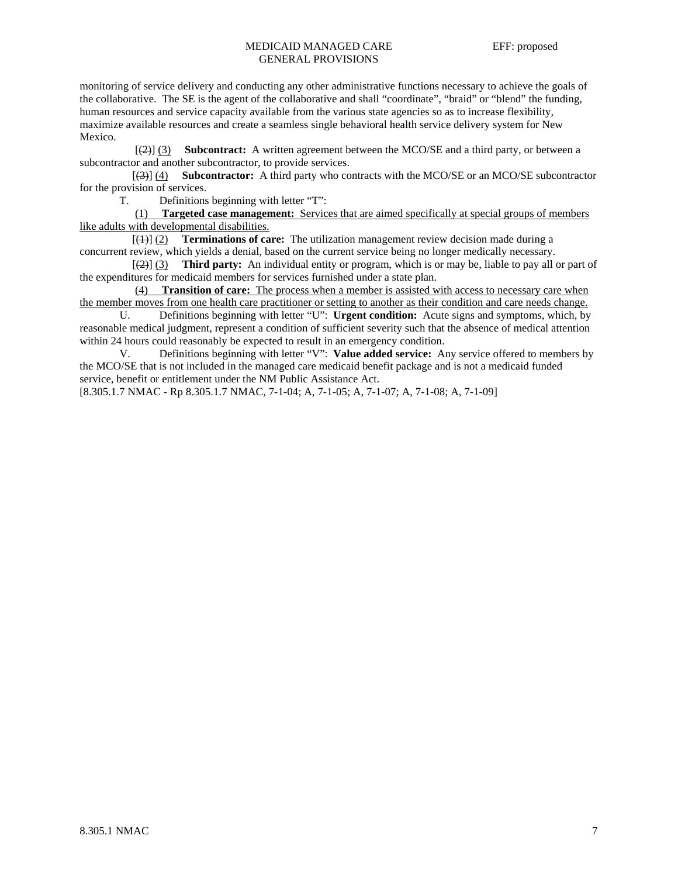## MEDICAID MANAGED CARE EFF: proposed GENERAL PROVISIONS

monitoring of service delivery and conducting any other administrative functions necessary to achieve the goals of the collaborative. The SE is the agent of the collaborative and shall "coordinate", "braid" or "blend" the funding, human resources and service capacity available from the various state agencies so as to increase flexibility, maximize available resources and create a seamless single behavioral health service delivery system for New Mexico.

 [(2)] (3) **Subcontract:** A written agreement between the MCO/SE and a third party, or between a subcontractor and another subcontractor, to provide services.

 [(3)] (4) **Subcontractor:** A third party who contracts with the MCO/SE or an MCO/SE subcontractor for the provision of services.

T. Definitions beginning with letter "T":

 (1) **Targeted case management:** Services that are aimed specifically at special groups of members like adults with developmental disabilities.

 [(1)] (2) **Terminations of care:** The utilization management review decision made during a concurrent review, which yields a denial, based on the current service being no longer medically necessary.

 [(2)] (3) **Third party:** An individual entity or program, which is or may be, liable to pay all or part of the expenditures for medicaid members for services furnished under a state plan.

 (4) **Transition of care:** The process when a member is assisted with access to necessary care when the member moves from one health care practitioner or setting to another as their condition and care needs change.

 U. Definitions beginning with letter "U": **Urgent condition:** Acute signs and symptoms, which, by reasonable medical judgment, represent a condition of sufficient severity such that the absence of medical attention within 24 hours could reasonably be expected to result in an emergency condition.

V. Definitions beginning with letter "V": **Value added service:** Any service offered to members by the MCO/SE that is not included in the managed care medicaid benefit package and is not a medicaid funded service, benefit or entitlement under the NM Public Assistance Act.

[8.305.1.7 NMAC - Rp 8.305.1.7 NMAC, 7-1-04; A, 7-1-05; A, 7-1-07; A, 7-1-08; A, 7-1-09]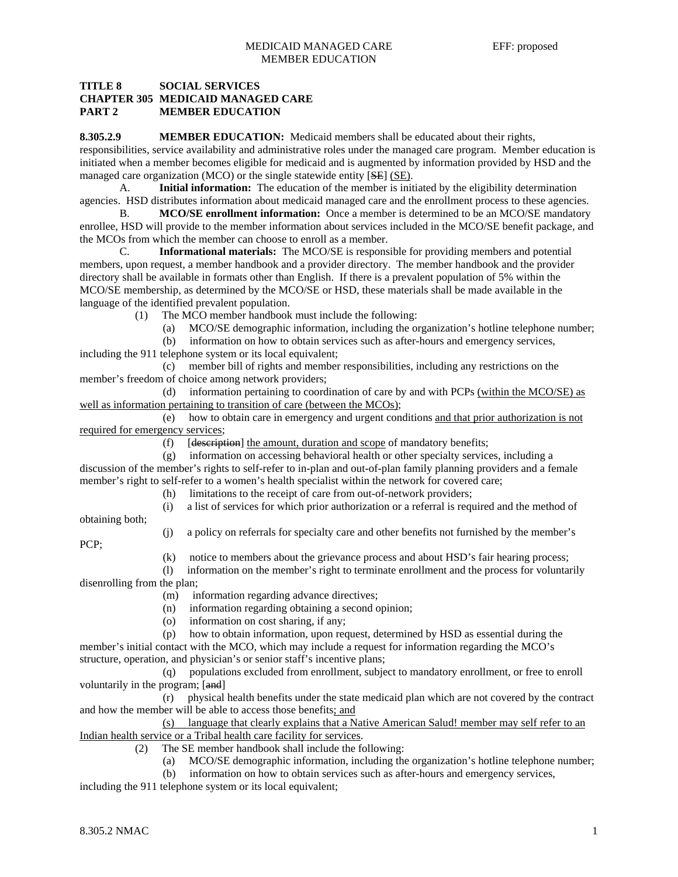## **TITLE 8 SOCIAL SERVICES CHAPTER 305 MEDICAID MANAGED CARE PART 2 MEMBER EDUCATION**

**8.305.2.9 MEMBER EDUCATION:** Medicaid members shall be educated about their rights, responsibilities, service availability and administrative roles under the managed care program. Member education is initiated when a member becomes eligible for medicaid and is augmented by information provided by HSD and the managed care organization (MCO) or the single statewide entity [SE] (SE).

 A. **Initial information:** The education of the member is initiated by the eligibility determination agencies. HSD distributes information about medicaid managed care and the enrollment process to these agencies.

B. **MCO/SE enrollment information:** Once a member is determined to be an MCO/SE mandatory enrollee, HSD will provide to the member information about services included in the MCO/SE benefit package, and the MCOs from which the member can choose to enroll as a member.

 C. **Informational materials:** The MCO/SE is responsible for providing members and potential members, upon request, a member handbook and a provider directory. The member handbook and the provider directory shall be available in formats other than English. If there is a prevalent population of 5% within the MCO/SE membership, as determined by the MCO/SE or HSD, these materials shall be made available in the language of the identified prevalent population.

(1) The MCO member handbook must include the following:

(a) MCO/SE demographic information, including the organization's hotline telephone number;

 (b) information on how to obtain services such as after-hours and emergency services, including the 911 telephone system or its local equivalent;

 (c) member bill of rights and member responsibilities, including any restrictions on the member's freedom of choice among network providers;

 (d) information pertaining to coordination of care by and with PCPs (within the MCO/SE) as well as information pertaining to transition of care (between the MCOs);

 (e) how to obtain care in emergency and urgent conditions and that prior authorization is not required for emergency services;

(f) [description] the amount, duration and scope of mandatory benefits;

 (g) information on accessing behavioral health or other specialty services, including a discussion of the member's rights to self-refer to in-plan and out-of-plan family planning providers and a female member's right to self-refer to a women's health specialist within the network for covered care;

(h) limitations to the receipt of care from out-of-network providers;

(i) a list of services for which prior authorization or a referral is required and the method of

obtaining both;

(j) a policy on referrals for specialty care and other benefits not furnished by the member's

- PCP;
- (k) notice to members about the grievance process and about HSD's fair hearing process;

 (l) information on the member's right to terminate enrollment and the process for voluntarily disenrolling from the plan;

(m) information regarding advance directives;

- (n) information regarding obtaining a second opinion;
- (o) information on cost sharing, if any;
- (p) how to obtain information, upon request, determined by HSD as essential during the

member's initial contact with the MCO, which may include a request for information regarding the MCO's structure, operation, and physician's or senior staff's incentive plans;

 (q) populations excluded from enrollment, subject to mandatory enrollment, or free to enroll voluntarily in the program; [and]

 (r) physical health benefits under the state medicaid plan which are not covered by the contract and how the member will be able to access those benefits; and

 (s) language that clearly explains that a Native American Salud! member may self refer to an Indian health service or a Tribal health care facility for services.

- (2) The SE member handbook shall include the following:
	- (a) MCO/SE demographic information, including the organization's hotline telephone number;
	- (b) information on how to obtain services such as after-hours and emergency services,

including the 911 telephone system or its local equivalent;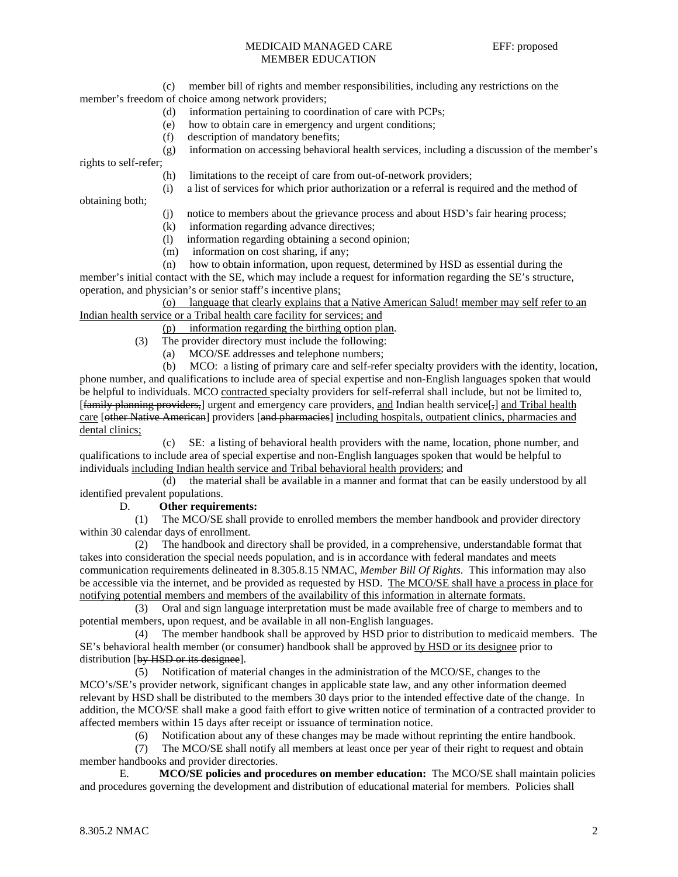## MEDICAID MANAGED CARE EFF: proposed MEMBER EDUCATION

 (c) member bill of rights and member responsibilities, including any restrictions on the member's freedom of choice among network providers;

- (d) information pertaining to coordination of care with PCPs;
- (e) how to obtain care in emergency and urgent conditions;
- (f) description of mandatory benefits;

(g) information on accessing behavioral health services, including a discussion of the member's

rights to self-refer;

- (h) limitations to the receipt of care from out-of-network providers;
- (i) a list of services for which prior authorization or a referral is required and the method of

obtaining both;

- (j) notice to members about the grievance process and about HSD's fair hearing process;
- (k) information regarding advance directives;
- (l) information regarding obtaining a second opinion;
- (m) information on cost sharing, if any;
- (n) how to obtain information, upon request, determined by HSD as essential during the

member's initial contact with the SE, which may include a request for information regarding the SE's structure, operation, and physician's or senior staff's incentive plans;

 (o) language that clearly explains that a Native American Salud! member may self refer to an Indian health service or a Tribal health care facility for services; and

(p) information regarding the birthing option plan.

- (3) The provider directory must include the following:
	- (a) MCO/SE addresses and telephone numbers;

 (b) MCO: a listing of primary care and self-refer specialty providers with the identity, location, phone number, and qualifications to include area of special expertise and non-English languages spoken that would be helpful to individuals. MCO contracted specialty providers for self-referral shall include, but not be limited to,  $[\frac{\{family of \}}{\{family of \}]}$  urgent and emergency care providers, and Indian health service $[\frac{1}{2}]$  and Tribal health care [<del>other Native American</del>] providers [and pharmacies] including hospitals, outpatient clinics, pharmacies and dental clinics;

 (c) SE: a listing of behavioral health providers with the name, location, phone number, and qualifications to include area of special expertise and non-English languages spoken that would be helpful to individuals including Indian health service and Tribal behavioral health providers; and

 (d) the material shall be available in a manner and format that can be easily understood by all identified prevalent populations.

#### D. **Other requirements:**

 (1) The MCO/SE shall provide to enrolled members the member handbook and provider directory within 30 calendar days of enrollment.

 (2) The handbook and directory shall be provided, in a comprehensive, understandable format that takes into consideration the special needs population, and is in accordance with federal mandates and meets communication requirements delineated in 8.305.8.15 NMAC, *Member Bill Of Rights*. This information may also be accessible via the internet, and be provided as requested by HSD. The MCO/SE shall have a process in place for notifying potential members and members of the availability of this information in alternate formats.

 (3) Oral and sign language interpretation must be made available free of charge to members and to potential members, upon request, and be available in all non-English languages.

 (4) The member handbook shall be approved by HSD prior to distribution to medicaid members. The SE's behavioral health member (or consumer) handbook shall be approved by HSD or its designee prior to distribution [by HSD or its designee].

 (5) Notification of material changes in the administration of the MCO/SE, changes to the MCO's/SE's provider network, significant changes in applicable state law, and any other information deemed relevant by HSD shall be distributed to the members 30 days prior to the intended effective date of the change. In addition, the MCO/SE shall make a good faith effort to give written notice of termination of a contracted provider to affected members within 15 days after receipt or issuance of termination notice.

(6) Notification about any of these changes may be made without reprinting the entire handbook.

 (7) The MCO/SE shall notify all members at least once per year of their right to request and obtain member handbooks and provider directories.

 E. **MCO/SE policies and procedures on member education:** The MCO/SE shall maintain policies and procedures governing the development and distribution of educational material for members. Policies shall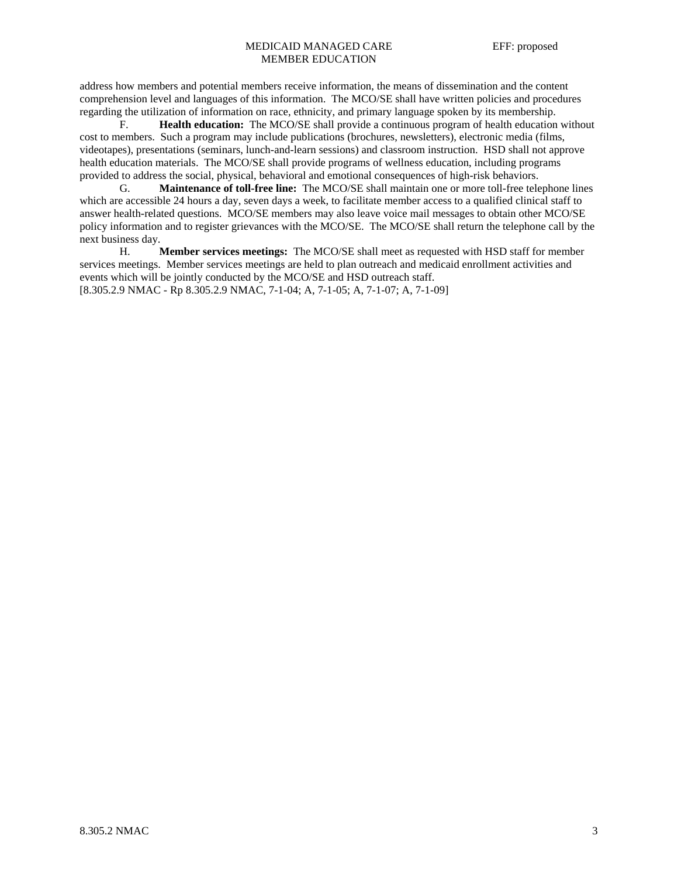## MEDICAID MANAGED CARE EFF: proposed MEMBER EDUCATION

address how members and potential members receive information, the means of dissemination and the content comprehension level and languages of this information. The MCO/SE shall have written policies and procedures regarding the utilization of information on race, ethnicity, and primary language spoken by its membership.

 F. **Health education:** The MCO/SE shall provide a continuous program of health education without cost to members. Such a program may include publications (brochures, newsletters), electronic media (films, videotapes), presentations (seminars, lunch-and-learn sessions) and classroom instruction. HSD shall not approve health education materials. The MCO/SE shall provide programs of wellness education, including programs provided to address the social, physical, behavioral and emotional consequences of high-risk behaviors.

 G. **Maintenance of toll-free line:** The MCO/SE shall maintain one or more toll-free telephone lines which are accessible 24 hours a day, seven days a week, to facilitate member access to a qualified clinical staff to answer health-related questions. MCO/SE members may also leave voice mail messages to obtain other MCO/SE policy information and to register grievances with the MCO/SE. The MCO/SE shall return the telephone call by the next business day.

 H. **Member services meetings:** The MCO/SE shall meet as requested with HSD staff for member services meetings. Member services meetings are held to plan outreach and medicaid enrollment activities and events which will be jointly conducted by the MCO/SE and HSD outreach staff. [8.305.2.9 NMAC - Rp 8.305.2.9 NMAC, 7-1-04; A, 7-1-05; A, 7-1-07; A, 7-1-09]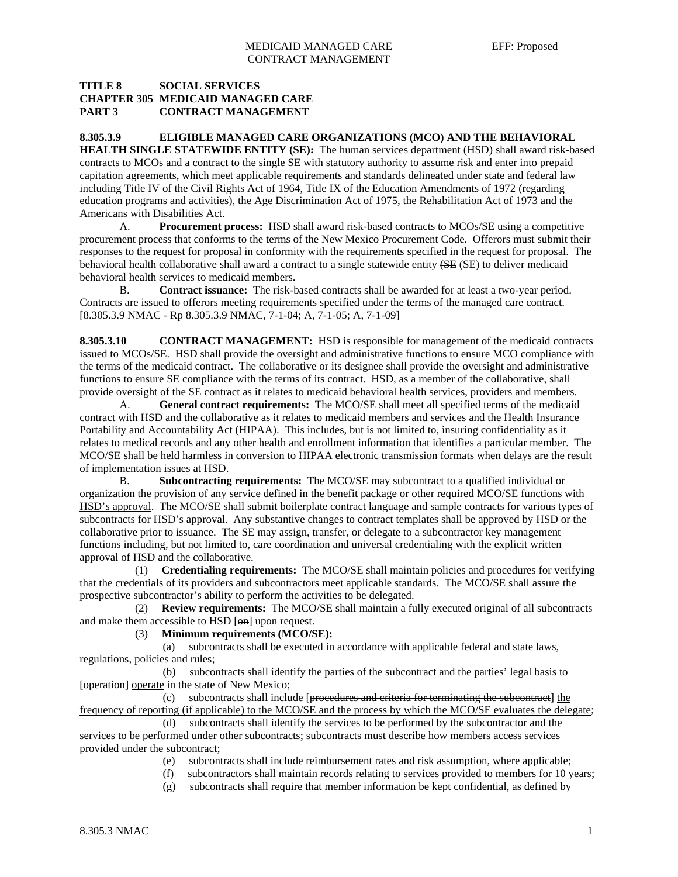## **TITLE 8 SOCIAL SERVICES CHAPTER 305 MEDICAID MANAGED CARE PART 3 CONTRACT MANAGEMENT**

**8.305.3.9 ELIGIBLE MANAGED CARE ORGANIZATIONS (MCO) AND THE BEHAVIORAL HEALTH SINGLE STATEWIDE ENTITY (SE):** The human services department (HSD) shall award risk-based contracts to MCOs and a contract to the single SE with statutory authority to assume risk and enter into prepaid capitation agreements, which meet applicable requirements and standards delineated under state and federal law including Title IV of the Civil Rights Act of 1964, Title IX of the Education Amendments of 1972 (regarding education programs and activities), the Age Discrimination Act of 1975, the Rehabilitation Act of 1973 and the Americans with Disabilities Act.

 A. **Procurement process:** HSD shall award risk-based contracts to MCOs/SE using a competitive procurement process that conforms to the terms of the New Mexico Procurement Code. Offerors must submit their responses to the request for proposal in conformity with the requirements specified in the request for proposal. The behavioral health collaborative shall award a contract to a single statewide entity (SE (SE) to deliver medicaid behavioral health services to medicaid members.

 B. **Contract issuance:** The risk-based contracts shall be awarded for at least a two-year period. Contracts are issued to offerors meeting requirements specified under the terms of the managed care contract. [8.305.3.9 NMAC - Rp 8.305.3.9 NMAC, 7-1-04; A, 7-1-05; A, 7-1-09]

**8.305.3.10 CONTRACT MANAGEMENT:** HSD is responsible for management of the medicaid contracts issued to MCOs/SE. HSD shall provide the oversight and administrative functions to ensure MCO compliance with the terms of the medicaid contract. The collaborative or its designee shall provide the oversight and administrative functions to ensure SE compliance with the terms of its contract. HSD, as a member of the collaborative, shall provide oversight of the SE contract as it relates to medicaid behavioral health services, providers and members.

 A. **General contract requirements:** The MCO/SE shall meet all specified terms of the medicaid contract with HSD and the collaborative as it relates to medicaid members and services and the Health Insurance Portability and Accountability Act (HIPAA). This includes, but is not limited to, insuring confidentiality as it relates to medical records and any other health and enrollment information that identifies a particular member. The MCO/SE shall be held harmless in conversion to HIPAA electronic transmission formats when delays are the result of implementation issues at HSD.

 B. **Subcontracting requirements:** The MCO/SE may subcontract to a qualified individual or organization the provision of any service defined in the benefit package or other required MCO/SE functions with HSD's approval. The MCO/SE shall submit boilerplate contract language and sample contracts for various types of subcontracts for HSD's approval. Any substantive changes to contract templates shall be approved by HSD or the collaborative prior to issuance. The SE may assign, transfer, or delegate to a subcontractor key management functions including, but not limited to, care coordination and universal credentialing with the explicit written approval of HSD and the collaborative.

 (1) **Credentialing requirements:** The MCO/SE shall maintain policies and procedures for verifying that the credentials of its providers and subcontractors meet applicable standards. The MCO/SE shall assure the prospective subcontractor's ability to perform the activities to be delegated.

 (2) **Review requirements:** The MCO/SE shall maintain a fully executed original of all subcontracts and make them accessible to HSD [ $\Theta$ n] upon request.

## (3) **Minimum requirements (MCO/SE):**

 (a) subcontracts shall be executed in accordance with applicable federal and state laws, regulations, policies and rules;

 (b) subcontracts shall identify the parties of the subcontract and the parties' legal basis to [operation] operate in the state of New Mexico;

 $(c)$  subcontracts shall include [ $precedures and criteria for terminating the subcontract$ ] the frequency of reporting (if applicable) to the MCO/SE and the process by which the MCO/SE evaluates the delegate;

 (d) subcontracts shall identify the services to be performed by the subcontractor and the services to be performed under other subcontracts; subcontracts must describe how members access services provided under the subcontract;

- (e) subcontracts shall include reimbursement rates and risk assumption, where applicable;
- (f) subcontractors shall maintain records relating to services provided to members for 10 years;
- (g) subcontracts shall require that member information be kept confidential, as defined by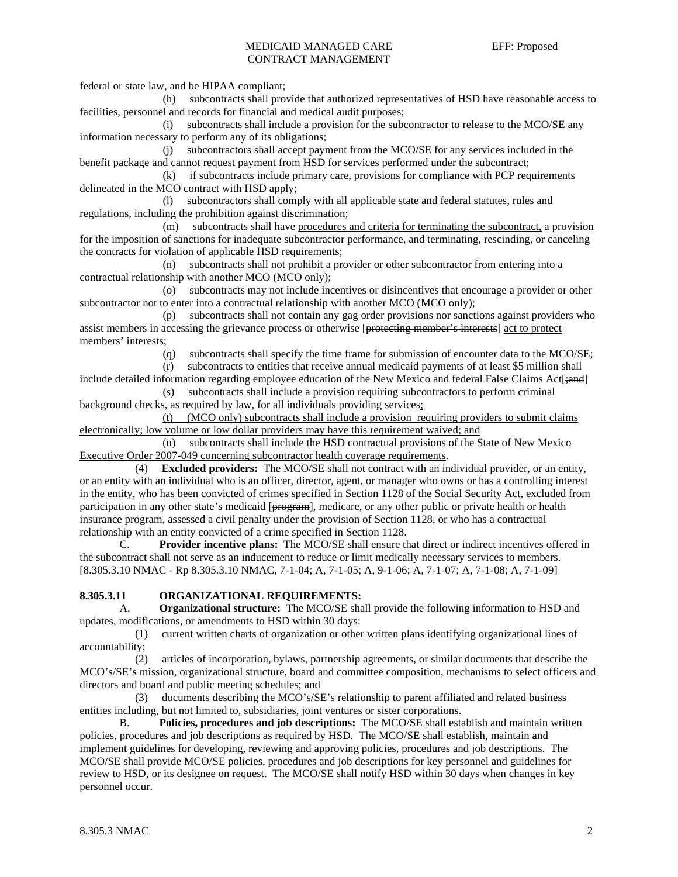## MEDICAID MANAGED CARE EFF: Proposed CONTRACT MANAGEMENT

federal or state law, and be HIPAA compliant;

 (h) subcontracts shall provide that authorized representatives of HSD have reasonable access to facilities, personnel and records for financial and medical audit purposes;

 (i) subcontracts shall include a provision for the subcontractor to release to the MCO/SE any information necessary to perform any of its obligations;

 (j) subcontractors shall accept payment from the MCO/SE for any services included in the benefit package and cannot request payment from HSD for services performed under the subcontract;

 (k) if subcontracts include primary care, provisions for compliance with PCP requirements delineated in the MCO contract with HSD apply;

 (l) subcontractors shall comply with all applicable state and federal statutes, rules and regulations, including the prohibition against discrimination;

 (m) subcontracts shall have procedures and criteria for terminating the subcontract, a provision for the imposition of sanctions for inadequate subcontractor performance, and terminating, rescinding, or canceling the contracts for violation of applicable HSD requirements;

 (n) subcontracts shall not prohibit a provider or other subcontractor from entering into a contractual relationship with another MCO (MCO only);

 (o) subcontracts may not include incentives or disincentives that encourage a provider or other subcontractor not to enter into a contractual relationship with another MCO (MCO only);

 (p) subcontracts shall not contain any gag order provisions nor sanctions against providers who assist members in accessing the grievance process or otherwise [protecting member's interests] act to protect members' interests;

(q) subcontracts shall specify the time frame for submission of encounter data to the MCO/SE;

 (r) subcontracts to entities that receive annual medicaid payments of at least \$5 million shall include detailed information regarding employee education of the New Mexico and federal False Claims Act [; and]

 (s) subcontracts shall include a provision requiring subcontractors to perform criminal background checks, as required by law, for all individuals providing services;

 (t) (MCO only) subcontracts shall include a provision requiring providers to submit claims electronically; low volume or low dollar providers may have this requirement waived; and

 (u) subcontracts shall include the HSD contractual provisions of the State of New Mexico Executive Order 2007-049 concerning subcontractor health coverage requirements.

 (4) **Excluded providers:** The MCO/SE shall not contract with an individual provider, or an entity, or an entity with an individual who is an officer, director, agent, or manager who owns or has a controlling interest in the entity, who has been convicted of crimes specified in Section 1128 of the Social Security Act, excluded from participation in any other state's medicaid [program], medicare, or any other public or private health or health insurance program, assessed a civil penalty under the provision of Section 1128, or who has a contractual relationship with an entity convicted of a crime specified in Section 1128.

 C. **Provider incentive plans:** The MCO/SE shall ensure that direct or indirect incentives offered in the subcontract shall not serve as an inducement to reduce or limit medically necessary services to members. [8.305.3.10 NMAC - Rp 8.305.3.10 NMAC, 7-1-04; A, 7-1-05; A, 9-1-06; A, 7-1-07; A, 7-1-08; A, 7-1-09]

## **8.305.3.11 ORGANIZATIONAL REQUIREMENTS:**

 A. **Organizational structure:** The MCO/SE shall provide the following information to HSD and updates, modifications, or amendments to HSD within 30 days:

 (1) current written charts of organization or other written plans identifying organizational lines of accountability;

 (2) articles of incorporation, bylaws, partnership agreements, or similar documents that describe the MCO's/SE's mission, organizational structure, board and committee composition, mechanisms to select officers and directors and board and public meeting schedules; and

 (3) documents describing the MCO's/SE's relationship to parent affiliated and related business entities including, but not limited to, subsidiaries, joint ventures or sister corporations.

 B. **Policies, procedures and job descriptions:** The MCO/SE shall establish and maintain written policies, procedures and job descriptions as required by HSD. The MCO/SE shall establish, maintain and implement guidelines for developing, reviewing and approving policies, procedures and job descriptions. The MCO/SE shall provide MCO/SE policies, procedures and job descriptions for key personnel and guidelines for review to HSD, or its designee on request. The MCO/SE shall notify HSD within 30 days when changes in key personnel occur.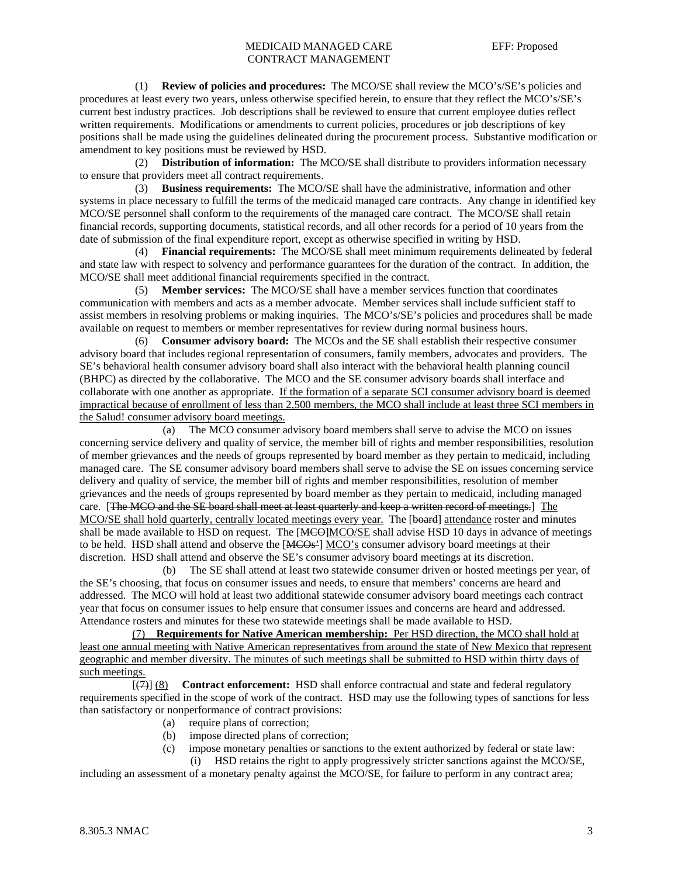## MEDICAID MANAGED CARE EFF: Proposed CONTRACT MANAGEMENT

 (1) **Review of policies and procedures:** The MCO/SE shall review the MCO's/SE's policies and procedures at least every two years, unless otherwise specified herein, to ensure that they reflect the MCO's/SE's current best industry practices. Job descriptions shall be reviewed to ensure that current employee duties reflect written requirements. Modifications or amendments to current policies, procedures or job descriptions of key positions shall be made using the guidelines delineated during the procurement process. Substantive modification or amendment to key positions must be reviewed by HSD.

 (2) **Distribution of information:** The MCO/SE shall distribute to providers information necessary to ensure that providers meet all contract requirements.

 (3) **Business requirements:** The MCO/SE shall have the administrative, information and other systems in place necessary to fulfill the terms of the medicaid managed care contracts. Any change in identified key MCO/SE personnel shall conform to the requirements of the managed care contract. The MCO/SE shall retain financial records, supporting documents, statistical records, and all other records for a period of 10 years from the date of submission of the final expenditure report, except as otherwise specified in writing by HSD.

 (4) **Financial requirements:** The MCO/SE shall meet minimum requirements delineated by federal and state law with respect to solvency and performance guarantees for the duration of the contract. In addition, the MCO/SE shall meet additional financial requirements specified in the contract.

 (5) **Member services:** The MCO/SE shall have a member services function that coordinates communication with members and acts as a member advocate. Member services shall include sufficient staff to assist members in resolving problems or making inquiries. The MCO's/SE's policies and procedures shall be made available on request to members or member representatives for review during normal business hours.

 (6) **Consumer advisory board:** The MCOs and the SE shall establish their respective consumer advisory board that includes regional representation of consumers, family members, advocates and providers. The SE's behavioral health consumer advisory board shall also interact with the behavioral health planning council (BHPC) as directed by the collaborative. The MCO and the SE consumer advisory boards shall interface and collaborate with one another as appropriate. If the formation of a separate SCI consumer advisory board is deemed impractical because of enrollment of less than 2,500 members, the MCO shall include at least three SCI members in the Salud! consumer advisory board meetings.

 (a) The MCO consumer advisory board members shall serve to advise the MCO on issues concerning service delivery and quality of service, the member bill of rights and member responsibilities, resolution of member grievances and the needs of groups represented by board member as they pertain to medicaid, including managed care. The SE consumer advisory board members shall serve to advise the SE on issues concerning service delivery and quality of service, the member bill of rights and member responsibilities, resolution of member grievances and the needs of groups represented by board member as they pertain to medicaid, including managed care. [The MCO and the SE board shall meet at least quarterly and keep a written record of meetings.] The MCO/SE shall hold quarterly, centrally located meetings every year. The [board] attendance roster and minutes shall be made available to HSD on request. The [MCO]MCO/SE shall advise HSD 10 days in advance of meetings to be held. HSD shall attend and observe the [MCOs<sup>2</sup>] MCO's consumer advisory board meetings at their discretion. HSD shall attend and observe the SE's consumer advisory board meetings at its discretion.

 (b) The SE shall attend at least two statewide consumer driven or hosted meetings per year, of the SE's choosing, that focus on consumer issues and needs, to ensure that members' concerns are heard and addressed. The MCO will hold at least two additional statewide consumer advisory board meetings each contract year that focus on consumer issues to help ensure that consumer issues and concerns are heard and addressed. Attendance rosters and minutes for these two statewide meetings shall be made available to HSD.

 (7) **Requirements for Native American membership:** Per HSD direction, the MCO shall hold at least one annual meeting with Native American representatives from around the state of New Mexico that represent geographic and member diversity. The minutes of such meetings shall be submitted to HSD within thirty days of such meetings.

 [(7)] (8) **Contract enforcement:** HSD shall enforce contractual and state and federal regulatory requirements specified in the scope of work of the contract. HSD may use the following types of sanctions for less than satisfactory or nonperformance of contract provisions:

- (a) require plans of correction;
- (b) impose directed plans of correction;
- (c) impose monetary penalties or sanctions to the extent authorized by federal or state law: (i) HSD retains the right to apply progressively stricter sanctions against the MCO/SE,

including an assessment of a monetary penalty against the MCO/SE, for failure to perform in any contract area;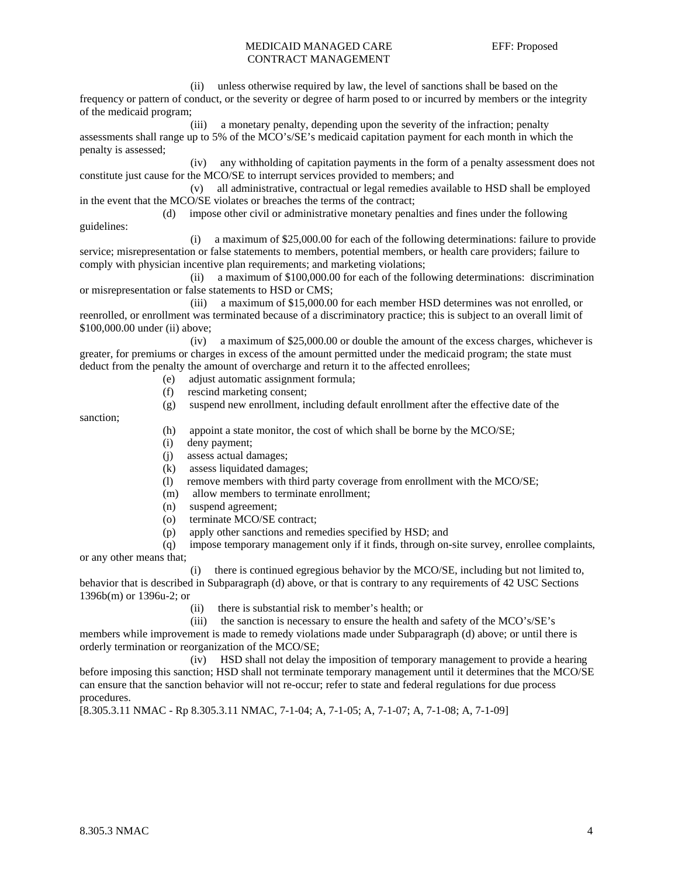## MEDICAID MANAGED CARE EFF: Proposed CONTRACT MANAGEMENT

 (ii) unless otherwise required by law, the level of sanctions shall be based on the frequency or pattern of conduct, or the severity or degree of harm posed to or incurred by members or the integrity of the medicaid program;

 (iii) a monetary penalty, depending upon the severity of the infraction; penalty assessments shall range up to 5% of the MCO's/SE's medicaid capitation payment for each month in which the penalty is assessed;

 (iv) any withholding of capitation payments in the form of a penalty assessment does not constitute just cause for the MCO/SE to interrupt services provided to members; and

 (v) all administrative, contractual or legal remedies available to HSD shall be employed in the event that the MCO/SE violates or breaches the terms of the contract;

 (d) impose other civil or administrative monetary penalties and fines under the following guidelines:

 (i) a maximum of \$25,000.00 for each of the following determinations: failure to provide service; misrepresentation or false statements to members, potential members, or health care providers; failure to comply with physician incentive plan requirements; and marketing violations;

 (ii) a maximum of \$100,000.00 for each of the following determinations: discrimination or misrepresentation or false statements to HSD or CMS;

 (iii) a maximum of \$15,000.00 for each member HSD determines was not enrolled, or reenrolled, or enrollment was terminated because of a discriminatory practice; this is subject to an overall limit of \$100,000.00 under (ii) above;

 (iv) a maximum of \$25,000.00 or double the amount of the excess charges, whichever is greater, for premiums or charges in excess of the amount permitted under the medicaid program; the state must deduct from the penalty the amount of overcharge and return it to the affected enrollees;

- (e) adjust automatic assignment formula;
- (f) rescind marketing consent;
- (g) suspend new enrollment, including default enrollment after the effective date of the

sanction;

- (h) appoint a state monitor, the cost of which shall be borne by the MCO/SE;
- (i) deny payment;
- (j) assess actual damages;
- (k) assess liquidated damages;
- (l) remove members with third party coverage from enrollment with the MCO/SE;
- (m) allow members to terminate enrollment;
- (n) suspend agreement;
- (o) terminate MCO/SE contract;
- (p) apply other sanctions and remedies specified by HSD; and
- (q) impose temporary management only if it finds, through on-site survey, enrollee complaints, or any other means that;

 (i) there is continued egregious behavior by the MCO/SE, including but not limited to, behavior that is described in Subparagraph (d) above, or that is contrary to any requirements of 42 USC Sections 1396b(m) or 1396u-2; or

- (ii) there is substantial risk to member's health; or
- (iii) the sanction is necessary to ensure the health and safety of the MCO's/SE's

members while improvement is made to remedy violations made under Subparagraph (d) above; or until there is orderly termination or reorganization of the MCO/SE;

 (iv) HSD shall not delay the imposition of temporary management to provide a hearing before imposing this sanction; HSD shall not terminate temporary management until it determines that the MCO/SE can ensure that the sanction behavior will not re-occur; refer to state and federal regulations for due process procedures.

[8.305.3.11 NMAC - Rp 8.305.3.11 NMAC, 7-1-04; A, 7-1-05; A, 7-1-07; A, 7-1-08; A, 7-1-09]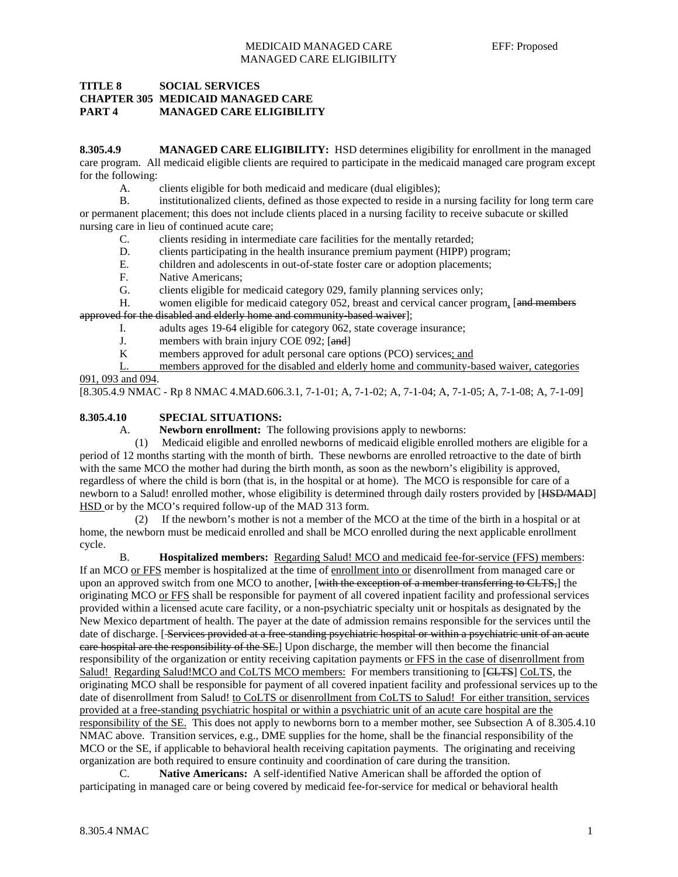## MEDICAID MANAGED CARE EFF: Proposed MANAGED CARE ELIGIBILITY

## **TITLE 8 SOCIAL SERVICES CHAPTER 305 MEDICAID MANAGED CARE PART 4 MANAGED CARE ELIGIBILITY**

**8.305.4.9 MANAGED CARE ELIGIBILITY:** HSD determines eligibility for enrollment in the managed care program. All medicaid eligible clients are required to participate in the medicaid managed care program except for the following:

A. clients eligible for both medicaid and medicare (dual eligibles);

 B. institutionalized clients, defined as those expected to reside in a nursing facility for long term care or permanent placement; this does not include clients placed in a nursing facility to receive subacute or skilled nursing care in lieu of continued acute care;

- C. clients residing in intermediate care facilities for the mentally retarded;
- D. clients participating in the health insurance premium payment (HIPP) program;
- E. children and adolescents in out-of-state foster care or adoption placements;
- F. Native Americans;
- G. clients eligible for medicaid category 029, family planning services only;

H. women eligible for medicaid category 052, breast and cervical cancer program, [and members] approved for the disabled and elderly home and community-based waiver];

- I. adults ages 19-64 eligible for category 062, state coverage insurance;
- J. members with brain injury COE 092; [and]
- K members approved for adult personal care options (PCO) services; and
- L. members approved for the disabled and elderly home and community-based waiver, categories 091, 093 and 094.

[8.305.4.9 NMAC - Rp 8 NMAC 4.MAD.606.3.1, 7-1-01; A, 7-1-02; A, 7-1-04; A, 7-1-05; A, 7-1-08; A, 7-1-09]

## **8.305.4.10 SPECIAL SITUATIONS:**

A. **Newborn enrollment:** The following provisions apply to newborns:

 (1) Medicaid eligible and enrolled newborns of medicaid eligible enrolled mothers are eligible for a period of 12 months starting with the month of birth. These newborns are enrolled retroactive to the date of birth with the same MCO the mother had during the birth month, as soon as the newborn's eligibility is approved, regardless of where the child is born (that is, in the hospital or at home). The MCO is responsible for care of a newborn to a Salud! enrolled mother, whose eligibility is determined through daily rosters provided by [HSD/MAD] HSD or by the MCO's required follow-up of the MAD 313 form.

 (2) If the newborn's mother is not a member of the MCO at the time of the birth in a hospital or at home, the newborn must be medicaid enrolled and shall be MCO enrolled during the next applicable enrollment cycle.

 B. **Hospitalized members:** Regarding Salud! MCO and medicaid fee-for-service (FFS) members: If an MCO or FFS member is hospitalized at the time of enrollment into or disenrollment from managed care or upon an approved switch from one MCO to another, [with the exception of a member transferring to CLTS,] the originating MCO or FFS shall be responsible for payment of all covered inpatient facility and professional services provided within a licensed acute care facility, or a non-psychiatric specialty unit or hospitals as designated by the New Mexico department of health. The payer at the date of admission remains responsible for the services until the date of discharge. [Services provided at a free-standing psychiatric hospital or within a psychiatric unit of an acute care hospital are the responsibility of the SE.] Upon discharge, the member will then become the financial responsibility of the organization or entity receiving capitation payments or FFS in the case of disenrollment from Salud! Regarding Salud!MCO and CoLTS MCO members: For members transitioning to [CLTS] CoLTS, the originating MCO shall be responsible for payment of all covered inpatient facility and professional services up to the date of disenrollment from Salud! to CoLTS or disenrollment from CoLTS to Salud! For either transition, services provided at a free-standing psychiatric hospital or within a psychiatric unit of an acute care hospital are the responsibility of the SE. This does not apply to newborns born to a member mother, see Subsection A of 8.305.4.10 NMAC above. Transition services, e.g., DME supplies for the home, shall be the financial responsibility of the MCO or the SE, if applicable to behavioral health receiving capitation payments. The originating and receiving organization are both required to ensure continuity and coordination of care during the transition.

 C. **Native Americans:** A self-identified Native American shall be afforded the option of participating in managed care or being covered by medicaid fee-for-service for medical or behavioral health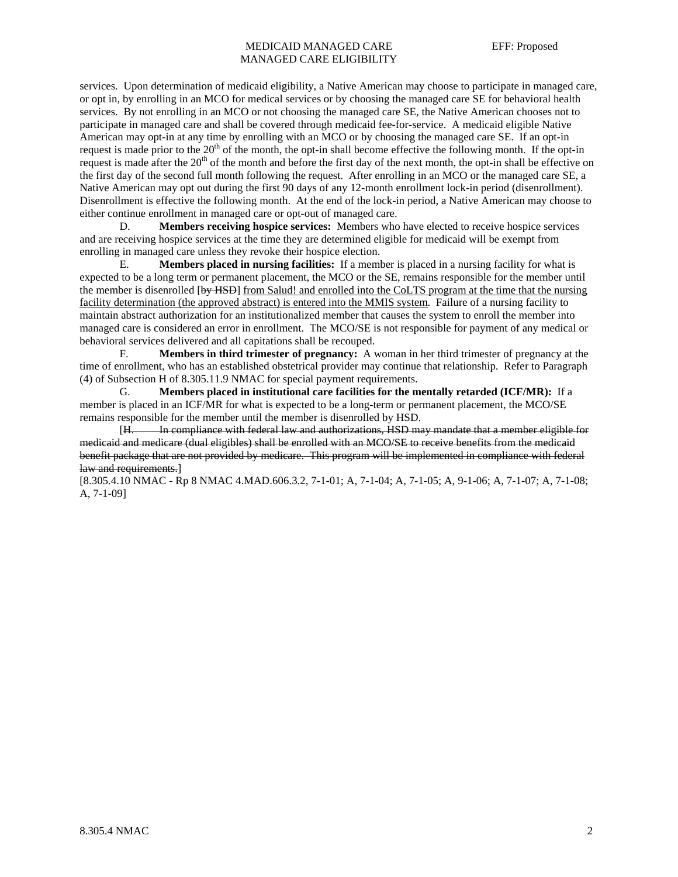## MEDICAID MANAGED CARE EFF: Proposed MANAGED CARE ELIGIBILITY

services. Upon determination of medicaid eligibility, a Native American may choose to participate in managed care, or opt in, by enrolling in an MCO for medical services or by choosing the managed care SE for behavioral health services. By not enrolling in an MCO or not choosing the managed care SE, the Native American chooses not to participate in managed care and shall be covered through medicaid fee-for-service. A medicaid eligible Native American may opt-in at any time by enrolling with an MCO or by choosing the managed care SE. If an opt-in request is made prior to the  $20<sup>th</sup>$  of the month, the opt-in shall become effective the following month. If the opt-in request is made after the  $20<sup>th</sup>$  of the month and before the first day of the next month, the opt-in shall be effective on the first day of the second full month following the request. After enrolling in an MCO or the managed care SE, a Native American may opt out during the first 90 days of any 12-month enrollment lock-in period (disenrollment). Disenrollment is effective the following month. At the end of the lock-in period, a Native American may choose to either continue enrollment in managed care or opt-out of managed care.

 D. **Members receiving hospice services:** Members who have elected to receive hospice services and are receiving hospice services at the time they are determined eligible for medicaid will be exempt from enrolling in managed care unless they revoke their hospice election.

 E. **Members placed in nursing facilities:** If a member is placed in a nursing facility for what is expected to be a long term or permanent placement, the MCO or the SE, remains responsible for the member until the member is disenrolled [by HSD] from Salud! and enrolled into the CoLTS program at the time that the nursing facility determination (the approved abstract) is entered into the MMIS system. Failure of a nursing facility to maintain abstract authorization for an institutionalized member that causes the system to enroll the member into managed care is considered an error in enrollment. The MCO/SE is not responsible for payment of any medical or behavioral services delivered and all capitations shall be recouped.

 F. **Members in third trimester of pregnancy:** A woman in her third trimester of pregnancy at the time of enrollment, who has an established obstetrical provider may continue that relationship. Refer to Paragraph (4) of Subsection H of 8.305.11.9 NMAC for special payment requirements.

 G. **Members placed in institutional care facilities for the mentally retarded (ICF/MR):** If a member is placed in an ICF/MR for what is expected to be a long-term or permanent placement, the MCO/SE remains responsible for the member until the member is disenrolled by HSD.

 [H. In compliance with federal law and authorizations, HSD may mandate that a member eligible for medicaid and medicare (dual eligibles) shall be enrolled with an MCO/SE to receive benefits from the medicaid benefit package that are not provided by medicare. This program will be implemented in compliance with federal law and requirements.]

[8.305.4.10 NMAC - Rp 8 NMAC 4.MAD.606.3.2, 7-1-01; A, 7-1-04; A, 7-1-05; A, 9-1-06; A, 7-1-07; A, 7-1-08; A, 7-1-09]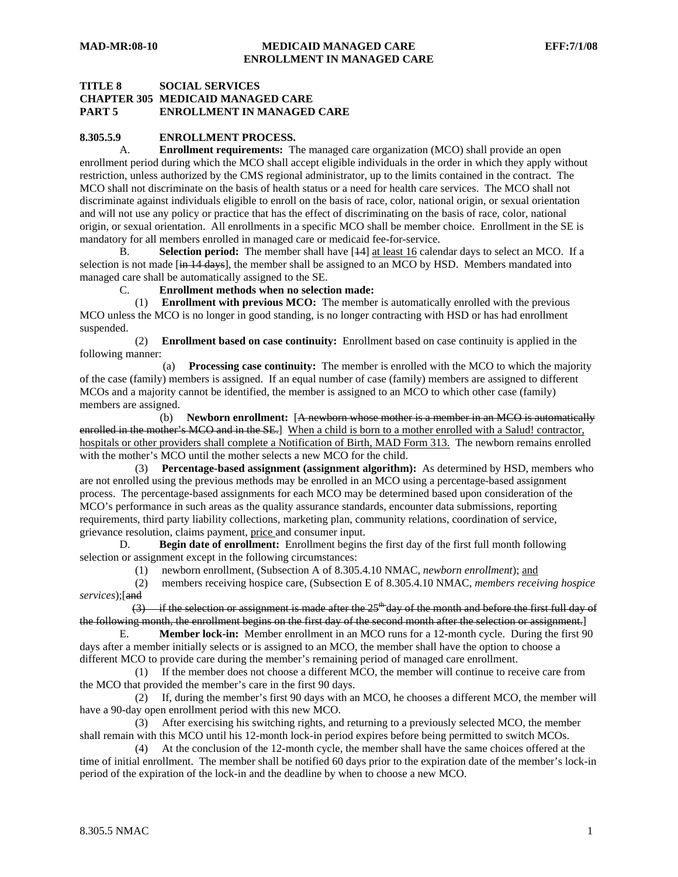## **TITLE 8 SOCIAL SERVICES CHAPTER 305 MEDICAID MANAGED CARE PART 5 ENROLLMENT IN MANAGED CARE**

## **8.305.5.9 ENROLLMENT PROCESS.**

 A. **Enrollment requirements:** The managed care organization (MCO) shall provide an open enrollment period during which the MCO shall accept eligible individuals in the order in which they apply without restriction, unless authorized by the CMS regional administrator, up to the limits contained in the contract. The MCO shall not discriminate on the basis of health status or a need for health care services. The MCO shall not discriminate against individuals eligible to enroll on the basis of race, color, national origin, or sexual orientation and will not use any policy or practice that has the effect of discriminating on the basis of race, color, national origin, or sexual orientation. All enrollments in a specific MCO shall be member choice. Enrollment in the SE is mandatory for all members enrolled in managed care or medicaid fee-for-service.

 B. **Selection period:** The member shall have [14] at least 16 calendar days to select an MCO. If a selection is not made [in 14 days], the member shall be assigned to an MCO by HSD. Members mandated into managed care shall be automatically assigned to the SE.

C. **Enrollment methods when no selection made:**

 (1) **Enrollment with previous MCO:** The member is automatically enrolled with the previous MCO unless the MCO is no longer in good standing, is no longer contracting with HSD or has had enrollment suspended.

 (2) **Enrollment based on case continuity:** Enrollment based on case continuity is applied in the following manner:

 (a) **Processing case continuity:** The member is enrolled with the MCO to which the majority of the case (family) members is assigned. If an equal number of case (family) members are assigned to different MCOs and a majority cannot be identified, the member is assigned to an MCO to which other case (family) members are assigned.

 (b) **Newborn enrollment:** [A newborn whose mother is a member in an MCO is automatically enrolled in the mother's MCO and in the SE. When a child is born to a mother enrolled with a Salud! contractor, hospitals or other providers shall complete a Notification of Birth, MAD Form 313. The newborn remains enrolled with the mother's MCO until the mother selects a new MCO for the child.

 (3) **Percentage-based assignment (assignment algorithm):** As determined by HSD, members who are not enrolled using the previous methods may be enrolled in an MCO using a percentage-based assignment process. The percentage-based assignments for each MCO may be determined based upon consideration of the MCO's performance in such areas as the quality assurance standards, encounter data submissions, reporting requirements, third party liability collections, marketing plan, community relations, coordination of service, grievance resolution, claims payment, price and consumer input.

 D. **Begin date of enrollment:** Enrollment begins the first day of the first full month following selection or assignment except in the following circumstances:

(1) newborn enrollment, (Subsection A of 8.305.4.10 NMAC, *newborn enrollment*); and

 (2) members receiving hospice care, (Subsection E of 8.305.4.10 NMAC, *members receiving hospice services*);[and

 $(3)$  if the selection or assignment is made after the 25<sup>th</sup> day of the month and before the first full day of the following month, the enrollment begins on the first day of the second month after the selection or assignment.]

 E. **Member lock-in:** Member enrollment in an MCO runs for a 12-month cycle. During the first 90 days after a member initially selects or is assigned to an MCO, the member shall have the option to choose a different MCO to provide care during the member's remaining period of managed care enrollment.

 (1) If the member does not choose a different MCO, the member will continue to receive care from the MCO that provided the member's care in the first 90 days.

 (2) If, during the member's first 90 days with an MCO, he chooses a different MCO, the member will have a 90-day open enrollment period with this new MCO.

 (3) After exercising his switching rights, and returning to a previously selected MCO, the member shall remain with this MCO until his 12-month lock-in period expires before being permitted to switch MCOs.

 (4) At the conclusion of the 12-month cycle, the member shall have the same choices offered at the time of initial enrollment. The member shall be notified 60 days prior to the expiration date of the member's lock-in period of the expiration of the lock-in and the deadline by when to choose a new MCO.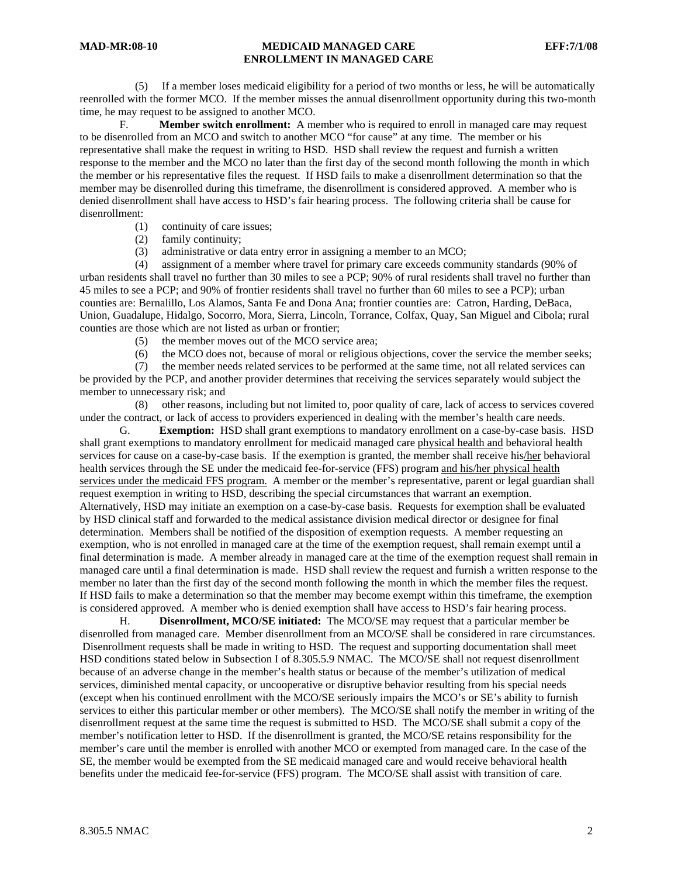## **MAD-MR:08-10 MEDICAID MANAGED CARE EFF:7/1/08 ENROLLMENT IN MANAGED CARE**

 (5) If a member loses medicaid eligibility for a period of two months or less, he will be automatically reenrolled with the former MCO. If the member misses the annual disenrollment opportunity during this two-month time, he may request to be assigned to another MCO.

 F. **Member switch enrollment:** A member who is required to enroll in managed care may request to be disenrolled from an MCO and switch to another MCO "for cause" at any time. The member or his representative shall make the request in writing to HSD. HSD shall review the request and furnish a written response to the member and the MCO no later than the first day of the second month following the month in which the member or his representative files the request. If HSD fails to make a disenrollment determination so that the member may be disenrolled during this timeframe, the disenrollment is considered approved. A member who is denied disenrollment shall have access to HSD's fair hearing process. The following criteria shall be cause for disenrollment:

- (1) continuity of care issues;
- (2) family continuity;
- (3) administrative or data entry error in assigning a member to an MCO;

 (4) assignment of a member where travel for primary care exceeds community standards (90% of urban residents shall travel no further than 30 miles to see a PCP; 90% of rural residents shall travel no further than 45 miles to see a PCP; and 90% of frontier residents shall travel no further than 60 miles to see a PCP); urban counties are: Bernalillo, Los Alamos, Santa Fe and Dona Ana; frontier counties are: Catron, Harding, DeBaca, Union, Guadalupe, Hidalgo, Socorro, Mora, Sierra, Lincoln, Torrance, Colfax, Quay, San Miguel and Cibola; rural counties are those which are not listed as urban or frontier;

- (5) the member moves out of the MCO service area;
- (6) the MCO does not, because of moral or religious objections, cover the service the member seeks;

 (7) the member needs related services to be performed at the same time, not all related services can be provided by the PCP, and another provider determines that receiving the services separately would subject the member to unnecessary risk; and

 (8) other reasons, including but not limited to, poor quality of care, lack of access to services covered under the contract, or lack of access to providers experienced in dealing with the member's health care needs.

 G. **Exemption:** HSD shall grant exemptions to mandatory enrollment on a case-by-case basis. HSD shall grant exemptions to mandatory enrollment for medicaid managed care physical health and behavioral health services for cause on a case-by-case basis. If the exemption is granted, the member shall receive his/her behavioral health services through the SE under the medicaid fee-for-service (FFS) program and his/her physical health services under the medicaid FFS program. A member or the member's representative, parent or legal guardian shall request exemption in writing to HSD, describing the special circumstances that warrant an exemption. Alternatively, HSD may initiate an exemption on a case-by-case basis. Requests for exemption shall be evaluated by HSD clinical staff and forwarded to the medical assistance division medical director or designee for final determination. Members shall be notified of the disposition of exemption requests. A member requesting an exemption, who is not enrolled in managed care at the time of the exemption request, shall remain exempt until a final determination is made. A member already in managed care at the time of the exemption request shall remain in managed care until a final determination is made. HSD shall review the request and furnish a written response to the member no later than the first day of the second month following the month in which the member files the request. If HSD fails to make a determination so that the member may become exempt within this timeframe, the exemption is considered approved. A member who is denied exemption shall have access to HSD's fair hearing process.

H. **Disenrollment, MCO/SE initiated:** The MCO/SE may request that a particular member be disenrolled from managed care. Member disenrollment from an MCO/SE shall be considered in rare circumstances. Disenrollment requests shall be made in writing to HSD. The request and supporting documentation shall meet HSD conditions stated below in Subsection I of 8.305.5.9 NMAC. The MCO/SE shall not request disenrollment because of an adverse change in the member's health status or because of the member's utilization of medical services, diminished mental capacity, or uncooperative or disruptive behavior resulting from his special needs (except when his continued enrollment with the MCO/SE seriously impairs the MCO's or SE's ability to furnish services to either this particular member or other members). The MCO/SE shall notify the member in writing of the disenrollment request at the same time the request is submitted to HSD. The MCO/SE shall submit a copy of the member's notification letter to HSD. If the disenrollment is granted, the MCO/SE retains responsibility for the member's care until the member is enrolled with another MCO or exempted from managed care. In the case of the SE, the member would be exempted from the SE medicaid managed care and would receive behavioral health benefits under the medicaid fee-for-service (FFS) program. The MCO/SE shall assist with transition of care.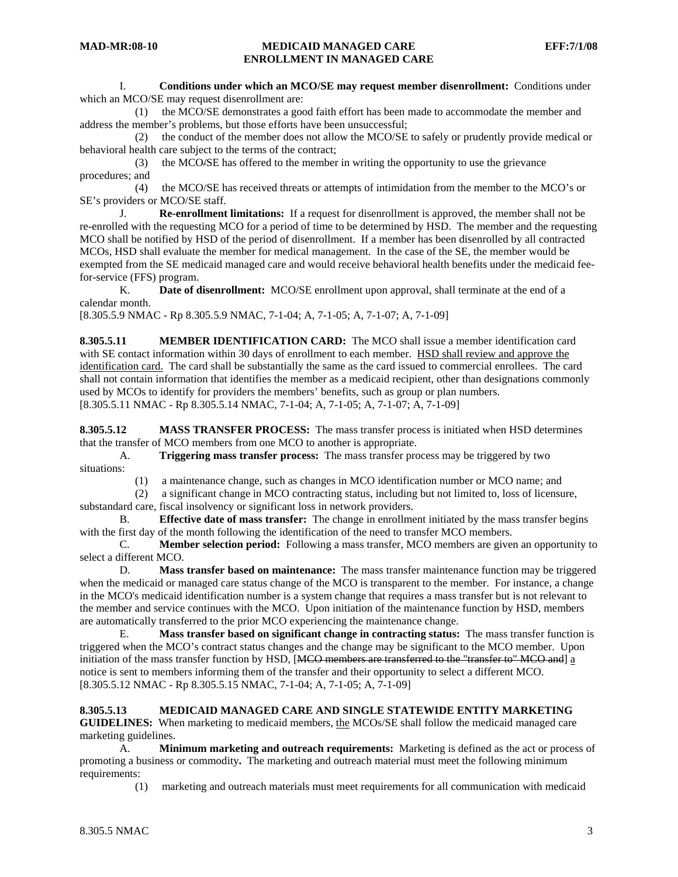I. **Conditions under which an MCO/SE may request member disenrollment:** Conditions under which an MCO/SE may request disenrollment are:

 (1) the MCO/SE demonstrates a good faith effort has been made to accommodate the member and address the member's problems, but those efforts have been unsuccessful;

 (2) the conduct of the member does not allow the MCO/SE to safely or prudently provide medical or behavioral health care subject to the terms of the contract;

 (3) the MCO/SE has offered to the member in writing the opportunity to use the grievance procedures; and

 (4) the MCO/SE has received threats or attempts of intimidation from the member to the MCO's or SE's providers or MCO/SE staff.

 J. **Re-enrollment limitations:** If a request for disenrollment is approved, the member shall not be re-enrolled with the requesting MCO for a period of time to be determined by HSD. The member and the requesting MCO shall be notified by HSD of the period of disenrollment. If a member has been disenrolled by all contracted MCOs, HSD shall evaluate the member for medical management. In the case of the SE, the member would be exempted from the SE medicaid managed care and would receive behavioral health benefits under the medicaid feefor-service (FFS) program.

 K. **Date of disenrollment:** MCO/SE enrollment upon approval, shall terminate at the end of a calendar month.

[8.305.5.9 NMAC - Rp 8.305.5.9 NMAC, 7-1-04; A, 7-1-05; A, 7-1-07; A, 7-1-09]

**8.305.5.11 MEMBER IDENTIFICATION CARD:** The MCO shall issue a member identification card with SE contact information within 30 days of enrollment to each member. HSD shall review and approve the identification card. The card shall be substantially the same as the card issued to commercial enrollees. The card shall not contain information that identifies the member as a medicaid recipient, other than designations commonly used by MCOs to identify for providers the members' benefits, such as group or plan numbers. [8.305.5.11 NMAC - Rp 8.305.5.14 NMAC, 7-1-04; A, 7-1-05; A, 7-1-07; A, 7-1-09]

**8.305.5.12 MASS TRANSFER PROCESS:** The mass transfer process is initiated when HSD determines that the transfer of MCO members from one MCO to another is appropriate.

 A. **Triggering mass transfer process:** The mass transfer process may be triggered by two situations:

(1) a maintenance change, such as changes in MCO identification number or MCO name; and

 (2) a significant change in MCO contracting status, including but not limited to, loss of licensure, substandard care, fiscal insolvency or significant loss in network providers.

 B. **Effective date of mass transfer:** The change in enrollment initiated by the mass transfer begins with the first day of the month following the identification of the need to transfer MCO members.

 C. **Member selection period:** Following a mass transfer, MCO members are given an opportunity to select a different MCO.

 D. **Mass transfer based on maintenance:** The mass transfer maintenance function may be triggered when the medicaid or managed care status change of the MCO is transparent to the member. For instance, a change in the MCO's medicaid identification number is a system change that requires a mass transfer but is not relevant to the member and service continues with the MCO. Upon initiation of the maintenance function by HSD, members are automatically transferred to the prior MCO experiencing the maintenance change.

 E. **Mass transfer based on significant change in contracting status:** The mass transfer function is triggered when the MCO's contract status changes and the change may be significant to the MCO member. Upon initiation of the mass transfer function by HSD, [MCO members are transferred to the "transfer to" MCO and] a notice is sent to members informing them of the transfer and their opportunity to select a different MCO. [8.305.5.12 NMAC - Rp 8.305.5.15 NMAC, 7-1-04; A, 7-1-05; A, 7-1-09]

### **8.305.5.13 MEDICAID MANAGED CARE AND SINGLE STATEWIDE ENTITY MARKETING**

**GUIDELINES:** When marketing to medicaid members, the MCOs/SE shall follow the medicaid managed care marketing guidelines.

 A. **Minimum marketing and outreach requirements:** Marketing is defined as the act or process of promoting a business or commodity**.** The marketing and outreach material must meet the following minimum requirements:

(1) marketing and outreach materials must meet requirements for all communication with medicaid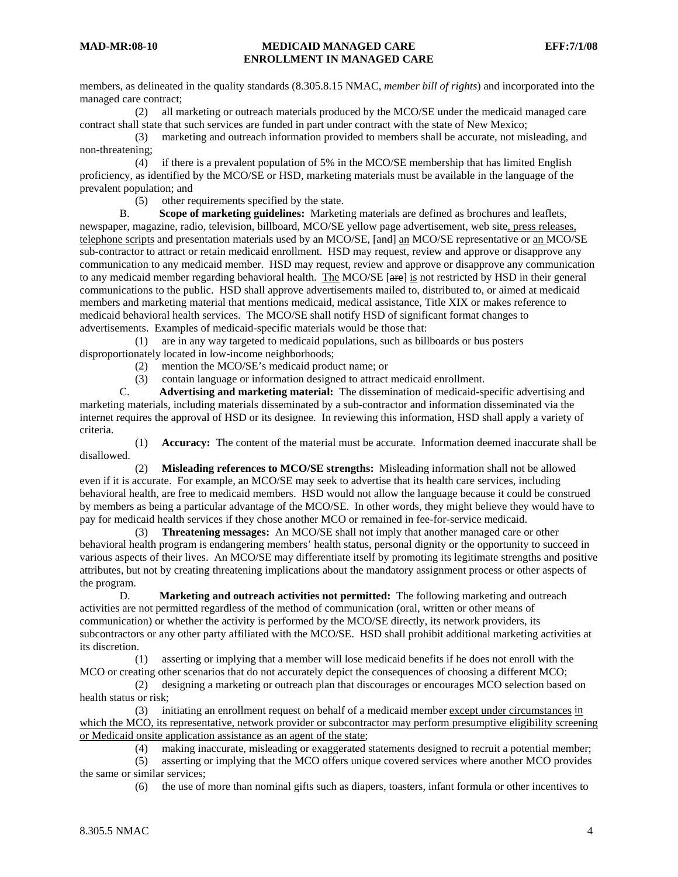members, as delineated in the quality standards (8.305.8.15 NMAC, *member bill of rights*) and incorporated into the managed care contract;<br>(2) all m

all marketing or outreach materials produced by the MCO/SE under the medicaid managed care contract shall state that such services are funded in part under contract with the state of New Mexico;

 (3) marketing and outreach information provided to members shall be accurate, not misleading, and non-threatening;

 (4) if there is a prevalent population of 5% in the MCO/SE membership that has limited English proficiency, as identified by the MCO/SE or HSD, marketing materials must be available in the language of the prevalent population; and<br>(5) other re

other requirements specified by the state.

 B. **Scope of marketing guidelines:** Marketing materials are defined as brochures and leaflets, newspaper, magazine, radio, television, billboard, MCO/SE yellow page advertisement, web site, press releases, telephone scripts and presentation materials used by an MCO/SE, [and] an MCO/SE representative or an MCO/SE sub-contractor to attract or retain medicaid enrollment. HSD may request, review and approve or disapprove any communication to any medicaid member. HSD may request, review and approve or disapprove any communication to any medicaid member regarding behavioral health. The MCO/SE [are] is not restricted by HSD in their general communications to the public. HSD shall approve advertisements mailed to, distributed to, or aimed at medicaid members and marketing material that mentions medicaid, medical assistance, Title XIX or makes reference to medicaid behavioral health services. The MCO/SE shall notify HSD of significant format changes to advertisements. Examples of medicaid-specific materials would be those that:

 (1) are in any way targeted to medicaid populations, such as billboards or bus posters disproportionately located in low-income neighborhoods;

(2) mention the MCO/SE's medicaid product name; or

(3) contain language or information designed to attract medicaid enrollment.<br>  $\Gamma$  **Advertising and marketing material:** The dissemination of medicaid-sr

 C. **Advertising and marketing material:** The dissemination of medicaid-specific advertising and marketing materials, including materials disseminated by a sub-contractor and information disseminated via the internet requires the approval of HSD or its designee. In reviewing this information, HSD shall apply a variety of criteria.

 (1) **Accuracy:** The content of the material must be accurate. Information deemed inaccurate shall be disallowed.

 (2) **Misleading references to MCO/SE strengths:** Misleading information shall not be allowed even if it is accurate. For example, an MCO/SE may seek to advertise that its health care services, including behavioral health, are free to medicaid members. HSD would not allow the language because it could be construed by members as being a particular advantage of the MCO/SE. In other words, they might believe they would have to pay for medicaid health services if they chose another MCO or remained in fee-for-service medicaid.

 (3) **Threatening messages:** An MCO/SE shall not imply that another managed care or other behavioral health program is endangering members' health status, personal dignity or the opportunity to succeed in various aspects of their lives. An MCO/SE may differentiate itself by promoting its legitimate strengths and positive attributes, but not by creating threatening implications about the mandatory assignment process or other aspects of the program.

 D. **Marketing and outreach activities not permitted:** The following marketing and outreach activities are not permitted regardless of the method of communication (oral, written or other means of communication) or whether the activity is performed by the MCO/SE directly, its network providers, its subcontractors or any other party affiliated with the MCO/SE. HSD shall prohibit additional marketing activities at its discretion.

 (1) asserting or implying that a member will lose medicaid benefits if he does not enroll with the MCO or creating other scenarios that do not accurately depict the consequences of choosing a different MCO;

 (2) designing a marketing or outreach plan that discourages or encourages MCO selection based on health status or risk;

 (3) initiating an enrollment request on behalf of a medicaid member except under circumstances in which the MCO, its representative, network provider or subcontractor may perform presumptive eligibility screening or Medicaid onsite application assistance as an agent of the state;

(4) making inaccurate, misleading or exaggerated statements designed to recruit a potential member;

 (5) asserting or implying that the MCO offers unique covered services where another MCO provides the same or similar services;

(6) the use of more than nominal gifts such as diapers, toasters, infant formula or other incentives to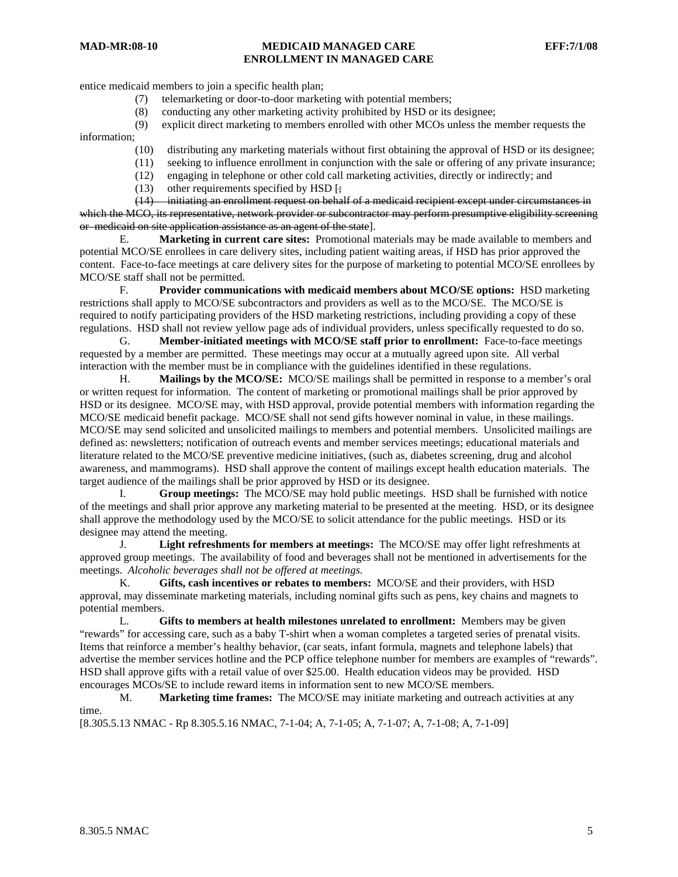## **MAD-MR:08-10 MEDICAID MANAGED CARE EFF:7/1/08 ENROLLMENT IN MANAGED CARE**

entice medicaid members to join a specific health plan;

- (7) telemarketing or door-to-door marketing with potential members;
- (8) conducting any other marketing activity prohibited by HSD or its designee;
- (9) explicit direct marketing to members enrolled with other MCOs unless the member requests the

information;

- (10) distributing any marketing materials without first obtaining the approval of HSD or its designee;
- (11) seeking to influence enrollment in conjunction with the sale or offering of any private insurance;
- (12) engaging in telephone or other cold call marketing activities, directly or indirectly; and
- (13) other requirements specified by HSD  $\left[\frac{1}{2}\right]$

 (14) initiating an enrollment request on behalf of a medicaid recipient except under circumstances in which the MCO, its representative, network provider or subcontractor may perform presumptive eligibility screening or medicaid on site application assistance as an agent of the state].

 E. **Marketing in current care sites:** Promotional materials may be made available to members and potential MCO/SE enrollees in care delivery sites, including patient waiting areas, if HSD has prior approved the content. Face-to-face meetings at care delivery sites for the purpose of marketing to potential MCO/SE enrollees by MCO/SE staff shall not be permitted.

 F. **Provider communications with medicaid members about MCO/SE options:** HSD marketing restrictions shall apply to MCO/SE subcontractors and providers as well as to the MCO/SE. The MCO/SE is required to notify participating providers of the HSD marketing restrictions, including providing a copy of these regulations. HSD shall not review yellow page ads of individual providers, unless specifically requested to do so.

 G. **Member-initiated meetings with MCO/SE staff prior to enrollment:** Face-to-face meetings requested by a member are permitted. These meetings may occur at a mutually agreed upon site. All verbal interaction with the member must be in compliance with the guidelines identified in these regulations.

 H. **Mailings by the MCO/SE:** MCO/SE mailings shall be permitted in response to a member's oral or written request for information. The content of marketing or promotional mailings shall be prior approved by HSD or its designee. MCO/SE may, with HSD approval, provide potential members with information regarding the MCO/SE medicaid benefit package. MCO/SE shall not send gifts however nominal in value, in these mailings. MCO/SE may send solicited and unsolicited mailings to members and potential members. Unsolicited mailings are defined as: newsletters; notification of outreach events and member services meetings; educational materials and literature related to the MCO/SE preventive medicine initiatives, (such as, diabetes screening, drug and alcohol awareness, and mammograms). HSD shall approve the content of mailings except health education materials. The target audience of the mailings shall be prior approved by HSD or its designee.

 I. **Group meetings:** The MCO/SE may hold public meetings. HSD shall be furnished with notice of the meetings and shall prior approve any marketing material to be presented at the meeting. HSD, or its designee shall approve the methodology used by the MCO/SE to solicit attendance for the public meetings. HSD or its designee may attend the meeting.

 J. **Light refreshments for members at meetings:** The MCO/SE may offer light refreshments at approved group meetings. The availability of food and beverages shall not be mentioned in advertisements for the meetings. *Alcoholic beverages shall not be offered at meetings.*

 K. **Gifts, cash incentives or rebates to members:** MCO/SE and their providers, with HSD approval, may disseminate marketing materials, including nominal gifts such as pens, key chains and magnets to potential members.

 L. **Gifts to members at health milestones unrelated to enrollment:** Members may be given "rewards" for accessing care, such as a baby T-shirt when a woman completes a targeted series of prenatal visits. Items that reinforce a member's healthy behavior, (car seats, infant formula, magnets and telephone labels) that advertise the member services hotline and the PCP office telephone number for members are examples of "rewards". HSD shall approve gifts with a retail value of over \$25.00. Health education videos may be provided. HSD encourages MCOs/SE to include reward items in information sent to new MCO/SE members.

 M. **Marketing time frames:** The MCO/SE may initiate marketing and outreach activities at any time.

[8.305.5.13 NMAC - Rp 8.305.5.16 NMAC, 7-1-04; A, 7-1-05; A, 7-1-07; A, 7-1-08; A, 7-1-09]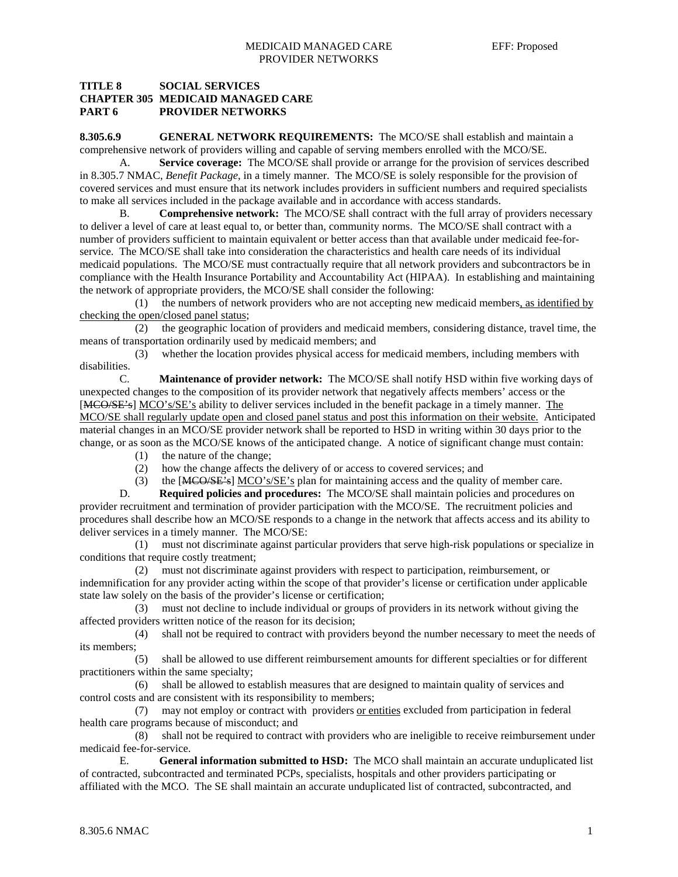## **TITLE 8 SOCIAL SERVICES CHAPTER 305 MEDICAID MANAGED CARE PART 6 PROVIDER NETWORKS**

**8.305.6.9 GENERAL NETWORK REQUIREMENTS:** The MCO/SE shall establish and maintain a comprehensive network of providers willing and capable of serving members enrolled with the MCO/SE.

 A. **Service coverage:** The MCO/SE shall provide or arrange for the provision of services described in 8.305.7 NMAC, *Benefit Package*, in a timely manner. The MCO/SE is solely responsible for the provision of covered services and must ensure that its network includes providers in sufficient numbers and required specialists to make all services included in the package available and in accordance with access standards.

 B. **Comprehensive network:** The MCO/SE shall contract with the full array of providers necessary to deliver a level of care at least equal to, or better than, community norms. The MCO/SE shall contract with a number of providers sufficient to maintain equivalent or better access than that available under medicaid fee-forservice. The MCO/SE shall take into consideration the characteristics and health care needs of its individual medicaid populations. The MCO/SE must contractually require that all network providers and subcontractors be in compliance with the Health Insurance Portability and Accountability Act (HIPAA). In establishing and maintaining the network of appropriate providers, the MCO/SE shall consider the following:

 (1) the numbers of network providers who are not accepting new medicaid members, as identified by checking the open/closed panel status;

 (2) the geographic location of providers and medicaid members, considering distance, travel time, the means of transportation ordinarily used by medicaid members; and

 (3) whether the location provides physical access for medicaid members, including members with disabilities.

 C. **Maintenance of provider network:** The MCO/SE shall notify HSD within five working days of unexpected changes to the composition of its provider network that negatively affects members' access or the [MCO/SE's] MCO's/SE's ability to deliver services included in the benefit package in a timely manner. The MCO/SE shall regularly update open and closed panel status and post this information on their website. Anticipated material changes in an MCO/SE provider network shall be reported to HSD in writing within 30 days prior to the change, or as soon as the MCO/SE knows of the anticipated change. A notice of significant change must contain:

- (1) the nature of the change;
- (2) how the change affects the delivery of or access to covered services; and
- (3) the [MCO/SE's] MCO's/SE's plan for maintaining access and the quality of member care.

D. **Required policies and procedures:** The MCO/SE shall maintain policies and procedures on provider recruitment and termination of provider participation with the MCO/SE. The recruitment policies and procedures shall describe how an MCO/SE responds to a change in the network that affects access and its ability to deliver services in a timely manner. The MCO/SE:

 (1) must not discriminate against particular providers that serve high-risk populations or specialize in conditions that require costly treatment;

 (2) must not discriminate against providers with respect to participation, reimbursement, or indemnification for any provider acting within the scope of that provider's license or certification under applicable state law solely on the basis of the provider's license or certification;

 (3) must not decline to include individual or groups of providers in its network without giving the affected providers written notice of the reason for its decision;

 (4) shall not be required to contract with providers beyond the number necessary to meet the needs of its members;

 (5) shall be allowed to use different reimbursement amounts for different specialties or for different practitioners within the same specialty;

 (6) shall be allowed to establish measures that are designed to maintain quality of services and control costs and are consistent with its responsibility to members;

 (7) may not employ or contract with providers or entities excluded from participation in federal health care programs because of misconduct; and

 (8) shall not be required to contract with providers who are ineligible to receive reimbursement under medicaid fee-for-service.

 E. **General information submitted to HSD:** The MCO shall maintain an accurate unduplicated list of contracted, subcontracted and terminated PCPs, specialists, hospitals and other providers participating or affiliated with the MCO. The SE shall maintain an accurate unduplicated list of contracted, subcontracted, and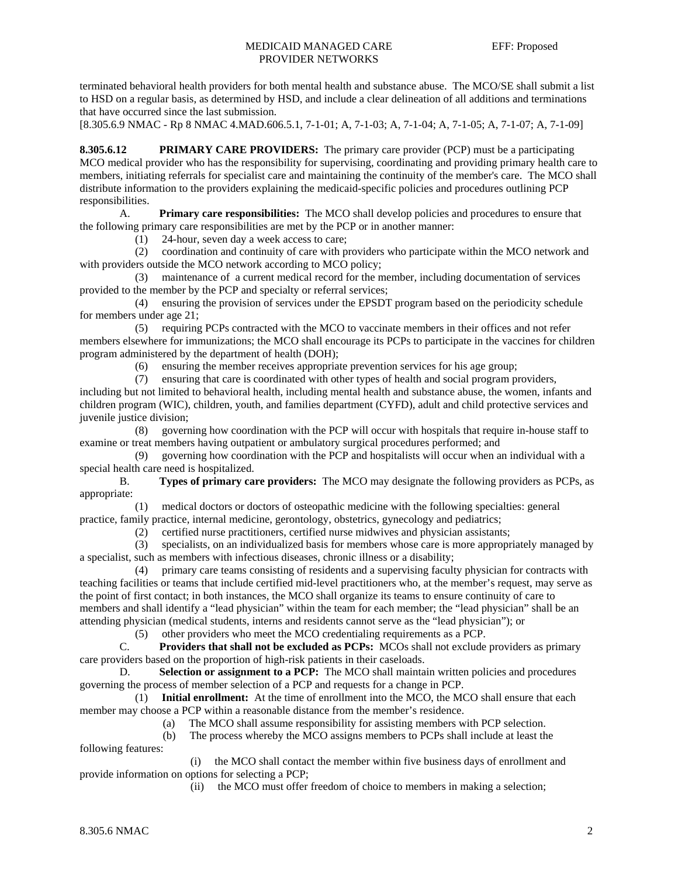terminated behavioral health providers for both mental health and substance abuse. The MCO/SE shall submit a list to HSD on a regular basis, as determined by HSD, and include a clear delineation of all additions and terminations that have occurred since the last submission.

[8.305.6.9 NMAC - Rp 8 NMAC 4.MAD.606.5.1, 7-1-01; A, 7-1-03; A, 7-1-04; A, 7-1-05; A, 7-1-07; A, 7-1-09]

**8.305.6.12 PRIMARY CARE PROVIDERS:** The primary care provider (PCP) must be a participating MCO medical provider who has the responsibility for supervising, coordinating and providing primary health care to members, initiating referrals for specialist care and maintaining the continuity of the member's care. The MCO shall distribute information to the providers explaining the medicaid-specific policies and procedures outlining PCP responsibilities.

 A. **Primary care responsibilities:** The MCO shall develop policies and procedures to ensure that the following primary care responsibilities are met by the PCP or in another manner:

(1) 24-hour, seven day a week access to care;

 (2) coordination and continuity of care with providers who participate within the MCO network and with providers outside the MCO network according to MCO policy;

 (3) maintenance of a current medical record for the member, including documentation of services provided to the member by the PCP and specialty or referral services;

 (4) ensuring the provision of services under the EPSDT program based on the periodicity schedule for members under age 21;

 (5) requiring PCPs contracted with the MCO to vaccinate members in their offices and not refer members elsewhere for immunizations; the MCO shall encourage its PCPs to participate in the vaccines for children program administered by the department of health (DOH);

(6) ensuring the member receives appropriate prevention services for his age group;

 (7) ensuring that care is coordinated with other types of health and social program providers, including but not limited to behavioral health, including mental health and substance abuse, the women, infants and children program (WIC), children, youth, and families department (CYFD), adult and child protective services and juvenile justice division;

 (8) governing how coordination with the PCP will occur with hospitals that require in-house staff to examine or treat members having outpatient or ambulatory surgical procedures performed; and

 (9) governing how coordination with the PCP and hospitalists will occur when an individual with a special health care need is hospitalized.

 B. **Types of primary care providers:** The MCO may designate the following providers as PCPs, as appropriate:

 (1) medical doctors or doctors of osteopathic medicine with the following specialties: general practice, family practice, internal medicine, gerontology, obstetrics, gynecology and pediatrics;

(2) certified nurse practitioners, certified nurse midwives and physician assistants;

 (3) specialists, on an individualized basis for members whose care is more appropriately managed by a specialist, such as members with infectious diseases, chronic illness or a disability;

 (4) primary care teams consisting of residents and a supervising faculty physician for contracts with teaching facilities or teams that include certified mid-level practitioners who, at the member's request, may serve as the point of first contact; in both instances, the MCO shall organize its teams to ensure continuity of care to members and shall identify a "lead physician" within the team for each member; the "lead physician" shall be an attending physician (medical students, interns and residents cannot serve as the "lead physician"); or

(5) other providers who meet the MCO credentialing requirements as a PCP.

 C. **Providers that shall not be excluded as PCPs:** MCOs shall not exclude providers as primary care providers based on the proportion of high-risk patients in their caseloads.

**Selection or assignment to a PCP:** The MCO shall maintain written policies and procedures governing the process of member selection of a PCP and requests for a change in PCP.

 (1) **Initial enrollment:** At the time of enrollment into the MCO, the MCO shall ensure that each member may choose a PCP within a reasonable distance from the member's residence.

(a) The MCO shall assume responsibility for assisting members with PCP selection.

(b) The process whereby the MCO assigns members to PCPs shall include at least the

following features:

 (i) the MCO shall contact the member within five business days of enrollment and provide information on options for selecting a PCP;

(ii) the MCO must offer freedom of choice to members in making a selection;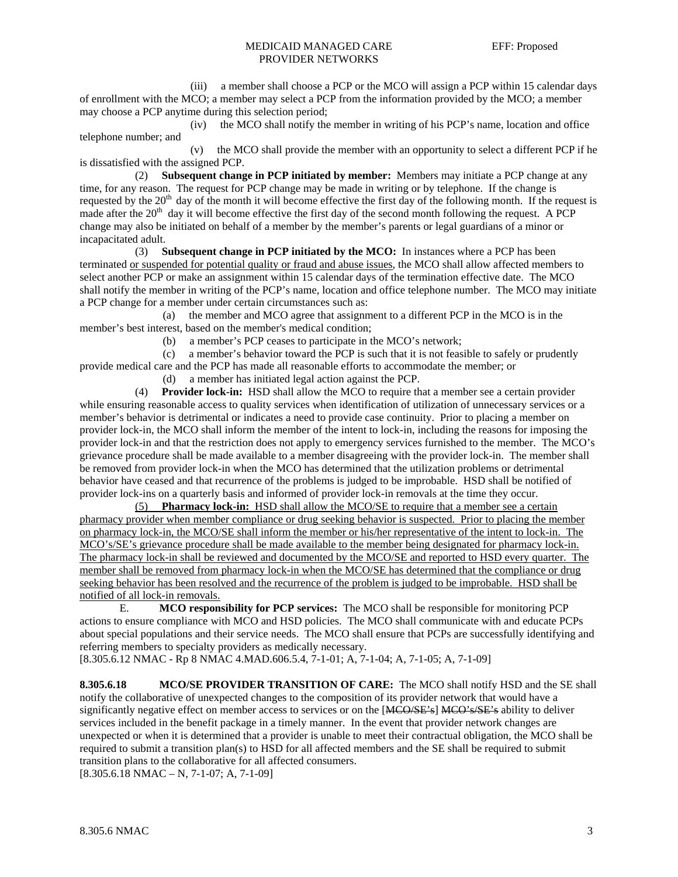#### MEDICAID MANAGED CARE EFF: Proposed PROVIDER NETWORKS

 (iii) a member shall choose a PCP or the MCO will assign a PCP within 15 calendar days of enrollment with the MCO; a member may select a PCP from the information provided by the MCO; a member may choose a PCP anytime during this selection period;

 (iv) the MCO shall notify the member in writing of his PCP's name, location and office telephone number; and

 (v) the MCO shall provide the member with an opportunity to select a different PCP if he is dissatisfied with the assigned PCP.

 (2) **Subsequent change in PCP initiated by member:** Members may initiate a PCP change at any time, for any reason. The request for PCP change may be made in writing or by telephone. If the change is requested by the 20<sup>th</sup> day of the month it will become effective the first day of the following month. If the request is made after the  $20<sup>th</sup>$  day it will become effective the first day of the second month following the request. A PCP change may also be initiated on behalf of a member by the member's parents or legal guardians of a minor or incapacitated adult.

 (3) **Subsequent change in PCP initiated by the MCO:** In instances where a PCP has been terminated or suspended for potential quality or fraud and abuse issues, the MCO shall allow affected members to select another PCP or make an assignment within 15 calendar days of the termination effective date. The MCO shall notify the member in writing of the PCP's name, location and office telephone number. The MCO may initiate a PCP change for a member under certain circumstances such as:

 (a) the member and MCO agree that assignment to a different PCP in the MCO is in the member's best interest, based on the member's medical condition;

(b) a member's PCP ceases to participate in the MCO's network;

(c) a member's behavior toward the PCP is such that it is not feasible to safely or prudently

provide medical care and the PCP has made all reasonable efforts to accommodate the member; or

(d) a member has initiated legal action against the PCP.

 (4) **Provider lock-in:** HSD shall allow the MCO to require that a member see a certain provider while ensuring reasonable access to quality services when identification of utilization of unnecessary services or a member's behavior is detrimental or indicates a need to provide case continuity. Prior to placing a member on provider lock-in, the MCO shall inform the member of the intent to lock-in, including the reasons for imposing the provider lock-in and that the restriction does not apply to emergency services furnished to the member. The MCO's grievance procedure shall be made available to a member disagreeing with the provider lock-in. The member shall be removed from provider lock-in when the MCO has determined that the utilization problems or detrimental behavior have ceased and that recurrence of the problems is judged to be improbable. HSD shall be notified of provider lock-ins on a quarterly basis and informed of provider lock-in removals at the time they occur.

 (5) **Pharmacy lock-in:** HSD shall allow the MCO/SE to require that a member see a certain pharmacy provider when member compliance or drug seeking behavior is suspected. Prior to placing the member on pharmacy lock-in, the MCO/SE shall inform the member or his/her representative of the intent to lock-in. The MCO's/SE's grievance procedure shall be made available to the member being designated for pharmacy lock-in. The pharmacy lock-in shall be reviewed and documented by the MCO/SE and reported to HSD every quarter. The member shall be removed from pharmacy lock-in when the MCO/SE has determined that the compliance or drug seeking behavior has been resolved and the recurrence of the problem is judged to be improbable. HSD shall be notified of all lock-in removals.

 E. **MCO responsibility for PCP services:** The MCO shall be responsible for monitoring PCP actions to ensure compliance with MCO and HSD policies. The MCO shall communicate with and educate PCPs about special populations and their service needs. The MCO shall ensure that PCPs are successfully identifying and referring members to specialty providers as medically necessary.

[8.305.6.12 NMAC - Rp 8 NMAC 4.MAD.606.5.4, 7-1-01; A, 7-1-04; A, 7-1-05; A, 7-1-09]

**8.305.6.18 MCO/SE PROVIDER TRANSITION OF CARE:** The MCO shall notify HSD and the SE shall notify the collaborative of unexpected changes to the composition of its provider network that would have a significantly negative effect on member access to services or on the [MCO/SE's] MCO's/SE's ability to deliver services included in the benefit package in a timely manner. In the event that provider network changes are unexpected or when it is determined that a provider is unable to meet their contractual obligation, the MCO shall be required to submit a transition plan(s) to HSD for all affected members and the SE shall be required to submit transition plans to the collaborative for all affected consumers.

 $[8.305.6.18 \text{ NMAC} - \text{N}, 7-1-07; \text{A}, 7-1-09]$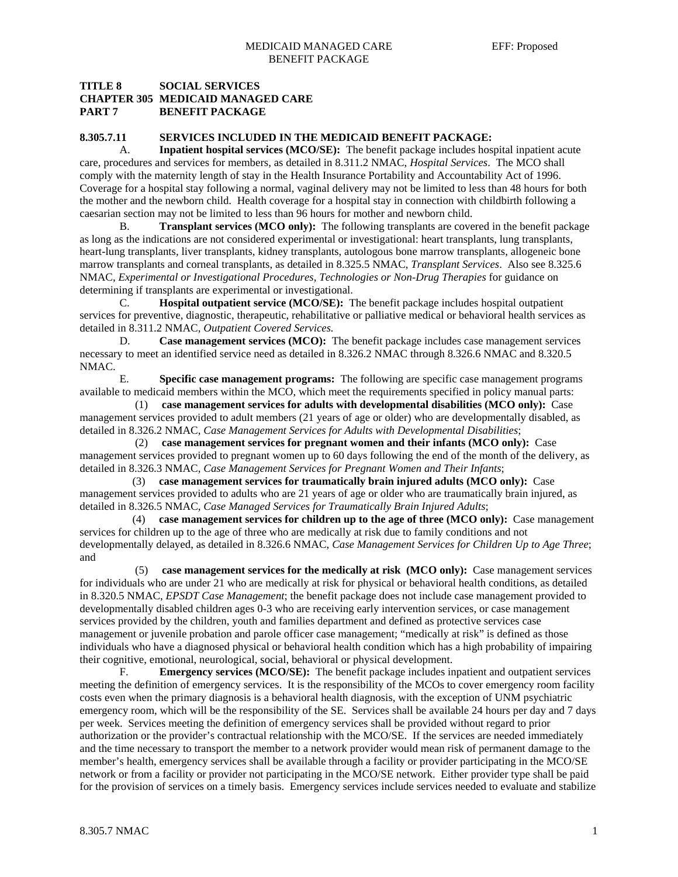## **TITLE 8 SOCIAL SERVICES CHAPTER 305 MEDICAID MANAGED CARE PART 7 BENEFIT PACKAGE**

#### **8.305.7.11 SERVICES INCLUDED IN THE MEDICAID BENEFIT PACKAGE:**

 A. **Inpatient hospital services (MCO/SE):** The benefit package includes hospital inpatient acute care, procedures and services for members, as detailed in 8.311.2 NMAC, *Hospital Services*. The MCO shall comply with the maternity length of stay in the Health Insurance Portability and Accountability Act of 1996. Coverage for a hospital stay following a normal, vaginal delivery may not be limited to less than 48 hours for both the mother and the newborn child. Health coverage for a hospital stay in connection with childbirth following a caesarian section may not be limited to less than 96 hours for mother and newborn child.

 B. **Transplant services (MCO only):** The following transplants are covered in the benefit package as long as the indications are not considered experimental or investigational: heart transplants, lung transplants, heart-lung transplants, liver transplants, kidney transplants, autologous bone marrow transplants, allogeneic bone marrow transplants and corneal transplants, as detailed in 8.325.5 NMAC, *Transplant Services*. Also see 8.325.6 NMAC, *Experimental or Investigational Procedures, Technologies or Non-Drug Therapies* for guidance on determining if transplants are experimental or investigational.

 C. **Hospital outpatient service (MCO/SE):** The benefit package includes hospital outpatient services for preventive, diagnostic, therapeutic, rehabilitative or palliative medical or behavioral health services as detailed in 8.311.2 NMAC, *Outpatient Covered Services.*

 D. **Case management services (MCO):** The benefit package includes case management services necessary to meet an identified service need as detailed in 8.326.2 NMAC through 8.326.6 NMAC and 8.320.5 NMAC.

 E. **Specific case management programs:** The following are specific case management programs available to medicaid members within the MCO, which meet the requirements specified in policy manual parts:

 (1) **case management services for adults with developmental disabilities (MCO only):** Case management services provided to adult members (21 years of age or older) who are developmentally disabled, as detailed in 8.326.2 NMAC, *Case Management Services for Adults with Developmental Disabilities*;

 (2) **case management services for pregnant women and their infants (MCO only):** Case management services provided to pregnant women up to 60 days following the end of the month of the delivery, as detailed in 8.326.3 NMAC, *Case Management Services for Pregnant Women and Their Infants*;

 (3) **case management services for traumatically brain injured adults (MCO only):** Case management services provided to adults who are 21 years of age or older who are traumatically brain injured, as detailed in 8.326.5 NMAC, *Case Managed Services for Traumatically Brain Injured Adults*;

 (4) **case management services for children up to the age of three (MCO only):** Case management services for children up to the age of three who are medically at risk due to family conditions and not developmentally delayed, as detailed in 8.326.6 NMAC, *Case Management Services for Children Up to Age Three*; and

 (5) **case management services for the medically at risk (MCO only):** Case management services for individuals who are under 21 who are medically at risk for physical or behavioral health conditions, as detailed in 8.320.5 NMAC, *EPSDT Case Management*; the benefit package does not include case management provided to developmentally disabled children ages 0-3 who are receiving early intervention services, or case management services provided by the children, youth and families department and defined as protective services case management or juvenile probation and parole officer case management; "medically at risk" is defined as those individuals who have a diagnosed physical or behavioral health condition which has a high probability of impairing their cognitive, emotional, neurological, social, behavioral or physical development.

 F. **Emergency services (MCO/SE):** The benefit package includes inpatient and outpatient services meeting the definition of emergency services. It is the responsibility of the MCOs to cover emergency room facility costs even when the primary diagnosis is a behavioral health diagnosis, with the exception of UNM psychiatric emergency room, which will be the responsibility of the SE. Services shall be available 24 hours per day and 7 days per week. Services meeting the definition of emergency services shall be provided without regard to prior authorization or the provider's contractual relationship with the MCO/SE. If the services are needed immediately and the time necessary to transport the member to a network provider would mean risk of permanent damage to the member's health, emergency services shall be available through a facility or provider participating in the MCO/SE network or from a facility or provider not participating in the MCO/SE network. Either provider type shall be paid for the provision of services on a timely basis. Emergency services include services needed to evaluate and stabilize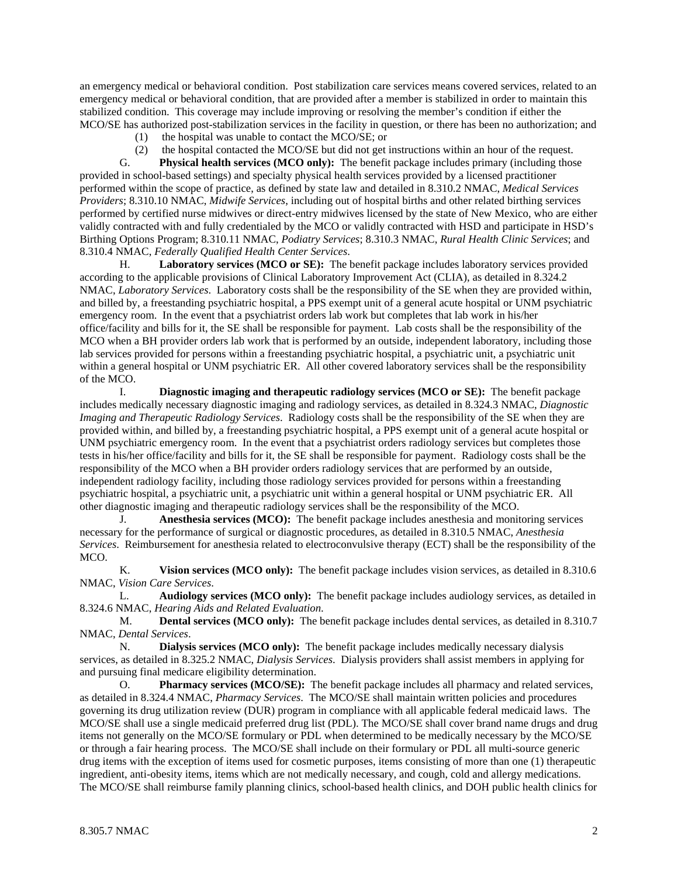an emergency medical or behavioral condition. Post stabilization care services means covered services, related to an emergency medical or behavioral condition, that are provided after a member is stabilized in order to maintain this stabilized condition. This coverage may include improving or resolving the member's condition if either the MCO/SE has authorized post-stabilization services in the facility in question, or there has been no authorization; and

- (1) the hospital was unable to contact the MCO/SE; or
- (2) the hospital contacted the MCO/SE but did not get instructions within an hour of the request.

 G. **Physical health services (MCO only):** The benefit package includes primary (including those provided in school-based settings) and specialty physical health services provided by a licensed practitioner performed within the scope of practice, as defined by state law and detailed in 8.310.2 NMAC, *Medical Services Providers*; 8.310.10 NMAC, *Midwife Services*, including out of hospital births and other related birthing services performed by certified nurse midwives or direct-entry midwives licensed by the state of New Mexico, who are either validly contracted with and fully credentialed by the MCO or validly contracted with HSD and participate in HSD's Birthing Options Program; 8.310.11 NMAC, *Podiatry Services*; 8.310.3 NMAC, *Rural Health Clinic Services*; and 8.310.4 NMAC, *Federally Qualified Health Center Services*.

 H. **Laboratory services (MCO or SE):** The benefit package includes laboratory services provided according to the applicable provisions of Clinical Laboratory Improvement Act (CLIA), as detailed in 8.324.2 NMAC, *Laboratory Services*. Laboratory costs shall be the responsibility of the SE when they are provided within, and billed by, a freestanding psychiatric hospital, a PPS exempt unit of a general acute hospital or UNM psychiatric emergency room. In the event that a psychiatrist orders lab work but completes that lab work in his/her office/facility and bills for it, the SE shall be responsible for payment. Lab costs shall be the responsibility of the MCO when a BH provider orders lab work that is performed by an outside, independent laboratory, including those lab services provided for persons within a freestanding psychiatric hospital, a psychiatric unit, a psychiatric unit within a general hospital or UNM psychiatric ER. All other covered laboratory services shall be the responsibility of the MCO.

 I. **Diagnostic imaging and therapeutic radiology services (MCO or SE):** The benefit package includes medically necessary diagnostic imaging and radiology services, as detailed in 8.324.3 NMAC, *Diagnostic Imaging and Therapeutic Radiology Services*. Radiology costs shall be the responsibility of the SE when they are provided within, and billed by, a freestanding psychiatric hospital, a PPS exempt unit of a general acute hospital or UNM psychiatric emergency room. In the event that a psychiatrist orders radiology services but completes those tests in his/her office/facility and bills for it, the SE shall be responsible for payment. Radiology costs shall be the responsibility of the MCO when a BH provider orders radiology services that are performed by an outside, independent radiology facility, including those radiology services provided for persons within a freestanding psychiatric hospital, a psychiatric unit, a psychiatric unit within a general hospital or UNM psychiatric ER. All other diagnostic imaging and therapeutic radiology services shall be the responsibility of the MCO.

 J. **Anesthesia services (MCO):** The benefit package includes anesthesia and monitoring services necessary for the performance of surgical or diagnostic procedures, as detailed in 8.310.5 NMAC, *Anesthesia Services*. Reimbursement for anesthesia related to electroconvulsive therapy (ECT) shall be the responsibility of the MCO.

 K. **Vision services (MCO only):** The benefit package includes vision services, as detailed in 8.310.6 NMAC, *Vision Care Services*.

 L. **Audiology services (MCO only):** The benefit package includes audiology services, as detailed in 8.324.6 NMAC, *Hearing Aids and Related Evaluation*.

 M. **Dental services (MCO only):** The benefit package includes dental services, as detailed in 8.310.7 NMAC, *Dental Services*.

 N. **Dialysis services (MCO only):** The benefit package includes medically necessary dialysis services, as detailed in 8.325.2 NMAC, *Dialysis Services*. Dialysis providers shall assist members in applying for and pursuing final medicare eligibility determination.

 O. **Pharmacy services (MCO/SE):** The benefit package includes all pharmacy and related services, as detailed in 8.324.4 NMAC, *Pharmacy Services*. The MCO/SE shall maintain written policies and procedures governing its drug utilization review (DUR) program in compliance with all applicable federal medicaid laws. The MCO/SE shall use a single medicaid preferred drug list (PDL). The MCO/SE shall cover brand name drugs and drug items not generally on the MCO/SE formulary or PDL when determined to be medically necessary by the MCO/SE or through a fair hearing process. The MCO/SE shall include on their formulary or PDL all multi-source generic drug items with the exception of items used for cosmetic purposes, items consisting of more than one (1) therapeutic ingredient, anti-obesity items, items which are not medically necessary, and cough, cold and allergy medications. The MCO/SE shall reimburse family planning clinics, school-based health clinics, and DOH public health clinics for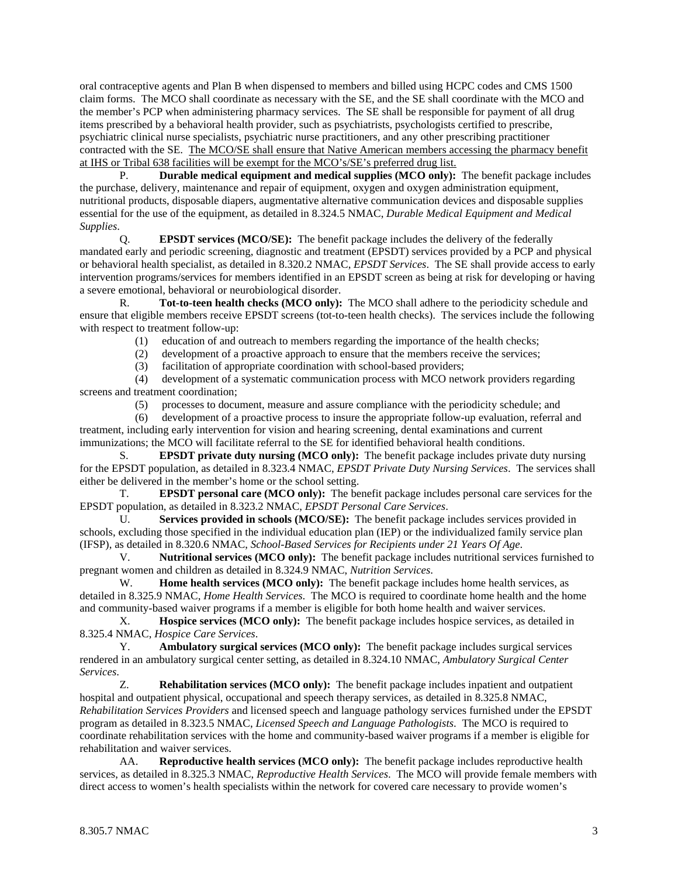oral contraceptive agents and Plan B when dispensed to members and billed using HCPC codes and CMS 1500 claim forms. The MCO shall coordinate as necessary with the SE, and the SE shall coordinate with the MCO and the member's PCP when administering pharmacy services. The SE shall be responsible for payment of all drug items prescribed by a behavioral health provider, such as psychiatrists, psychologists certified to prescribe, psychiatric clinical nurse specialists, psychiatric nurse practitioners, and any other prescribing practitioner contracted with the SE. The MCO/SE shall ensure that Native American members accessing the pharmacy benefit at IHS or Tribal 638 facilities will be exempt for the MCO's/SE's preferred drug list.

 P. **Durable medical equipment and medical supplies (MCO only):** The benefit package includes the purchase, delivery, maintenance and repair of equipment, oxygen and oxygen administration equipment, nutritional products, disposable diapers, augmentative alternative communication devices and disposable supplies essential for the use of the equipment, as detailed in 8.324.5 NMAC, *Durable Medical Equipment and Medical Supplies*.

 Q. **EPSDT services (MCO/SE):** The benefit package includes the delivery of the federally mandated early and periodic screening, diagnostic and treatment (EPSDT) services provided by a PCP and physical or behavioral health specialist, as detailed in 8.320.2 NMAC, *EPSDT Services*. The SE shall provide access to early intervention programs/services for members identified in an EPSDT screen as being at risk for developing or having a severe emotional, behavioral or neurobiological disorder.

 R. **Tot-to-teen health checks (MCO only):** The MCO shall adhere to the periodicity schedule and ensure that eligible members receive EPSDT screens (tot-to-teen health checks). The services include the following with respect to treatment follow-up:

(1) education of and outreach to members regarding the importance of the health checks;

(2) development of a proactive approach to ensure that the members receive the services;

(3) facilitation of appropriate coordination with school-based providers;

 (4) development of a systematic communication process with MCO network providers regarding screens and treatment coordination;

(5) processes to document, measure and assure compliance with the periodicity schedule; and

 (6) development of a proactive process to insure the appropriate follow-up evaluation, referral and treatment, including early intervention for vision and hearing screening, dental examinations and current immunizations; the MCO will facilitate referral to the SE for identified behavioral health conditions.

 S. **EPSDT private duty nursing (MCO only):** The benefit package includes private duty nursing for the EPSDT population, as detailed in 8.323.4 NMAC, *EPSDT Private Duty Nursing Services*. The services shall either be delivered in the member's home or the school setting.

 T. **EPSDT personal care (MCO only):** The benefit package includes personal care services for the EPSDT population, as detailed in 8.323.2 NMAC, *EPSDT Personal Care Services*.

 U. **Services provided in schools (MCO/SE):** The benefit package includes services provided in schools, excluding those specified in the individual education plan (IEP) or the individualized family service plan (IFSP), as detailed in 8.320.6 NMAC, *School-Based Services for Recipients under 21 Years Of Age*.

 V. **Nutritional services (MCO only):** The benefit package includes nutritional services furnished to pregnant women and children as detailed in 8.324.9 NMAC, *Nutrition Services*.

W. **Home health services (MCO only):** The benefit package includes home health services, as detailed in 8.325.9 NMAC, *Home Health Services*. The MCO is required to coordinate home health and the home and community-based waiver programs if a member is eligible for both home health and waiver services.

 X. **Hospice services (MCO only):** The benefit package includes hospice services, as detailed in 8.325.4 NMAC, *Hospice Care Services*.

 Y. **Ambulatory surgical services (MCO only):** The benefit package includes surgical services rendered in an ambulatory surgical center setting, as detailed in 8.324.10 NMAC, *Ambulatory Surgical Center Services*.

 Z. **Rehabilitation services (MCO only):** The benefit package includes inpatient and outpatient hospital and outpatient physical, occupational and speech therapy services, as detailed in 8.325.8 NMAC, *Rehabilitation Services Providers* and licensed speech and language pathology services furnished under the EPSDT program as detailed in 8.323.5 NMAC, *Licensed Speech and Language Pathologists*. The MCO is required to coordinate rehabilitation services with the home and community-based waiver programs if a member is eligible for rehabilitation and waiver services.

 AA. **Reproductive health services (MCO only):** The benefit package includes reproductive health services, as detailed in 8.325.3 NMAC, *Reproductive Health Services*. The MCO will provide female members with direct access to women's health specialists within the network for covered care necessary to provide women's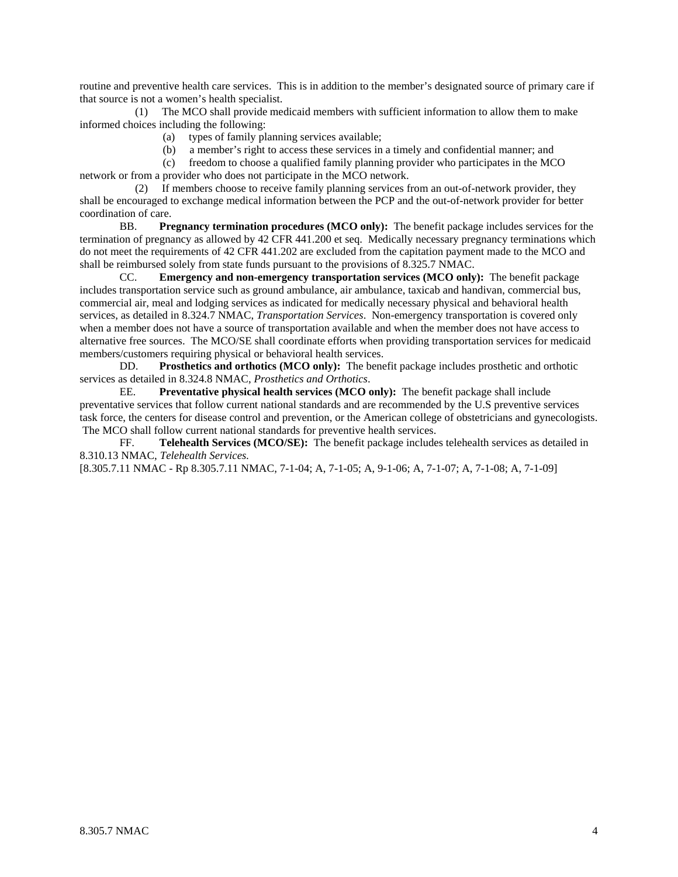routine and preventive health care services. This is in addition to the member's designated source of primary care if that source is not a women's health specialist.<br>(1) The MCO shall provide means

The MCO shall provide medicaid members with sufficient information to allow them to make informed choices including the following:

- (a) types of family planning services available;
- (b) a member's right to access these services in a timely and confidential manner; and

 (c) freedom to choose a qualified family planning provider who participates in the MCO network or from a provider who does not participate in the MCO network.

 (2) If members choose to receive family planning services from an out-of-network provider, they shall be encouraged to exchange medical information between the PCP and the out-of-network provider for better coordination of care.

 BB. **Pregnancy termination procedures (MCO only):** The benefit package includes services for the termination of pregnancy as allowed by 42 CFR 441.200 et seq. Medically necessary pregnancy terminations which do not meet the requirements of 42 CFR 441.202 are excluded from the capitation payment made to the MCO and shall be reimbursed solely from state funds pursuant to the provisions of 8.325.7 NMAC.

 CC. **Emergency and non-emergency transportation services (MCO only):** The benefit package includes transportation service such as ground ambulance, air ambulance, taxicab and handivan, commercial bus, commercial air, meal and lodging services as indicated for medically necessary physical and behavioral health services, as detailed in 8.324.7 NMAC, *Transportation Services*. Non-emergency transportation is covered only when a member does not have a source of transportation available and when the member does not have access to alternative free sources. The MCO/SE shall coordinate efforts when providing transportation services for medicaid members/customers requiring physical or behavioral health services.

 DD. **Prosthetics and orthotics (MCO only):** The benefit package includes prosthetic and orthotic services as detailed in 8.324.8 NMAC, *Prosthetics and Orthotics*.

 EE. **Preventative physical health services (MCO only):** The benefit package shall include preventative services that follow current national standards and are recommended by the U.S preventive services task force, the centers for disease control and prevention, or the American college of obstetricians and gynecologists. The MCO shall follow current national standards for preventive health services.

 FF. **Telehealth Services (MCO/SE):** The benefit package includes telehealth services as detailed in 8.310.13 NMAC, *Telehealth Services.* 

[8.305.7.11 NMAC - Rp 8.305.7.11 NMAC, 7-1-04; A, 7-1-05; A, 9-1-06; A, 7-1-07; A, 7-1-08; A, 7-1-09]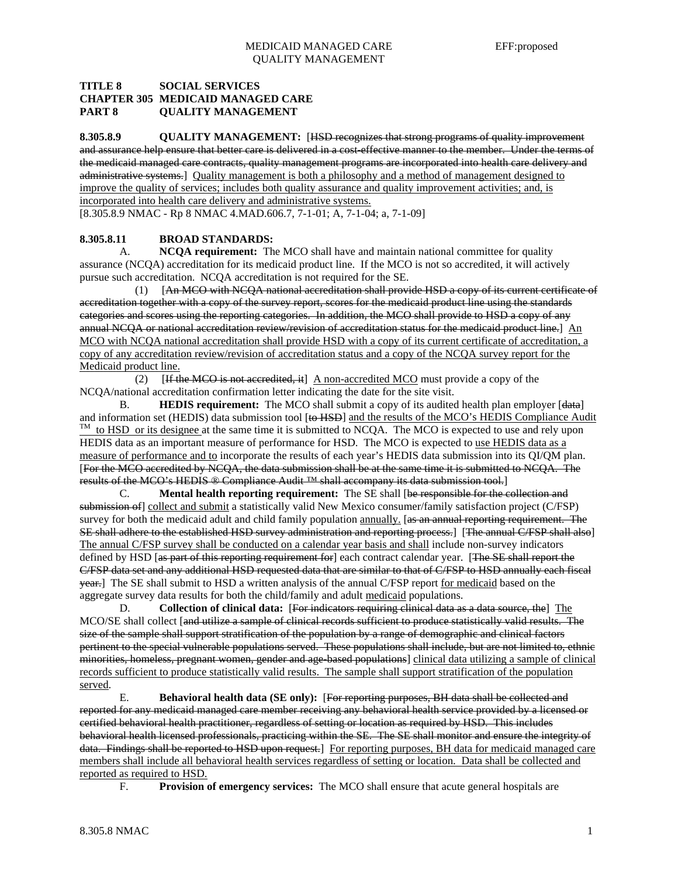## **TITLE 8 SOCIAL SERVICES CHAPTER 305 MEDICAID MANAGED CARE PART 8 QUALITY MANAGEMENT**

**8.305.8.9 QUALITY MANAGEMENT:** [HSD recognizes that strong programs of quality improvement and assurance help ensure that better care is delivered in a cost-effective manner to the member. Under the terms of the medicaid managed care contracts, quality management programs are incorporated into health care delivery and administrative systems.] Quality management is both a philosophy and a method of management designed to improve the quality of services; includes both quality assurance and quality improvement activities; and, is incorporated into health care delivery and administrative systems.

[8.305.8.9 NMAC - Rp 8 NMAC 4.MAD.606.7, 7-1-01; A, 7-1-04; a, 7-1-09]

## **8.305.8.11 BROAD STANDARDS:**

 A. **NCQA requirement:** The MCO shall have and maintain national committee for quality assurance (NCQA) accreditation for its medicaid product line. If the MCO is not so accredited, it will actively pursue such accreditation. NCQA accreditation is not required for the SE.

 (1) [An MCO with NCQA national accreditation shall provide HSD a copy of its current certificate of accreditation together with a copy of the survey report, scores for the medicaid product line using the standards categories and scores using the reporting categories. In addition, the MCO shall provide to HSD a copy of any annual NCQA or national accreditation review/revision of accreditation status for the medicaid product line.] An MCO with NCQA national accreditation shall provide HSD with a copy of its current certificate of accreditation, a copy of any accreditation review/revision of accreditation status and a copy of the NCQA survey report for the Medicaid product line.

(2)  $[If the MCO is not accrelated, it] A non-accredicted MCO must provide a copy of the$ NCQA/national accreditation confirmation letter indicating the date for the site visit.

B. **HEDIS requirement:** The MCO shall submit a copy of its audited health plan employer [data] and information set (HEDIS) data submission tool [to HSD] and the results of the MCO's HEDIS Compliance Audit  $\frac{TM}{}$  to HSD or its designee at the same time it is submitted to NCQA. The MCO is expected to use and rely u HEDIS data as an important measure of performance for HSD. The MCO is expected to use HEDIS data as a measure of performance and to incorporate the results of each year's HEDIS data submission into its QI/QM plan. [For the MCO accredited by NCQA, the data submission shall be at the same time it is submitted to NCQA. The results of the MCO's HEDIS ® Compliance Audit <sup>™</sup> shall accompany its data submission tool.]

 C. **Mental health reporting requirement:** The SE shall [be responsible for the collection and submission of] collect and submit a statistically valid New Mexico consumer/family satisfaction project (C/FSP) survey for both the medicaid adult and child family population annually. [as an annual reporting requirement. The SE shall adhere to the established HSD survey administration and reporting process.] [The annual C/FSP shall also] The annual C/FSP survey shall be conducted on a calendar year basis and shall include non-survey indicators defined by HSD [as part of this reporting requirement for] each contract calendar year. [The SE shall report the C/FSP data set and any additional HSD requested data that are similar to that of C/FSP to HSD annually each fiscal year.] The SE shall submit to HSD a written analysis of the annual C/FSP report for medicaid based on the aggregate survey data results for both the child/family and adult medicaid populations.

 D. **Collection of clinical data:** [For indicators requiring clinical data as a data source, the] The MCO/SE shall collect [and utilize a sample of clinical records sufficient to produce statistically valid results. The size of the sample shall support stratification of the population by a range of demographic and clinical factors pertinent to the special vulnerable populations served. These populations shall include, but are not limited to, ethnic minorities, homeless, pregnant women, gender and age-based populations] clinical data utilizing a sample of clinical records sufficient to produce statistically valid results. The sample shall support stratification of the population served.

 E. **Behavioral health data (SE only):** [For reporting purposes, BH data shall be collected and reported for any medicaid managed care member receiving any behavioral health service provided by a licensed or certified behavioral health practitioner, regardless of setting or location as required by HSD. This includes behavioral health licensed professionals, practicing within the SE. The SE shall monitor and ensure the integrity of data. Findings shall be reported to HSD upon request. For reporting purposes, BH data for medicaid managed care members shall include all behavioral health services regardless of setting or location. Data shall be collected and reported as required to HSD.

F. **Provision of emergency services:** The MCO shall ensure that acute general hospitals are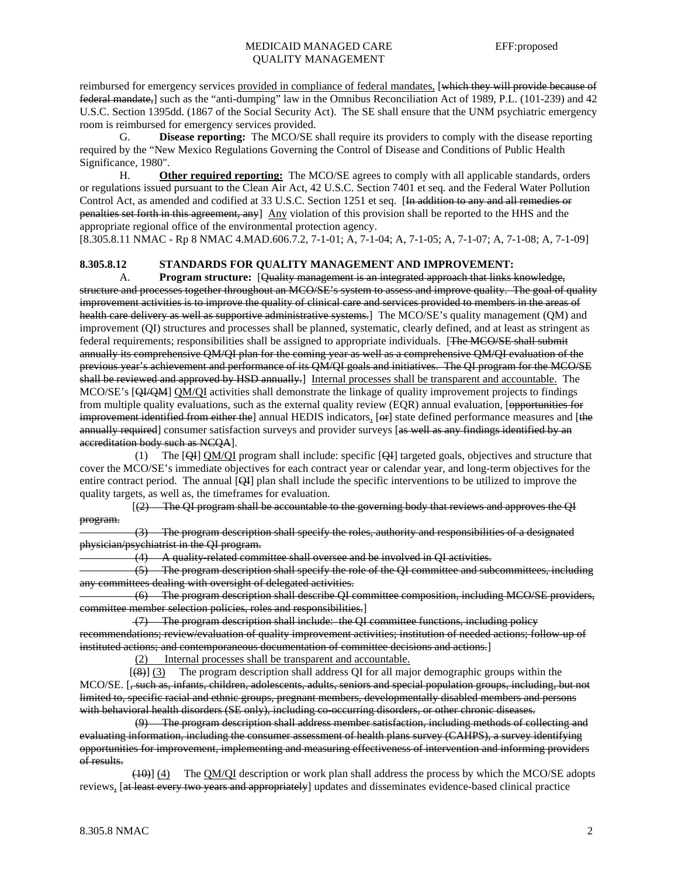reimbursed for emergency services provided in compliance of federal mandates, [which they will provide because of federal mandate,] such as the "anti-dumping" law in the Omnibus Reconciliation Act of 1989, P.L. (101-239) and 42 U.S.C. Section 1395dd. (1867 of the Social Security Act). The SE shall ensure that the UNM psychiatric emergency room is reimbursed for emergency services provided.

 G. **Disease reporting:** The MCO/SE shall require its providers to comply with the disease reporting required by the "New Mexico Regulations Governing the Control of Disease and Conditions of Public Health Significance, 1980".

 H. **Other required reporting:** The MCO/SE agrees to comply with all applicable standards, orders or regulations issued pursuant to the Clean Air Act, 42 U.S.C. Section 7401 et seq. and the Federal Water Pollution Control Act, as amended and codified at 33 U.S.C. Section 1251 et seq. [In addition to any and all remedies or penalties set forth in this agreement, any] Any violation of this provision shall be reported to the HHS and the appropriate regional office of the environmental protection agency.

[8.305.8.11 NMAC - Rp 8 NMAC 4.MAD.606.7.2, 7-1-01; A, 7-1-04; A, 7-1-05; A, 7-1-07; A, 7-1-08; A, 7-1-09]

## **8.305.8.12 STANDARDS FOR QUALITY MANAGEMENT AND IMPROVEMENT:**

 A. **Program structure:** [Quality management is an integrated approach that links knowledge, structure and processes together throughout an MCO/SE's system to assess and improve quality. The goal of quality improvement activities is to improve the quality of clinical care and services provided to members in the areas of health care delivery as well as supportive administrative systems.] The MCO/SE's quality management (QM) and improvement (QI) structures and processes shall be planned, systematic, clearly defined, and at least as stringent as federal requirements; responsibilities shall be assigned to appropriate individuals. [The MCO/SE shall submit annually its comprehensive QM/QI plan for the coming year as well as a comprehensive QM/QI evaluation of the previous year's achievement and performance of its QM/QI goals and initiatives. The QI program for the MCO/SE shall be reviewed and approved by HSD annually.] Internal processes shall be transparent and accountable. The MCO/SE's [QI/QM] QM/QI activities shall demonstrate the linkage of quality improvement projects to findings from multiple quality evaluations, such as the external quality review (EQR) annual evaluation, [opportunities for improvement identified from either the] annual HEDIS indicators,  $[\Theta_F]$  state defined performance measures and [the annually required] consumer satisfaction surveys and provider surveys [as well as any findings identified by an accreditation body such as NCQA].

 (1) The [QI] QM/QI program shall include: specific [QI] targeted goals, objectives and structure that cover the MCO/SE's immediate objectives for each contract year or calendar year, and long-term objectives for the entire contract period. The annual [QI] plan shall include the specific interventions to be utilized to improve the quality targets, as well as, the timeframes for evaluation.

 [(2) The QI program shall be accountable to the governing body that reviews and approves the QI program.

 (3) The program description shall specify the roles, authority and responsibilities of a designated physician/psychiatrist in the QI program.

 $(4)$  A quality-related committee shall oversee and be involved in QI activities.

 (5) The program description shall specify the role of the QI committee and subcommittees, including any committees dealing with oversight of delegated activities.

 (6) The program description shall describe QI committee composition, including MCO/SE providers, committee member selection policies, roles and responsibilities.]

 (7) The program description shall include: the QI committee functions, including policy recommendations; review/evaluation of quality improvement activities; institution of needed actions; follow-up of instituted actions; and contemporaneous documentation of committee decisions and actions.]

(2) Internal processes shall be transparent and accountable.

 [(8)] (3) The program description shall address QI for all major demographic groups within the MCO/SE. [, such as, infants, children, adolescents, adults, seniors and special population groups, including, but not limited to, specific racial and ethnic groups, pregnant members, developmentally disabled members and persons with behavioral health disorders (SE only), including co-occurring disorders, or other chronic diseases.

 (9) The program description shall address member satisfaction, including methods of collecting and evaluating information, including the consumer assessment of health plans survey (CAHPS), a survey identifying opportunities for improvement, implementing and measuring effectiveness of intervention and informing providers of results.

 (10)] (4) The QM/QI description or work plan shall address the process by which the MCO/SE adopts reviews, [at least every two years and appropriately] updates and disseminates evidence-based clinical practice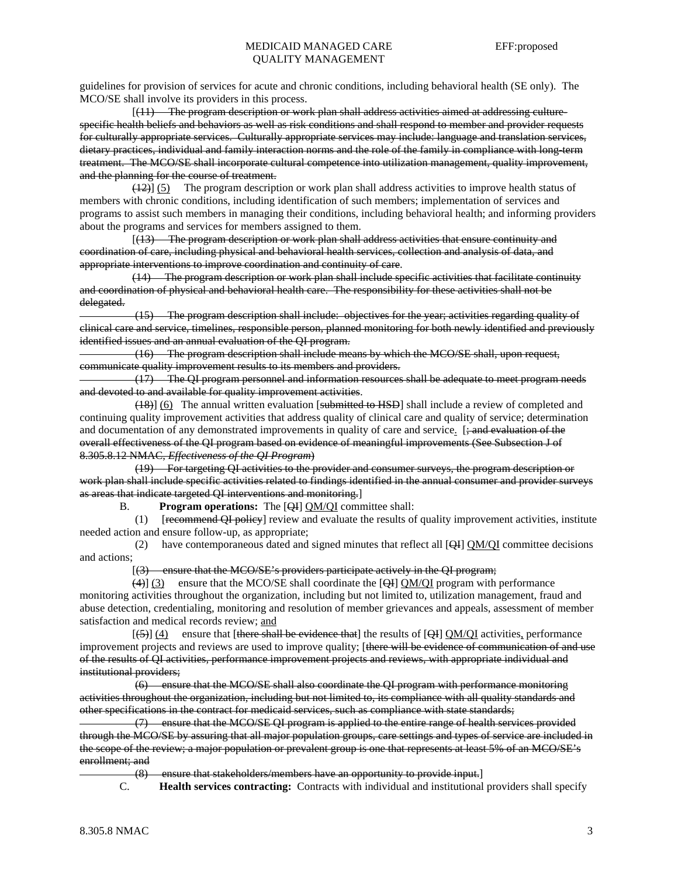guidelines for provision of services for acute and chronic conditions, including behavioral health (SE only). The MCO/SE shall involve its providers in this process.

 [(11) The program description or work plan shall address activities aimed at addressing culturespecific health beliefs and behaviors as well as risk conditions and shall respond to member and provider requests for culturally appropriate services. Culturally appropriate services may include: language and translation services, dietary practices, individual and family interaction norms and the role of the family in compliance with long-term treatment. The MCO/SE shall incorporate cultural competence into utilization management, quality improvement, and the planning for the course of treatment.

 $(12)$ ] (5) The program description or work plan shall address activities to improve health status of members with chronic conditions, including identification of such members; implementation of services and programs to assist such members in managing their conditions, including behavioral health; and informing providers about the programs and services for members assigned to them.

 [(13) The program description or work plan shall address activities that ensure continuity and coordination of care, including physical and behavioral health services, collection and analysis of data, and appropriate interventions to improve coordination and continuity of care.

 (14) The program description or work plan shall include specific activities that facilitate continuity and coordination of physical and behavioral health care. The responsibility for these activities shall not be delegated.

 (15) The program description shall include: objectives for the year; activities regarding quality of clinical care and service, timelines, responsible person, planned monitoring for both newly identified and previously identified issues and an annual evaluation of the QI program.

 (16) The program description shall include means by which the MCO/SE shall, upon request, communicate quality improvement results to its members and providers.

 (17) The QI program personnel and information resources shall be adequate to meet program needs and devoted to and available for quality improvement activities.

 (18)] (6) The annual written evaluation [submitted to HSD] shall include a review of completed and continuing quality improvement activities that address quality of clinical care and quality of service; determination and documentation of any demonstrated improvements in quality of care and service. [; and evaluation of the overall effectiveness of the QI program based on evidence of meaningful improvements (See Subsection J of 8.305.8.12 NMAC, *Effectiveness of the QI Program*)

 (19) For targeting QI activities to the provider and consumer surveys, the program description or work plan shall include specific activities related to findings identified in the annual consumer and provider surveys as areas that indicate targeted QI interventions and monitoring.]

B. **Program operations:** The [QI] QM/QI committee shall:

 (1) [recommend QI policy] review and evaluate the results of quality improvement activities, institute needed action and ensure follow-up, as appropriate;

 (2) have contemporaneous dated and signed minutes that reflect all [QI] QM/QI committee decisions and actions;

[(3) ensure that the MCO/SE's providers participate actively in the QI program;

 $(4)$ ] (3) ensure that the MCO/SE shall coordinate the [QI] QM/QI program with performance monitoring activities throughout the organization, including but not limited to, utilization management, fraud and abuse detection, credentialing, monitoring and resolution of member grievances and appeals, assessment of member satisfaction and medical records review; and

 $[(-5)]$  (4) ensure that [there shall be evidence that] the results of [QI] QM/QI activities, performance improvement projects and reviews are used to improve quality; [there will be evidence of communication of and use of the results of QI activities, performance improvement projects and reviews, with appropriate individual and institutional providers;

 (6) ensure that the MCO/SE shall also coordinate the QI program with performance monitoring activities throughout the organization, including but not limited to, its compliance with all quality standards and other specifications in the contract for medicaid services, such as compliance with state standards;

 (7) ensure that the MCO/SE QI program is applied to the entire range of health services provided through the MCO/SE by assuring that all major population groups, care settings and types of service are included in the scope of the review; a major population or prevalent group is one that represents at least 5% of an MCO/SE's enrollment; and

(8) ensure that stakeholders/members have an opportunity to provide input.]

C. **Health services contracting:** Contracts with individual and institutional providers shall specify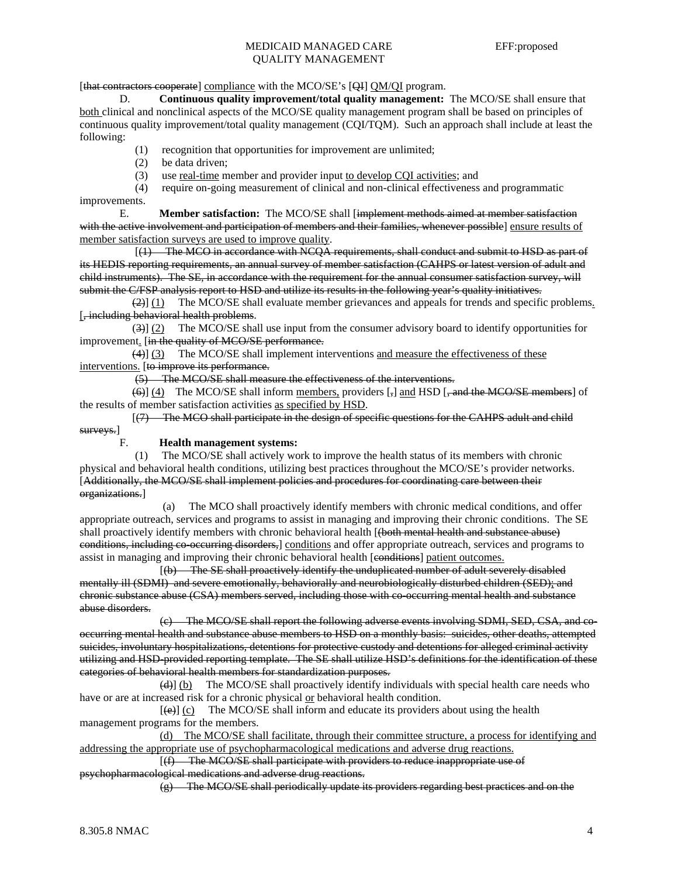[that contractors cooperate] compliance with the MCO/SE's [QI] QM/QI program.

 D. **Continuous quality improvement/total quality management:** The MCO/SE shall ensure that both clinical and nonclinical aspects of the MCO/SE quality management program shall be based on principles of continuous quality improvement/total quality management (CQI/TQM). Such an approach shall include at least the following:

- (1) recognition that opportunities for improvement are unlimited;
- (2) be data driven;
- (3) use real-time member and provider input to develop CQI activities; and

 (4) require on-going measurement of clinical and non-clinical effectiveness and programmatic improvements.

 E. **Member satisfaction:** The MCO/SE shall [implement methods aimed at member satisfaction with the active involvement and participation of members and their families, whenever possible] ensure results of member satisfaction surveys are used to improve quality.

 [(1) The MCO in accordance with NCQA requirements, shall conduct and submit to HSD as part of its HEDIS reporting requirements, an annual survey of member satisfaction (CAHPS or latest version of adult and child instruments). The SE, in accordance with the requirement for the annual consumer satisfaction survey, will submit the C/FSP analysis report to HSD and utilize its results in the following year's quality initiatives.

 (2)] (1) The MCO/SE shall evaluate member grievances and appeals for trends and specific problems. [, including behavioral health problems.

 (3)] (2) The MCO/SE shall use input from the consumer advisory board to identify opportunities for improvement. [in the quality of MCO/SE performance.

 (4)] (3) The MCO/SE shall implement interventions and measure the effectiveness of these interventions. [to improve its performance.

(5) The MCO/SE shall measure the effectiveness of the interventions.

(6) (4) The MCO/SE shall inform members, providers [,] and HSD [, and the MCO/SE members] of the results of member satisfaction activities as specified by HSD.

 [(7) The MCO shall participate in the design of specific questions for the CAHPS adult and child surveys.]

### F. **Health management systems:**

 (1) The MCO/SE shall actively work to improve the health status of its members with chronic physical and behavioral health conditions, utilizing best practices throughout the MCO/SE's provider networks. [Additionally, the MCO/SE shall implement policies and procedures for coordinating care between their organizations.]

 (a) The MCO shall proactively identify members with chronic medical conditions, and offer appropriate outreach, services and programs to assist in managing and improving their chronic conditions. The SE shall proactively identify members with chronic behavioral health [(both mental health and substance abuse) conditions, including co-occurring disorders,] conditions and offer appropriate outreach, services and programs to assist in managing and improving their chronic behavioral health [conditions] patient outcomes.

 [(b) The SE shall proactively identify the unduplicated number of adult severely disabled mentally ill (SDMI) and severe emotionally, behaviorally and neurobiologically disturbed children (SED); and chronic substance abuse (CSA) members served, including those with co-occurring mental health and substance abuse disorders.

The MCO/SE shall report the following adverse events involving SDMI, SED, CSA, and cooccurring mental health and substance abuse members to HSD on a monthly basis: suicides, other deaths, attempted suicides, involuntary hospitalizations, detentions for protective custody and detentions for alleged criminal activity utilizing and HSD-provided reporting template. The SE shall utilize HSD's definitions for the identification of these categories of behavioral health members for standardization purposes.

 (d)] (b) The MCO/SE shall proactively identify individuals with special health care needs who have or are at increased risk for a chronic physical or behavioral health condition.

 $[\text{e}]$  (c) The MCO/SE shall inform and educate its providers about using the health management programs for the members.

 (d) The MCO/SE shall facilitate, through their committee structure, a process for identifying and addressing the appropriate use of psychopharmacological medications and adverse drug reactions.

 [(f) The MCO/SE shall participate with providers to reduce inappropriate use of psychopharmacological medications and adverse drug reactions.

(g) The MCO/SE shall periodically update its providers regarding best practices and on the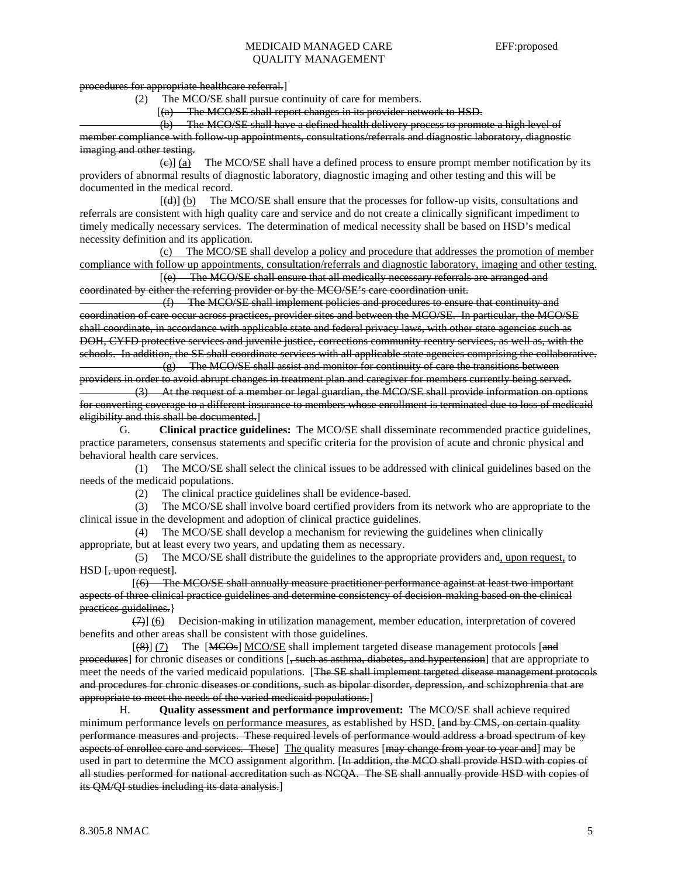procedures for appropriate healthcare referral.]

(2) The MCO/SE shall pursue continuity of care for members.

[(a) The MCO/SE shall report changes in its provider network to HSD.

 (b) The MCO/SE shall have a defined health delivery process to promote a high level of member compliance with follow-up appointments, consultations/referrals and diagnostic laboratory, diagnostic imaging and other testing.

 $\left(\frac{e}{e}\right)$  (a) The MCO/SE shall have a defined process to ensure prompt member notification by its providers of abnormal results of diagnostic laboratory, diagnostic imaging and other testing and this will be documented in the medical record.

[(d)] (b) The MCO/SE shall ensure that the processes for follow-up visits, consultations and referrals are consistent with high quality care and service and do not create a clinically significant impediment to timely medically necessary services. The determination of medical necessity shall be based on HSD's medical necessity definition and its application.

 (c) The MCO/SE shall develop a policy and procedure that addresses the promotion of member compliance with follow up appointments, consultation/referrals and diagnostic laboratory, imaging and other testing.

 [(e) The MCO/SE shall ensure that all medically necessary referrals are arranged and coordinated by either the referring provider or by the MCO/SE's care coordination unit.

 (f) The MCO/SE shall implement policies and procedures to ensure that continuity and coordination of care occur across practices, provider sites and between the MCO/SE. In particular, the MCO/SE shall coordinate, in accordance with applicable state and federal privacy laws, with other state agencies such as DOH, CYFD protective services and juvenile justice, corrections community reentry services, as well as, with the schools. In addition, the SE shall coordinate services with all applicable state agencies comprising the collaborative.

 (g) The MCO/SE shall assist and monitor for continuity of care the transitions between providers in order to avoid abrupt changes in treatment plan and caregiver for members currently being served. (3) At the request of a member or legal guardian, the MCO/SE shall provide information on options

for converting coverage to a different insurance to members whose enrollment is terminated due to loss of medicaid eligibility and this shall be documented.

 G. **Clinical practice guidelines:** The MCO/SE shall disseminate recommended practice guidelines, practice parameters, consensus statements and specific criteria for the provision of acute and chronic physical and behavioral health care services.

 (1) The MCO/SE shall select the clinical issues to be addressed with clinical guidelines based on the needs of the medicaid populations.

(2) The clinical practice guidelines shall be evidence-based.

 (3) The MCO/SE shall involve board certified providers from its network who are appropriate to the clinical issue in the development and adoption of clinical practice guidelines.

 (4) The MCO/SE shall develop a mechanism for reviewing the guidelines when clinically appropriate, but at least every two years, and updating them as necessary.

 (5) The MCO/SE shall distribute the guidelines to the appropriate providers and, upon request, to HSD [, upon request].

 [(6) The MCO/SE shall annually measure practitioner performance against at least two important aspects of three clinical practice guidelines and determine consistency of decision-making based on the clinical practices guidelines.}

 (7)] (6) Decision-making in utilization management, member education, interpretation of covered benefits and other areas shall be consistent with those guidelines.

 $[$ ( $\rightarrow$ )] (7) The  $[$ MCOs MCO/SE shall implement targeted disease management protocols  $[$ and procedures] for chronic diseases or conditions [, such as asthma, diabetes, and hypertension] that are appropriate to meet the needs of the varied medicaid populations. [The SE shall implement targeted disease management protocols and procedures for chronic diseases or conditions, such as bipolar disorder, depression, and schizophrenia that are appropriate to meet the needs of the varied medicaid populations.]

 H. **Quality assessment and performance improvement:** The MCO/SE shall achieve required minimum performance levels on performance measures, as established by HSD. [and by CMS, on certain quality performance measures and projects. These required levels of performance would address a broad spectrum of key aspects of enrollee care and services. These] The quality measures [may change from year to year and] may be used in part to determine the MCO assignment algorithm. [In addition, the MCO shall provide HSD with copies of all studies performed for national accreditation such as NCQA. The SE shall annually provide HSD with copies of its QM/QI studies including its data analysis.]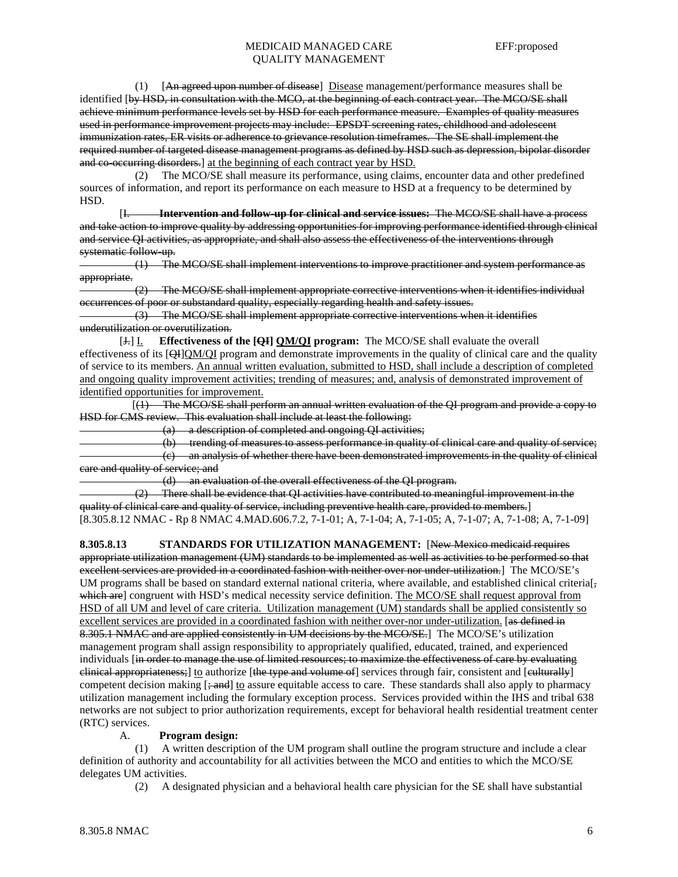(1) [An agreed upon number of disease] Disease management/performance measures shall be identified [by HSD, in consultation with the MCO, at the beginning of each contract year. The MCO/SE shall achieve minimum performance levels set by HSD for each performance measure. Examples of quality measures used in performance improvement projects may include: EPSDT screening rates, childhood and adolescent immunization rates, ER visits or adherence to grievance resolution timeframes. The SE shall implement the required number of targeted disease management programs as defined by HSD such as depression, bipolar disorder and co-occurring disorders.] at the beginning of each contract year by HSD.

 (2) The MCO/SE shall measure its performance, using claims, encounter data and other predefined sources of information, and report its performance on each measure to HSD at a frequency to be determined by HSD.

 [I. **Intervention and follow-up for clinical and service issues:** The MCO/SE shall have a process and take action to improve quality by addressing opportunities for improving performance identified through clinical and service QI activities, as appropriate, and shall also assess the effectiveness of the interventions through systematic follow up.

 (1) The MCO/SE shall implement interventions to improve practitioner and system performance as appropriate.

The MCO/SE shall implement appropriate corrective interventions when it identifies individual occurrences of poor or substandard quality, especially regarding health and safety issues.

 (3) The MCO/SE shall implement appropriate corrective interventions when it identifies underutilization or overutilization.

[J.] I. **Effectiveness of the [QI] QM/QI program:** The MCO/SE shall evaluate the overall effectiveness of its [QH]QM/QI program and demonstrate improvements in the quality of clinical care and the quality of service to its members. An annual written evaluation, submitted to HSD, shall include a description of completed and ongoing quality improvement activities; trending of measures; and, analysis of demonstrated improvement of identified opportunities for improvement.

 [(1) The MCO/SE shall perform an annual written evaluation of the QI program and provide a copy to HSD for CMS review. This evaluation shall include at least the following:

(a) a description of completed and ongoing QI activities;

 (b) trending of measures to assess performance in quality of clinical care and quality of service; (c) an analysis of whether there have been demonstrated improvements in the quality of clinical care and quality of service; and

(d) an evaluation of the overall effectiveness of the QI program.

 (2) There shall be evidence that QI activities have contributed to meaningful improvement in the quality of clinical care and quality of service, including preventive health care, provided to members.] [8.305.8.12 NMAC - Rp 8 NMAC 4.MAD.606.7.2, 7-1-01; A, 7-1-04; A, 7-1-05; A, 7-1-07; A, 7-1-08; A, 7-1-09]

**8.305.8.13 STANDARDS FOR UTILIZATION MANAGEMENT:** [New Mexico medicaid requires appropriate utilization management (UM) standards to be implemented as well as activities to be performed so that excellent services are provided in a coordinated fashion with neither over nor under-utilization. The MCO/SE's UM programs shall be based on standard external national criteria, where available, and established clinical criteria[ $\frac{1}{2}$ ] which are] congruent with HSD's medical necessity service definition. The MCO/SE shall request approval from HSD of all UM and level of care criteria. Utilization management (UM) standards shall be applied consistently so excellent services are provided in a coordinated fashion with neither over-nor under-utilization. [as defined in 8.305.1 NMAC and are applied consistently in UM decisions by the MCO/SE. The MCO/SE's utilization management program shall assign responsibility to appropriately qualified, educated, trained, and experienced individuals [in order to manage the use of limited resources; to maximize the effectiveness of care by evaluating clinical appropriateness;] to authorize [the type and volume of] services through fair, consistent and [eulturally] competent decision making  $[\frac{1}{2}, \frac{1}{2}]$  to assure equitable access to care. These standards shall also apply to pharmacy utilization management including the formulary exception process. Services provided within the IHS and tribal 638 networks are not subject to prior authorization requirements, except for behavioral health residential treatment center (RTC) services.

## A. **Program design:**

A written description of the UM program shall outline the program structure and include a clear definition of authority and accountability for all activities between the MCO and entities to which the MCO/SE delegates UM activities.

(2) A designated physician and a behavioral health care physician for the SE shall have substantial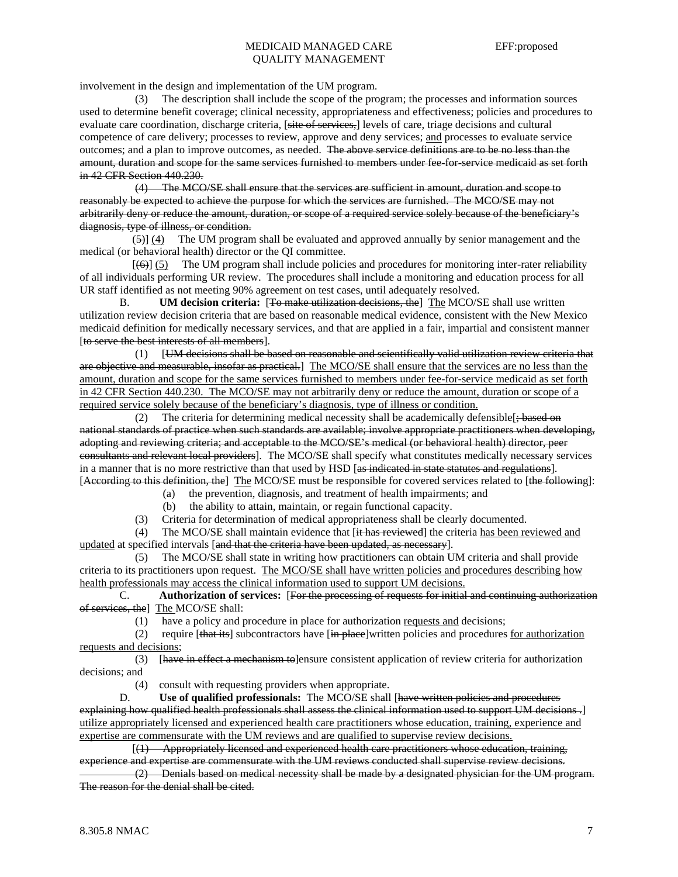involvement in the design and implementation of the UM program.

 (3) The description shall include the scope of the program; the processes and information sources used to determine benefit coverage; clinical necessity, appropriateness and effectiveness; policies and procedures to evaluate care coordination, discharge criteria, [site of services,] levels of care, triage decisions and cultural competence of care delivery; processes to review, approve and deny services; and processes to evaluate service outcomes; and a plan to improve outcomes, as needed. The above service definitions are to be no less than the amount, duration and scope for the same services furnished to members under fee-for-service medicaid as set forth in 42 CFR Section 440.230.

 (4) The MCO/SE shall ensure that the services are sufficient in amount, duration and scope to reasonably be expected to achieve the purpose for which the services are furnished. The MCO/SE may not arbitrarily deny or reduce the amount, duration, or scope of a required service solely because of the beneficiary's diagnosis, type of illness, or condition.

 (5)] (4) The UM program shall be evaluated and approved annually by senior management and the medical (or behavioral health) director or the QI committee.

 $[66]$  (5) The UM program shall include policies and procedures for monitoring inter-rater reliability of all individuals performing UR review. The procedures shall include a monitoring and education process for all UR staff identified as not meeting 90% agreement on test cases, until adequately resolved.

 B. **UM decision criteria:** [To make utilization decisions, the] The MCO/SE shall use written utilization review decision criteria that are based on reasonable medical evidence, consistent with the New Mexico medicaid definition for medically necessary services, and that are applied in a fair, impartial and consistent manner [to serve the best interests of all members].

 (1) [UM decisions shall be based on reasonable and scientifically valid utilization review criteria that are objective and measurable, insofar as practical.] The MCO/SE shall ensure that the services are no less than the amount, duration and scope for the same services furnished to members under fee-for-service medicaid as set forth in 42 CFR Section 440.230. The MCO/SE may not arbitrarily deny or reduce the amount, duration or scope of a required service solely because of the beneficiary's diagnosis, type of illness or condition.

(2) The criteria for determining medical necessity shall be academically defensible  $\frac{1}{2}$  based on national standards of practice when such standards are available; involve appropriate practitioners when developing, adopting and reviewing criteria; and acceptable to the MCO/SE's medical (or behavioral health) director, peer consultants and relevant local providers]. The MCO/SE shall specify what constitutes medically necessary services in a manner that is no more restrictive than that used by HSD [as indicated in state statutes and regulations]. [According to this definition, the] The MCO/SE must be responsible for covered services related to [the following]:

- (a) the prevention, diagnosis, and treatment of health impairments; and
- (b) the ability to attain, maintain, or regain functional capacity.

(3) Criteria for determination of medical appropriateness shall be clearly documented.

(4) The MCO/SE shall maintain evidence that [it has reviewed] the criteria has been reviewed and updated at specified intervals [and that the criteria have been updated, as necessary].

 (5) The MCO/SE shall state in writing how practitioners can obtain UM criteria and shall provide criteria to its practitioners upon request. The MCO/SE shall have written policies and procedures describing how health professionals may access the clinical information used to support UM decisions.

 C. **Authorization of services:** [For the processing of requests for initial and continuing authorization of services, the] The MCO/SE shall:

(1) have a policy and procedure in place for authorization requests and decisions;

(2) require  $[\text{that its}]$  subcontractors have  $[\text{in-place}]$  written policies and procedures for authorization requests and decisions;

(3) [have in effect a mechanism to]ensure consistent application of review criteria for authorization decisions; and

(4) consult with requesting providers when appropriate.

 D. **Use of qualified professionals:** The MCO/SE shall [have written policies and procedures explaining how qualified health professionals shall assess the clinical information used to support UM decisions .] utilize appropriately licensed and experienced health care practitioners whose education, training, experience and expertise are commensurate with the UM reviews and are qualified to supervise review decisions.

 [(1) Appropriately licensed and experienced health care practitioners whose education, training, experience and expertise are commensurate with the UM reviews conducted shall supervise review decisions.

 (2) Denials based on medical necessity shall be made by a designated physician for the UM program. The reason for the denial shall be cited.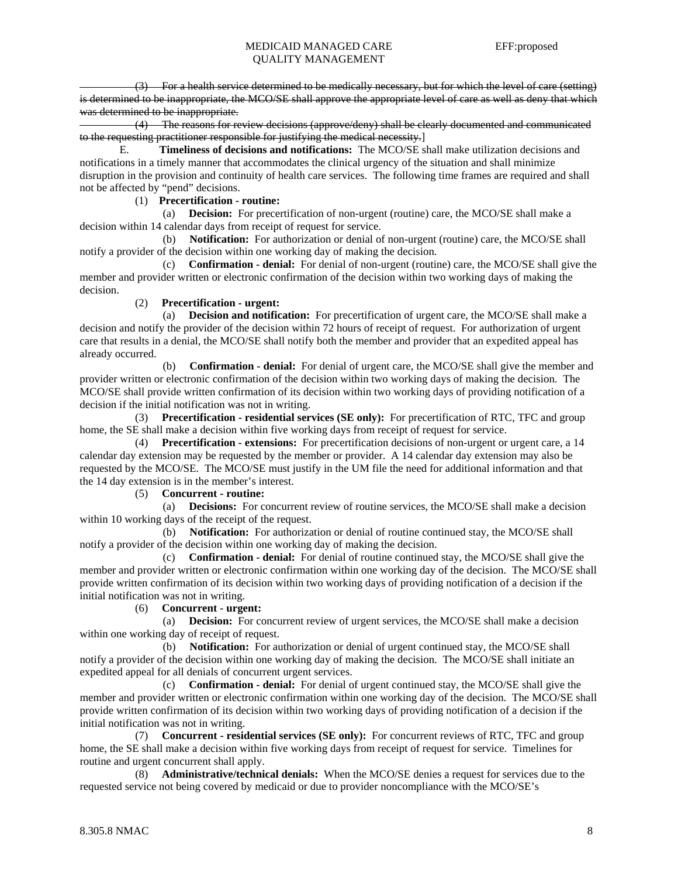(3) For a health service determined to be medically necessary, but for which the level of care (setting) is determined to be inappropriate, the MCO/SE shall approve the appropriate level of care as well as deny that which was determined to be inappropriate.

 (4) The reasons for review decisions (approve/deny) shall be clearly documented and communicated to the requesting practitioner responsible for justifying the medical necessity.]

 E. **Timeliness of decisions and notifications:** The MCO/SE shall make utilization decisions and notifications in a timely manner that accommodates the clinical urgency of the situation and shall minimize disruption in the provision and continuity of health care services. The following time frames are required and shall not be affected by "pend" decisions.

## (1) **Precertification - routine:**

 (a) **Decision:** For precertification of non-urgent (routine) care, the MCO/SE shall make a decision within 14 calendar days from receipt of request for service.

 (b) **Notification:** For authorization or denial of non-urgent (routine) care, the MCO/SE shall notify a provider of the decision within one working day of making the decision.

 (c) **Confirmation - denial:** For denial of non-urgent (routine) care, the MCO/SE shall give the member and provider written or electronic confirmation of the decision within two working days of making the decision.

## (2) **Precertification - urgent:**

 (a) **Decision and notification:** For precertification of urgent care, the MCO/SE shall make a decision and notify the provider of the decision within 72 hours of receipt of request. For authorization of urgent care that results in a denial, the MCO/SE shall notify both the member and provider that an expedited appeal has already occurred.

 (b) **Confirmation - denial:** For denial of urgent care, the MCO/SE shall give the member and provider written or electronic confirmation of the decision within two working days of making the decision. The MCO/SE shall provide written confirmation of its decision within two working days of providing notification of a decision if the initial notification was not in writing.

 (3) **Precertification - residential services (SE only):** For precertification of RTC, TFC and group home, the SE shall make a decision within five working days from receipt of request for service.

 (4) **Precertification - extensions:** For precertification decisions of non-urgent or urgent care, a 14 calendar day extension may be requested by the member or provider. A 14 calendar day extension may also be requested by the MCO/SE. The MCO/SE must justify in the UM file the need for additional information and that the 14 day extension is in the member's interest.

(5) **Concurrent - routine:**

 (a) **Decisions:** For concurrent review of routine services, the MCO/SE shall make a decision within 10 working days of the receipt of the request.

 (b) **Notification:** For authorization or denial of routine continued stay, the MCO/SE shall notify a provider of the decision within one working day of making the decision.

 (c) **Confirmation - denial:** For denial of routine continued stay, the MCO/SE shall give the member and provider written or electronic confirmation within one working day of the decision. The MCO/SE shall provide written confirmation of its decision within two working days of providing notification of a decision if the initial notification was not in writing.

## (6) **Concurrent - urgent:**

 (a) **Decision:** For concurrent review of urgent services, the MCO/SE shall make a decision within one working day of receipt of request.

 (b) **Notification:** For authorization or denial of urgent continued stay, the MCO/SE shall notify a provider of the decision within one working day of making the decision. The MCO/SE shall initiate an expedited appeal for all denials of concurrent urgent services.

 (c) **Confirmation - denial:** For denial of urgent continued stay, the MCO/SE shall give the member and provider written or electronic confirmation within one working day of the decision. The MCO/SE shall provide written confirmation of its decision within two working days of providing notification of a decision if the initial notification was not in writing.

 (7) **Concurrent - residential services (SE only):** For concurrent reviews of RTC, TFC and group home, the SE shall make a decision within five working days from receipt of request for service. Timelines for routine and urgent concurrent shall apply.

 (8) **Administrative/technical denials:** When the MCO/SE denies a request for services due to the requested service not being covered by medicaid or due to provider noncompliance with the MCO/SE's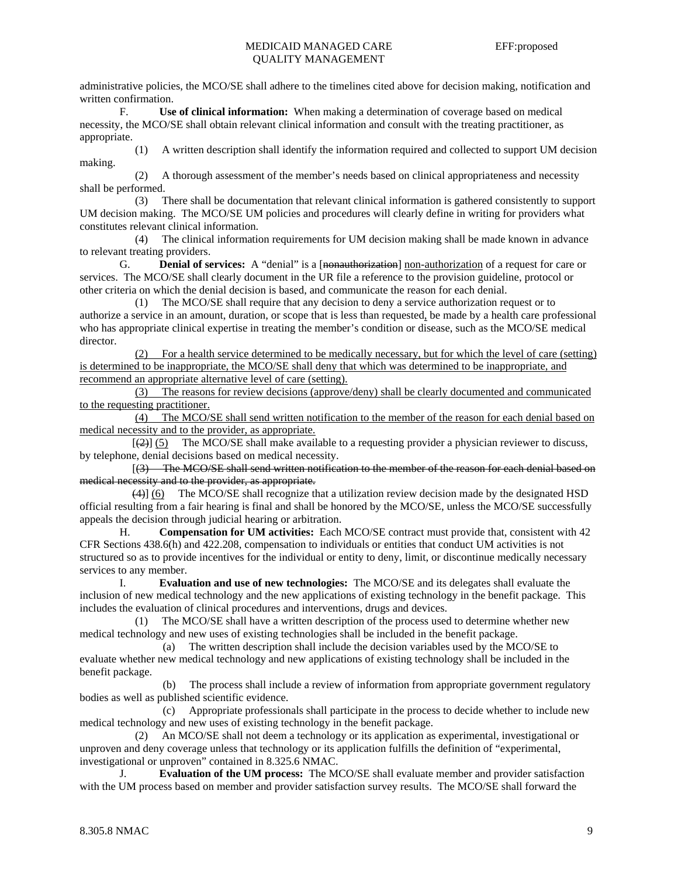administrative policies, the MCO/SE shall adhere to the timelines cited above for decision making, notification and written confirmation.

 F. **Use of clinical information:** When making a determination of coverage based on medical necessity, the MCO/SE shall obtain relevant clinical information and consult with the treating practitioner, as appropriate.

 (1) A written description shall identify the information required and collected to support UM decision making.

 (2) A thorough assessment of the member's needs based on clinical appropriateness and necessity shall be performed.

 (3) There shall be documentation that relevant clinical information is gathered consistently to support UM decision making. The MCO/SE UM policies and procedures will clearly define in writing for providers what constitutes relevant clinical information.

 (4) The clinical information requirements for UM decision making shall be made known in advance to relevant treating providers.

 G. **Denial of services:** A "denial" is a [nonauthorization] non-authorization of a request for care or services. The MCO/SE shall clearly document in the UR file a reference to the provision guideline, protocol or other criteria on which the denial decision is based, and communicate the reason for each denial.

 (1) The MCO/SE shall require that any decision to deny a service authorization request or to authorize a service in an amount, duration, or scope that is less than requested, be made by a health care professional who has appropriate clinical expertise in treating the member's condition or disease, such as the MCO/SE medical director.

 (2) For a health service determined to be medically necessary, but for which the level of care (setting) is determined to be inappropriate, the MCO/SE shall deny that which was determined to be inappropriate, and recommend an appropriate alternative level of care (setting).

 (3) The reasons for review decisions (approve/deny) shall be clearly documented and communicated to the requesting practitioner.

 (4) The MCO/SE shall send written notification to the member of the reason for each denial based on medical necessity and to the provider, as appropriate.

 $[2]$  (5) The MCO/SE shall make available to a requesting provider a physician reviewer to discuss, by telephone, denial decisions based on medical necessity.

 [(3) The MCO/SE shall send written notification to the member of the reason for each denial based on medical necessity and to the provider, as appropriate.

 (4)] (6) The MCO/SE shall recognize that a utilization review decision made by the designated HSD official resulting from a fair hearing is final and shall be honored by the MCO/SE, unless the MCO/SE successfully appeals the decision through judicial hearing or arbitration.

 H. **Compensation for UM activities:** Each MCO/SE contract must provide that, consistent with 42 CFR Sections 438.6(h) and 422.208, compensation to individuals or entities that conduct UM activities is not structured so as to provide incentives for the individual or entity to deny, limit, or discontinue medically necessary services to any member.

 I. **Evaluation and use of new technologies:** The MCO/SE and its delegates shall evaluate the inclusion of new medical technology and the new applications of existing technology in the benefit package. This includes the evaluation of clinical procedures and interventions, drugs and devices.

 (1) The MCO/SE shall have a written description of the process used to determine whether new medical technology and new uses of existing technologies shall be included in the benefit package.

 (a) The written description shall include the decision variables used by the MCO/SE to evaluate whether new medical technology and new applications of existing technology shall be included in the benefit package.

 (b) The process shall include a review of information from appropriate government regulatory bodies as well as published scientific evidence.

 (c) Appropriate professionals shall participate in the process to decide whether to include new medical technology and new uses of existing technology in the benefit package.

 (2) An MCO/SE shall not deem a technology or its application as experimental, investigational or unproven and deny coverage unless that technology or its application fulfills the definition of "experimental, investigational or unproven" contained in 8.325.6 NMAC.

 J. **Evaluation of the UM process:** The MCO/SE shall evaluate member and provider satisfaction with the UM process based on member and provider satisfaction survey results. The MCO/SE shall forward the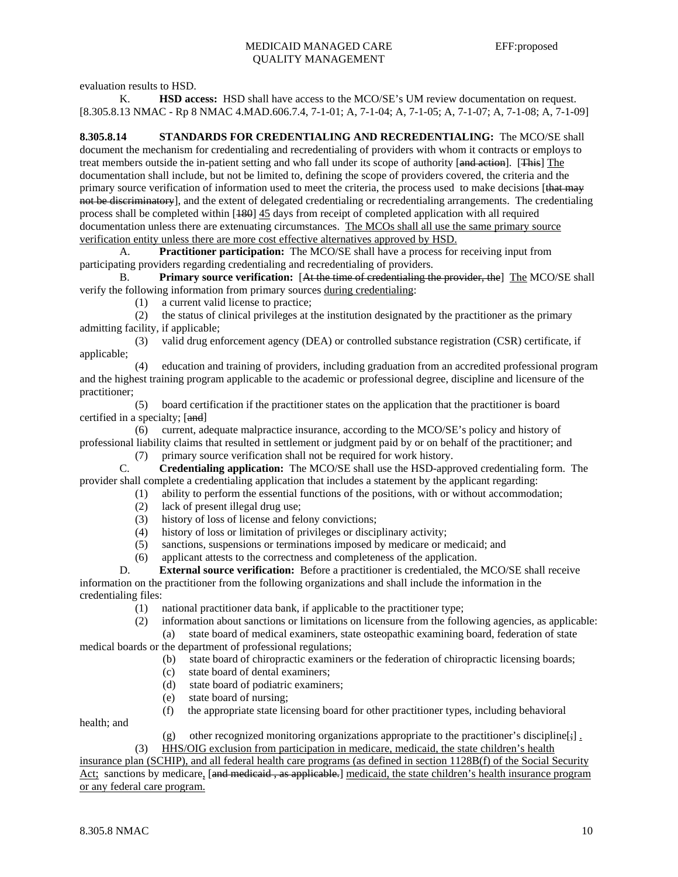evaluation results to HSD.

 K. **HSD access:** HSD shall have access to the MCO/SE's UM review documentation on request. [8.305.8.13 NMAC - Rp 8 NMAC 4.MAD.606.7.4, 7-1-01; A, 7-1-04; A, 7-1-05; A, 7-1-07; A, 7-1-08; A, 7-1-09]

**8.305.8.14 STANDARDS FOR CREDENTIALING AND RECREDENTIALING:** The MCO/SE shall document the mechanism for credentialing and recredentialing of providers with whom it contracts or employs to treat members outside the in-patient setting and who fall under its scope of authority [and action]. [This] The documentation shall include, but not be limited to, defining the scope of providers covered, the criteria and the primary source verification of information used to meet the criteria, the process used to make decisions [that may not be discriminatory], and the extent of delegated credentialing or recredentialing arrangements. The credentialing process shall be completed within [180] 45 days from receipt of completed application with all required documentation unless there are extenuating circumstances. The MCOs shall all use the same primary source verification entity unless there are more cost effective alternatives approved by HSD.

 A. **Practitioner participation:** The MCO/SE shall have a process for receiving input from participating providers regarding credentialing and recredentialing of providers.

 B. **Primary source verification:** [At the time of credentialing the provider, the] The MCO/SE shall verify the following information from primary sources during credentialing:

(1) a current valid license to practice;

 (2) the status of clinical privileges at the institution designated by the practitioner as the primary admitting facility, if applicable;

 (3) valid drug enforcement agency (DEA) or controlled substance registration (CSR) certificate, if applicable;

 (4) education and training of providers, including graduation from an accredited professional program and the highest training program applicable to the academic or professional degree, discipline and licensure of the practitioner;

 (5) board certification if the practitioner states on the application that the practitioner is board certified in a specialty; [and]

 (6) current, adequate malpractice insurance, according to the MCO/SE's policy and history of professional liability claims that resulted in settlement or judgment paid by or on behalf of the practitioner; and

(7) primary source verification shall not be required for work history.

 C. **Credentialing application:** The MCO/SE shall use the HSD-approved credentialing form. The provider shall complete a credentialing application that includes a statement by the applicant regarding:

- (1) ability to perform the essential functions of the positions, with or without accommodation;
	- (2) lack of present illegal drug use;
	- (3) history of loss of license and felony convictions;
	- (4) history of loss or limitation of privileges or disciplinary activity;
	- (5) sanctions, suspensions or terminations imposed by medicare or medicaid; and
	- (6) applicant attests to the correctness and completeness of the application.
- D. **External source verification:** Before a practitioner is credentialed, the MCO/SE shall receive information on the practitioner from the following organizations and shall include the information in the credentialing files:
	- (1) national practitioner data bank, if applicable to the practitioner type;
	- (2) information about sanctions or limitations on licensure from the following agencies, as applicable:

 (a) state board of medical examiners, state osteopathic examining board, federation of state medical boards or the department of professional regulations;

- (b) state board of chiropractic examiners or the federation of chiropractic licensing boards;
- (c) state board of dental examiners;
- (d) state board of podiatric examiners;
- (e) state board of nursing;
- (f) the appropriate state licensing board for other practitioner types, including behavioral

health; and

(g) other recognized monitoring organizations appropriate to the practitioner's discipline[ $\frac{1}{2}$ ].

 (3) HHS/OIG exclusion from participation in medicare, medicaid, the state children's health insurance plan (SCHIP), and all federal health care programs (as defined in section 1128B(f) of the Social Security

Act; sanctions by medicare, [and medicaid, as applicable.] medicaid, the state children's health insurance program or any federal care program.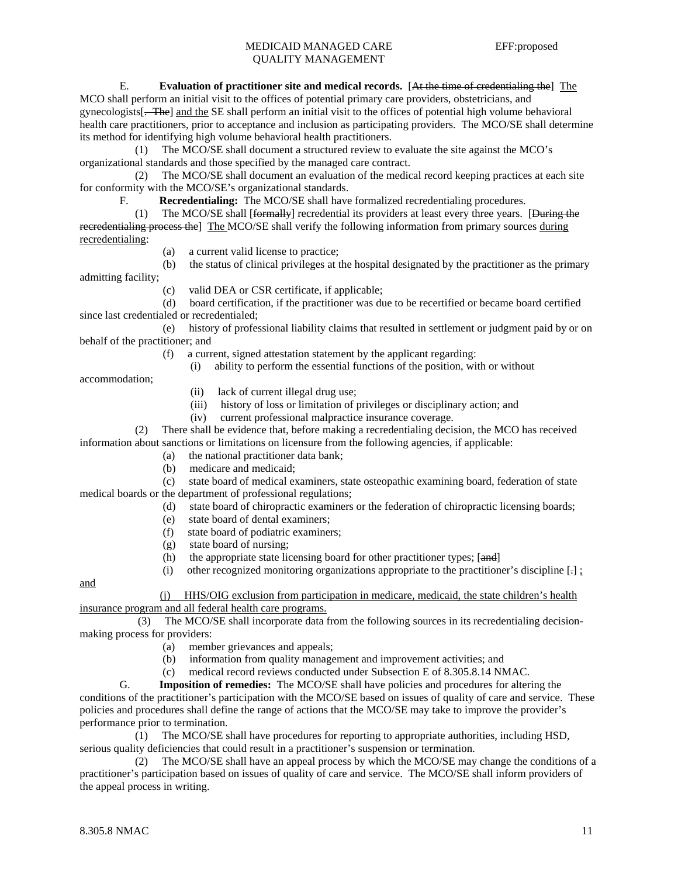E. **Evaluation of practitioner site and medical records.** [At the time of credentialing the] The

MCO shall perform an initial visit to the offices of potential primary care providers, obstetricians, and gynecologists[. The] and the SE shall perform an initial visit to the offices of potential high volume behavioral health care practitioners, prior to acceptance and inclusion as participating providers. The MCO/SE shall determine its method for identifying high volume behavioral health practitioners.

 (1) The MCO/SE shall document a structured review to evaluate the site against the MCO's organizational standards and those specified by the managed care contract.

 (2) The MCO/SE shall document an evaluation of the medical record keeping practices at each site for conformity with the MCO/SE's organizational standards.

F. **Recredentialing:** The MCO/SE shall have formalized recredentialing procedures.

 (1) The MCO/SE shall [formally] recredential its providers at least every three years. [During the recredentialing process the] The MCO/SE shall verify the following information from primary sources during recredentialing:

- (a) a current valid license to practice;
- (b) the status of clinical privileges at the hospital designated by the practitioner as the primary
- (c) valid DEA or CSR certificate, if applicable;

 (d) board certification, if the practitioner was due to be recertified or became board certified since last credentialed or recredentialed;

 (e) history of professional liability claims that resulted in settlement or judgment paid by or on behalf of the practitioner; and

- (f) a current, signed attestation statement by the applicant regarding:
	- (i) ability to perform the essential functions of the position, with or without

accommodation;

admitting facility;

- (ii) lack of current illegal drug use;
- (iii) history of loss or limitation of privileges or disciplinary action; and
- (iv) current professional malpractice insurance coverage.

 (2) There shall be evidence that, before making a recredentialing decision, the MCO has received information about sanctions or limitations on licensure from the following agencies, if applicable:

- (a) the national practitioner data bank;
- (b) medicare and medicaid;
- (c) state board of medical examiners, state osteopathic examining board, federation of state medical boards or the department of professional regulations;
	- (d) state board of chiropractic examiners or the federation of chiropractic licensing boards;
		- (e) state board of dental examiners;
		- (f) state board of podiatric examiners;
		- (g) state board of nursing;
		- (h) the appropriate state licensing board for other practitioner types; [and]
		- (i) other recognized monitoring organizations appropriate to the practitioner's discipline  $[\cdot]$ ;

and

 (j) HHS/OIG exclusion from participation in medicare, medicaid, the state children's health insurance program and all federal health care programs.

 (3) The MCO/SE shall incorporate data from the following sources in its recredentialing decisionmaking process for providers:

- (a) member grievances and appeals;
- (b) information from quality management and improvement activities; and
- (c) medical record reviews conducted under Subsection E of 8.305.8.14 NMAC.

 G. **Imposition of remedies:** The MCO/SE shall have policies and procedures for altering the conditions of the practitioner's participation with the MCO/SE based on issues of quality of care and service. These policies and procedures shall define the range of actions that the MCO/SE may take to improve the provider's performance prior to termination.

 (1) The MCO/SE shall have procedures for reporting to appropriate authorities, including HSD, serious quality deficiencies that could result in a practitioner's suspension or termination.

 (2) The MCO/SE shall have an appeal process by which the MCO/SE may change the conditions of a practitioner's participation based on issues of quality of care and service. The MCO/SE shall inform providers of the appeal process in writing.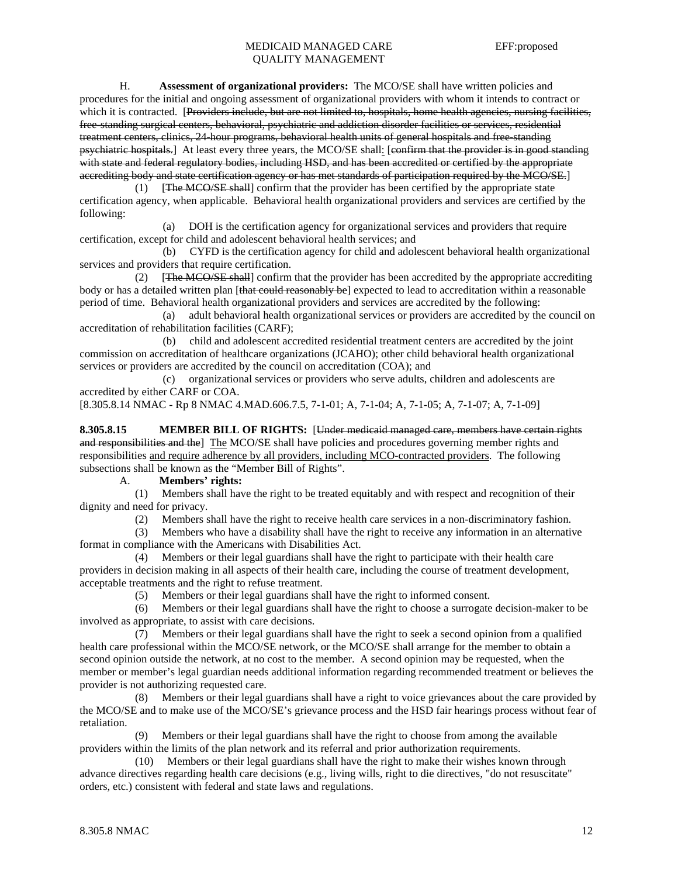H. **Assessment of organizational providers:** The MCO/SE shall have written policies and procedures for the initial and ongoing assessment of organizational providers with whom it intends to contract or which it is contracted. [Providers include, but are not limited to, hospitals, home health agencies, nursing facilities, free-standing surgical centers, behavioral, psychiatric and addiction disorder facilities or services, residential treatment centers, clinics, 24-hour programs, behavioral health units of general hospitals and free-standing psychiatric hospitals.] At least every three years, the MCO/SE shall: [confirm that the provider is in good standing with state and federal regulatory bodies, including HSD, and has been accredited or certified by the appropriate accrediting body and state certification agency or has met standards of participation required by the MCO/SE.]

 (1) [The MCO/SE shall] confirm that the provider has been certified by the appropriate state certification agency, when applicable. Behavioral health organizational providers and services are certified by the following:

 (a) DOH is the certification agency for organizational services and providers that require certification, except for child and adolescent behavioral health services; and

 (b) CYFD is the certification agency for child and adolescent behavioral health organizational services and providers that require certification.

(2) [The MCO/SE shall] confirm that the provider has been accredited by the appropriate accrediting body or has a detailed written plan [that could reasonably be] expected to lead to accreditation within a reasonable period of time. Behavioral health organizational providers and services are accredited by the following:

 (a) adult behavioral health organizational services or providers are accredited by the council on accreditation of rehabilitation facilities (CARF);

 (b) child and adolescent accredited residential treatment centers are accredited by the joint commission on accreditation of healthcare organizations (JCAHO); other child behavioral health organizational services or providers are accredited by the council on accreditation (COA); and

 (c) organizational services or providers who serve adults, children and adolescents are accredited by either CARF or COA.

[8.305.8.14 NMAC - Rp 8 NMAC 4.MAD.606.7.5, 7-1-01; A, 7-1-04; A, 7-1-05; A, 7-1-07; A, 7-1-09]

**8.305.8.15 MEMBER BILL OF RIGHTS:** [Under medicaid managed care, members have certain rights and responsibilities and the] The MCO/SE shall have policies and procedures governing member rights and responsibilities and require adherence by all providers, including MCO-contracted providers. The following subsections shall be known as the "Member Bill of Rights".

#### A. **Members' rights:**

 (1) Members shall have the right to be treated equitably and with respect and recognition of their dignity and need for privacy.

(2) Members shall have the right to receive health care services in a non-discriminatory fashion.<br>
(3) Members who have a disability shall have the right to receive any information in an alternative

 (3) Members who have a disability shall have the right to receive any information in an alternative format in compliance with the Americans with Disabilities Act.

 (4) Members or their legal guardians shall have the right to participate with their health care providers in decision making in all aspects of their health care, including the course of treatment development, acceptable treatments and the right to refuse treatment.

(5) Members or their legal guardians shall have the right to informed consent.

 (6) Members or their legal guardians shall have the right to choose a surrogate decision-maker to be involved as appropriate, to assist with care decisions.

 (7) Members or their legal guardians shall have the right to seek a second opinion from a qualified health care professional within the MCO/SE network, or the MCO/SE shall arrange for the member to obtain a second opinion outside the network, at no cost to the member. A second opinion may be requested, when the member or member's legal guardian needs additional information regarding recommended treatment or believes the provider is not authorizing requested care.

 (8) Members or their legal guardians shall have a right to voice grievances about the care provided by the MCO/SE and to make use of the MCO/SE's grievance process and the HSD fair hearings process without fear of retaliation.

 (9) Members or their legal guardians shall have the right to choose from among the available providers within the limits of the plan network and its referral and prior authorization requirements.

 (10) Members or their legal guardians shall have the right to make their wishes known through advance directives regarding health care decisions (e.g., living wills, right to die directives, "do not resuscitate" orders, etc.) consistent with federal and state laws and regulations.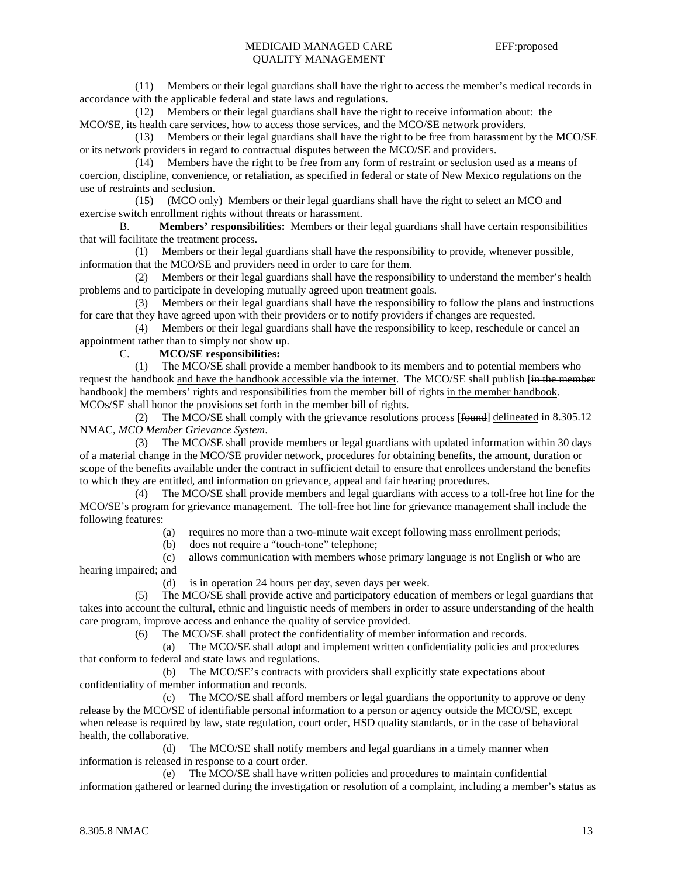(11) Members or their legal guardians shall have the right to access the member's medical records in accordance with the applicable federal and state laws and regulations.

 (12) Members or their legal guardians shall have the right to receive information about: the MCO/SE, its health care services, how to access those services, and the MCO/SE network providers.

 (13) Members or their legal guardians shall have the right to be free from harassment by the MCO/SE or its network providers in regard to contractual disputes between the MCO/SE and providers.

 (14) Members have the right to be free from any form of restraint or seclusion used as a means of coercion, discipline, convenience, or retaliation, as specified in federal or state of New Mexico regulations on the use of restraints and seclusion.

 (15) (MCO only) Members or their legal guardians shall have the right to select an MCO and exercise switch enrollment rights without threats or harassment.

 B. **Members' responsibilities:** Members or their legal guardians shall have certain responsibilities that will facilitate the treatment process.

 (1) Members or their legal guardians shall have the responsibility to provide, whenever possible, information that the MCO/SE and providers need in order to care for them.

 (2) Members or their legal guardians shall have the responsibility to understand the member's health problems and to participate in developing mutually agreed upon treatment goals.

 (3) Members or their legal guardians shall have the responsibility to follow the plans and instructions for care that they have agreed upon with their providers or to notify providers if changes are requested.

 (4) Members or their legal guardians shall have the responsibility to keep, reschedule or cancel an appointment rather than to simply not show up.

## C. **MCO/SE responsibilities:**

 (1) The MCO/SE shall provide a member handbook to its members and to potential members who request the handbook and have the handbook accessible via the internet. The MCO/SE shall publish [in the member handbook] the members' rights and responsibilities from the member bill of rights in the member handbook. MCOs/SE shall honor the provisions set forth in the member bill of rights.

 (2) The MCO/SE shall comply with the grievance resolutions process [found] delineated in 8.305.12 NMAC, *MCO Member Grievance System*.

 (3) The MCO/SE shall provide members or legal guardians with updated information within 30 days of a material change in the MCO/SE provider network, procedures for obtaining benefits, the amount, duration or scope of the benefits available under the contract in sufficient detail to ensure that enrollees understand the benefits to which they are entitled, and information on grievance, appeal and fair hearing procedures.

 (4) The MCO/SE shall provide members and legal guardians with access to a toll-free hot line for the MCO/SE's program for grievance management. The toll-free hot line for grievance management shall include the following features:

(a) requires no more than a two-minute wait except following mass enrollment periods;

(b) does not require a "touch-tone" telephone;

 (c) allows communication with members whose primary language is not English or who are hearing impaired; and

(d) is in operation 24 hours per day, seven days per week.

 (5) The MCO/SE shall provide active and participatory education of members or legal guardians that takes into account the cultural, ethnic and linguistic needs of members in order to assure understanding of the health care program, improve access and enhance the quality of service provided.

(6) The MCO/SE shall protect the confidentiality of member information and records.

 (a) The MCO/SE shall adopt and implement written confidentiality policies and procedures that conform to federal and state laws and regulations.

 (b) The MCO/SE's contracts with providers shall explicitly state expectations about confidentiality of member information and records.

 (c) The MCO/SE shall afford members or legal guardians the opportunity to approve or deny release by the MCO/SE of identifiable personal information to a person or agency outside the MCO/SE, except when release is required by law, state regulation, court order, HSD quality standards, or in the case of behavioral health, the collaborative.

 (d) The MCO/SE shall notify members and legal guardians in a timely manner when information is released in response to a court order.

 (e) The MCO/SE shall have written policies and procedures to maintain confidential information gathered or learned during the investigation or resolution of a complaint, including a member's status as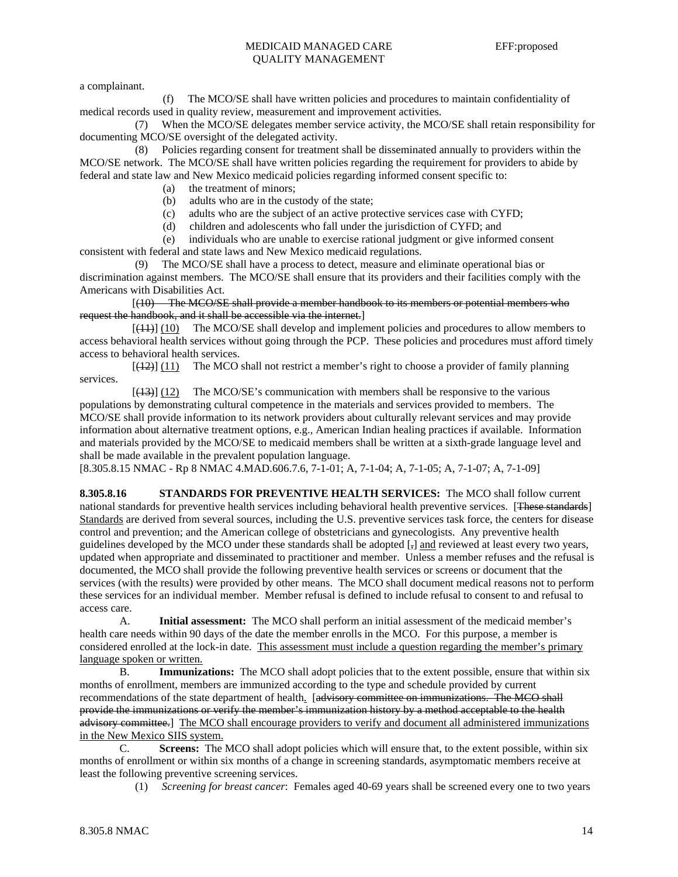a complainant.

 (f) The MCO/SE shall have written policies and procedures to maintain confidentiality of medical records used in quality review, measurement and improvement activities.

 (7) When the MCO/SE delegates member service activity, the MCO/SE shall retain responsibility for documenting MCO/SE oversight of the delegated activity.

 (8) Policies regarding consent for treatment shall be disseminated annually to providers within the MCO/SE network. The MCO/SE shall have written policies regarding the requirement for providers to abide by federal and state law and New Mexico medicaid policies regarding informed consent specific to:

- (a) the treatment of minors;
- (b) adults who are in the custody of the state;
- (c) adults who are the subject of an active protective services case with CYFD;
- (d) children and adolescents who fall under the jurisdiction of CYFD; and

 (e) individuals who are unable to exercise rational judgment or give informed consent consistent with federal and state laws and New Mexico medicaid regulations.

 (9) The MCO/SE shall have a process to detect, measure and eliminate operational bias or discrimination against members. The MCO/SE shall ensure that its providers and their facilities comply with the Americans with Disabilities Act.

 [(10) The MCO/SE shall provide a member handbook to its members or potential members who request the handbook, and it shall be accessible via the internet.]

[(11)] (10) The MCO/SE shall develop and implement policies and procedures to allow members to access behavioral health services without going through the PCP. These policies and procedures must afford timely access to behavioral health services.

 $[\frac{12}{12}]$  (11) The MCO shall not restrict a member's right to choose a provider of family planning services.

 $[ (13) ]$  (12) The MCO/SE's communication with members shall be responsive to the various populations by demonstrating cultural competence in the materials and services provided to members. The MCO/SE shall provide information to its network providers about culturally relevant services and may provide information about alternative treatment options, e.g., American Indian healing practices if available. Information and materials provided by the MCO/SE to medicaid members shall be written at a sixth-grade language level and shall be made available in the prevalent population language.

[8.305.8.15 NMAC - Rp 8 NMAC 4.MAD.606.7.6, 7-1-01; A, 7-1-04; A, 7-1-05; A, 7-1-07; A, 7-1-09]

**8.305.8.16 STANDARDS FOR PREVENTIVE HEALTH SERVICES:** The MCO shall follow current national standards for preventive health services including behavioral health preventive services. [These standards] Standards are derived from several sources, including the U.S. preventive services task force, the centers for disease control and prevention; and the American college of obstetricians and gynecologists. Any preventive health guidelines developed by the MCO under these standards shall be adopted [,] and reviewed at least every two years, updated when appropriate and disseminated to practitioner and member. Unless a member refuses and the refusal is documented, the MCO shall provide the following preventive health services or screens or document that the services (with the results) were provided by other means. The MCO shall document medical reasons not to perform these services for an individual member. Member refusal is defined to include refusal to consent to and refusal to access care.

 A. **Initial assessment:** The MCO shall perform an initial assessment of the medicaid member's health care needs within 90 days of the date the member enrolls in the MCO. For this purpose, a member is considered enrolled at the lock-in date. This assessment must include a question regarding the member's primary language spoken or written.

 B. **Immunizations:** The MCO shall adopt policies that to the extent possible, ensure that within six months of enrollment, members are immunized according to the type and schedule provided by current recommendations of the state department of health. [advisory committee on immunizations. The MCO shall provide the immunizations or verify the member's immunization history by a method acceptable to the health advisory committee.] The MCO shall encourage providers to verify and document all administered immunizations in the New Mexico SIIS system.

 C. **Screens:** The MCO shall adopt policies which will ensure that, to the extent possible, within six months of enrollment or within six months of a change in screening standards, asymptomatic members receive at least the following preventive screening services.

(1) *Screening for breast cancer*: Females aged 40-69 years shall be screened every one to two years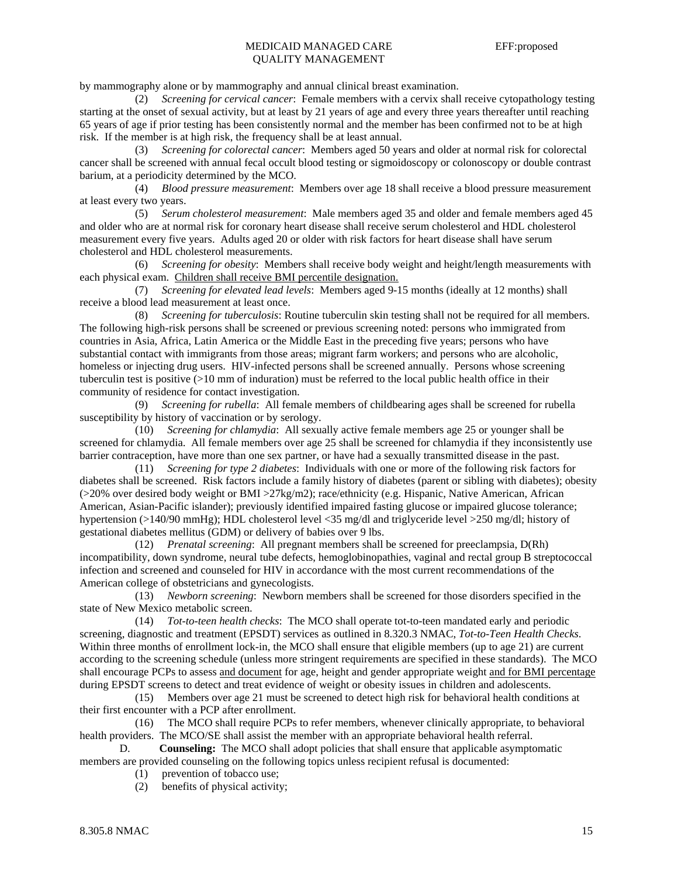by mammography alone or by mammography and annual clinical breast examination.

 (2) *Screening for cervical cancer*: Female members with a cervix shall receive cytopathology testing starting at the onset of sexual activity, but at least by 21 years of age and every three years thereafter until reaching 65 years of age if prior testing has been consistently normal and the member has been confirmed not to be at high risk. If the member is at high risk, the frequency shall be at least annual.

 (3) *Screening for colorectal cancer*: Members aged 50 years and older at normal risk for colorectal cancer shall be screened with annual fecal occult blood testing or sigmoidoscopy or colonoscopy or double contrast barium, at a periodicity determined by the MCO.

 (4) *Blood pressure measurement*: Members over age 18 shall receive a blood pressure measurement at least every two years.

 (5) *Serum cholesterol measurement*: Male members aged 35 and older and female members aged 45 and older who are at normal risk for coronary heart disease shall receive serum cholesterol and HDL cholesterol measurement every five years. Adults aged 20 or older with risk factors for heart disease shall have serum cholesterol and HDL cholesterol measurements.

 (6) *Screening for obesity*: Members shall receive body weight and height/length measurements with each physical exam. Children shall receive BMI percentile designation.

 (7) *Screening for elevated lead levels*: Members aged 9-15 months (ideally at 12 months) shall receive a blood lead measurement at least once.

 (8) *Screening for tuberculosis*: Routine tuberculin skin testing shall not be required for all members. The following high-risk persons shall be screened or previous screening noted: persons who immigrated from countries in Asia, Africa, Latin America or the Middle East in the preceding five years; persons who have substantial contact with immigrants from those areas; migrant farm workers; and persons who are alcoholic, homeless or injecting drug users. HIV-infected persons shall be screened annually. Persons whose screening tuberculin test is positive (>10 mm of induration) must be referred to the local public health office in their community of residence for contact investigation.

 (9) *Screening for rubella*: All female members of childbearing ages shall be screened for rubella susceptibility by history of vaccination or by serology.

 (10) *Screening for chlamydia*: All sexually active female members age 25 or younger shall be screened for chlamydia. All female members over age 25 shall be screened for chlamydia if they inconsistently use barrier contraception, have more than one sex partner, or have had a sexually transmitted disease in the past.

 (11) *Screening for type 2 diabetes*: Individuals with one or more of the following risk factors for diabetes shall be screened. Risk factors include a family history of diabetes (parent or sibling with diabetes); obesity  $(>20\%$  over desired body weight or BMI  $>27\text{kg/m2}$ ; race/ethnicity (e.g. Hispanic, Native American, African American, Asian-Pacific islander); previously identified impaired fasting glucose or impaired glucose tolerance; hypertension (>140/90 mmHg); HDL cholesterol level <35 mg/dl and triglyceride level >250 mg/dl; history of gestational diabetes mellitus (GDM) or delivery of babies over 9 lbs.

 (12) *Prenatal screening*: All pregnant members shall be screened for preeclampsia, D(Rh) incompatibility, down syndrome, neural tube defects, hemoglobinopathies, vaginal and rectal group B streptococcal infection and screened and counseled for HIV in accordance with the most current recommendations of the American college of obstetricians and gynecologists.

 (13) *Newborn screening*: Newborn members shall be screened for those disorders specified in the state of New Mexico metabolic screen.

 (14) *Tot-to-teen health checks*: The MCO shall operate tot-to-teen mandated early and periodic screening, diagnostic and treatment (EPSDT) services as outlined in 8.320.3 NMAC, *Tot-to-Teen Health Checks*. Within three months of enrollment lock-in, the MCO shall ensure that eligible members (up to age 21) are current according to the screening schedule (unless more stringent requirements are specified in these standards). The MCO shall encourage PCPs to assess and document for age, height and gender appropriate weight and for BMI percentage during EPSDT screens to detect and treat evidence of weight or obesity issues in children and adolescents.

 (15) Members over age 21 must be screened to detect high risk for behavioral health conditions at their first encounter with a PCP after enrollment.

 (16) The MCO shall require PCPs to refer members, whenever clinically appropriate, to behavioral health providers. The MCO/SE shall assist the member with an appropriate behavioral health referral.

 D. **Counseling:** The MCO shall adopt policies that shall ensure that applicable asymptomatic members are provided counseling on the following topics unless recipient refusal is documented:

- (1) prevention of tobacco use;
- (2) benefits of physical activity;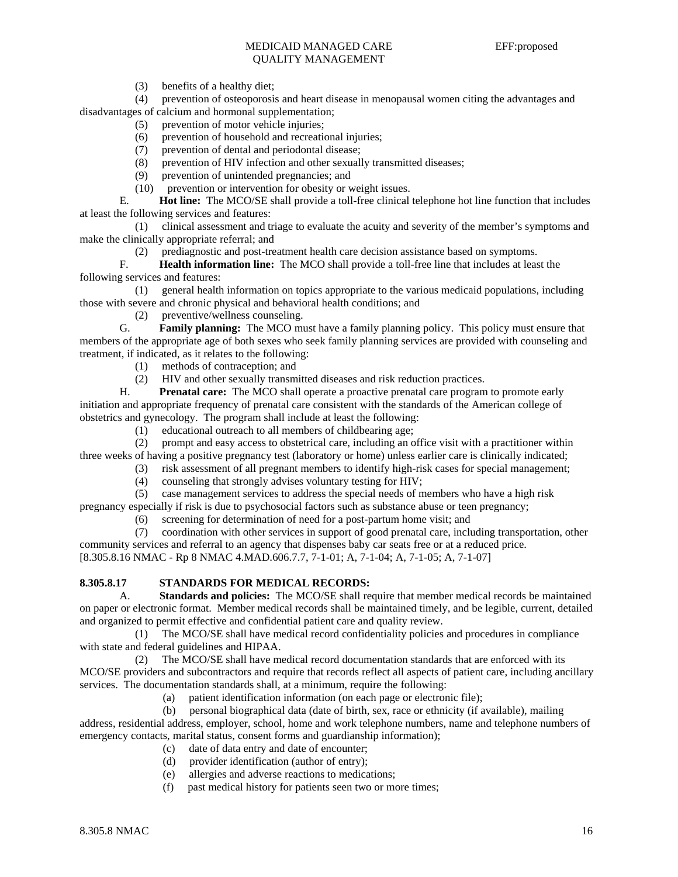(3) benefits of a healthy diet;

 (4) prevention of osteoporosis and heart disease in menopausal women citing the advantages and disadvantages of calcium and hormonal supplementation;

- (5) prevention of motor vehicle injuries;
- (6) prevention of household and recreational injuries;
- (7) prevention of dental and periodontal disease;
- (8) prevention of HIV infection and other sexually transmitted diseases;
- (9) prevention of unintended pregnancies; and
- (10) prevention or intervention for obesity or weight issues.

 E. **Hot line:** The MCO/SE shall provide a toll-free clinical telephone hot line function that includes at least the following services and features:

 (1) clinical assessment and triage to evaluate the acuity and severity of the member's symptoms and make the clinically appropriate referral; and

(2) prediagnostic and post-treatment health care decision assistance based on symptoms.

 F. **Health information line:** The MCO shall provide a toll-free line that includes at least the following services and features:

 (1) general health information on topics appropriate to the various medicaid populations, including those with severe and chronic physical and behavioral health conditions; and

(2) preventive/wellness counseling.

 G. **Family planning:** The MCO must have a family planning policy. This policy must ensure that members of the appropriate age of both sexes who seek family planning services are provided with counseling and treatment, if indicated, as it relates to the following:

- (1) methods of contraception; and
- (2) HIV and other sexually transmitted diseases and risk reduction practices.

 H. **Prenatal care:** The MCO shall operate a proactive prenatal care program to promote early initiation and appropriate frequency of prenatal care consistent with the standards of the American college of obstetrics and gynecology. The program shall include at least the following:

(1) educational outreach to all members of childbearing age;

 (2) prompt and easy access to obstetrical care, including an office visit with a practitioner within three weeks of having a positive pregnancy test (laboratory or home) unless earlier care is clinically indicated;

- (3) risk assessment of all pregnant members to identify high-risk cases for special management;
	- (4) counseling that strongly advises voluntary testing for HIV;
- (5) case management services to address the special needs of members who have a high risk

pregnancy especially if risk is due to psychosocial factors such as substance abuse or teen pregnancy;

(6) screening for determination of need for a post-partum home visit; and

 (7) coordination with other services in support of good prenatal care, including transportation, other community services and referral to an agency that dispenses baby car seats free or at a reduced price. [8.305.8.16 NMAC - Rp 8 NMAC 4.MAD.606.7.7, 7-1-01; A, 7-1-04; A, 7-1-05; A, 7-1-07]

## **8.305.8.17 STANDARDS FOR MEDICAL RECORDS:**

 A. **Standards and policies:** The MCO/SE shall require that member medical records be maintained on paper or electronic format. Member medical records shall be maintained timely, and be legible, current, detailed and organized to permit effective and confidential patient care and quality review.

 (1) The MCO/SE shall have medical record confidentiality policies and procedures in compliance with state and federal guidelines and HIPAA.

 (2) The MCO/SE shall have medical record documentation standards that are enforced with its MCO/SE providers and subcontractors and require that records reflect all aspects of patient care, including ancillary services. The documentation standards shall, at a minimum, require the following:

(a) patient identification information (on each page or electronic file);

 (b) personal biographical data (date of birth, sex, race or ethnicity (if available), mailing address, residential address, employer, school, home and work telephone numbers, name and telephone numbers of emergency contacts, marital status, consent forms and guardianship information);

- (c) date of data entry and date of encounter;<br>(d) provider identification (author of entry):
- provider identification (author of entry);
- (e) allergies and adverse reactions to medications;
- (f) past medical history for patients seen two or more times;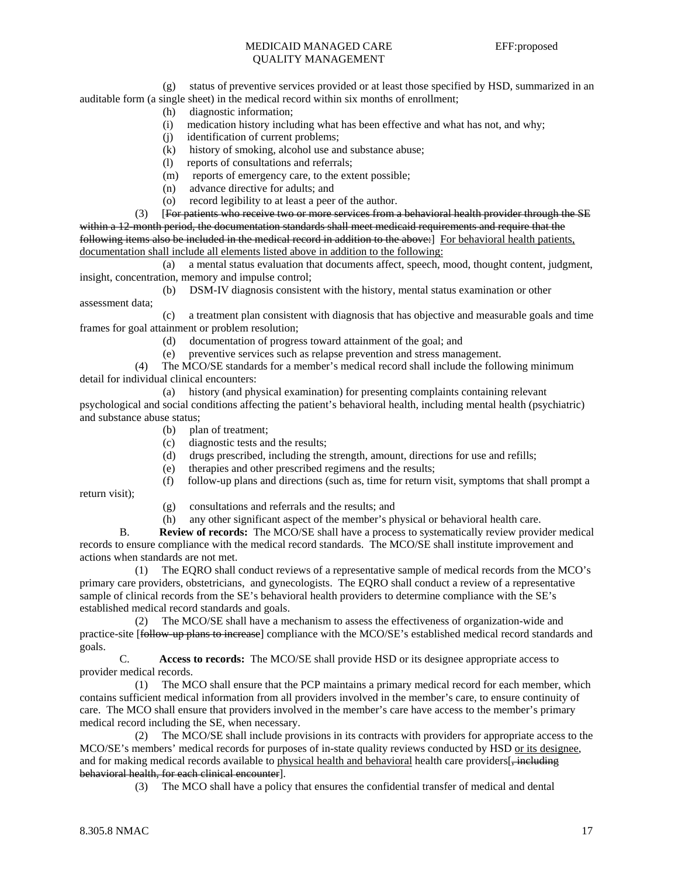(g) status of preventive services provided or at least those specified by HSD, summarized in an auditable form (a single sheet) in the medical record within six months of enrollment;

- (h) diagnostic information;
- (i) medication history including what has been effective and what has not, and why;
- (j) identification of current problems;
- (k) history of smoking, alcohol use and substance abuse;
- (l) reports of consultations and referrals;
- (m) reports of emergency care, to the extent possible;
- (n) advance directive for adults; and
- (o) record legibility to at least a peer of the author.

 (3) [For patients who receive two or more services from a behavioral health provider through the SE within a 12-month period, the documentation standards shall meet medicaid requirements and require that the following items also be included in the medical record in addition to the above:] For behavioral health patients, documentation shall include all elements listed above in addition to the following:

 (a) a mental status evaluation that documents affect, speech, mood, thought content, judgment, insight, concentration, memory and impulse control;

(b) DSM-IV diagnosis consistent with the history, mental status examination or other

assessment data;

 (c) a treatment plan consistent with diagnosis that has objective and measurable goals and time frames for goal attainment or problem resolution;

- (d) documentation of progress toward attainment of the goal; and
- (e) preventive services such as relapse prevention and stress management.

 (4) The MCO/SE standards for a member's medical record shall include the following minimum detail for individual clinical encounters:

 (a) history (and physical examination) for presenting complaints containing relevant psychological and social conditions affecting the patient's behavioral health, including mental health (psychiatric) and substance abuse status;

- (b) plan of treatment;
- (c) diagnostic tests and the results;
- (d) drugs prescribed, including the strength, amount, directions for use and refills;
- (e) therapies and other prescribed regimens and the results;
- (f) follow-up plans and directions (such as, time for return visit, symptoms that shall prompt a

return visit);

- (g) consultations and referrals and the results; and
- (h) any other significant aspect of the member's physical or behavioral health care.

 B. **Review of records:** The MCO/SE shall have a process to systematically review provider medical records to ensure compliance with the medical record standards. The MCO/SE shall institute improvement and actions when standards are not met.

 (1) The EQRO shall conduct reviews of a representative sample of medical records from the MCO's primary care providers, obstetricians, and gynecologists. The EQRO shall conduct a review of a representative sample of clinical records from the SE's behavioral health providers to determine compliance with the SE's established medical record standards and goals.

 (2) The MCO/SE shall have a mechanism to assess the effectiveness of organization-wide and practice-site [follow-up plans to increase] compliance with the MCO/SE's established medical record standards and goals.

 C. **Access to records:** The MCO/SE shall provide HSD or its designee appropriate access to provider medical records.

 (1) The MCO shall ensure that the PCP maintains a primary medical record for each member, which contains sufficient medical information from all providers involved in the member's care, to ensure continuity of care. The MCO shall ensure that providers involved in the member's care have access to the member's primary medical record including the SE, when necessary.

 (2) The MCO/SE shall include provisions in its contracts with providers for appropriate access to the MCO/SE's members' medical records for purposes of in-state quality reviews conducted by HSD or its designee, and for making medical records available to physical health and behavioral health care providers[, including behavioral health, for each clinical encounter].

(3) The MCO shall have a policy that ensures the confidential transfer of medical and dental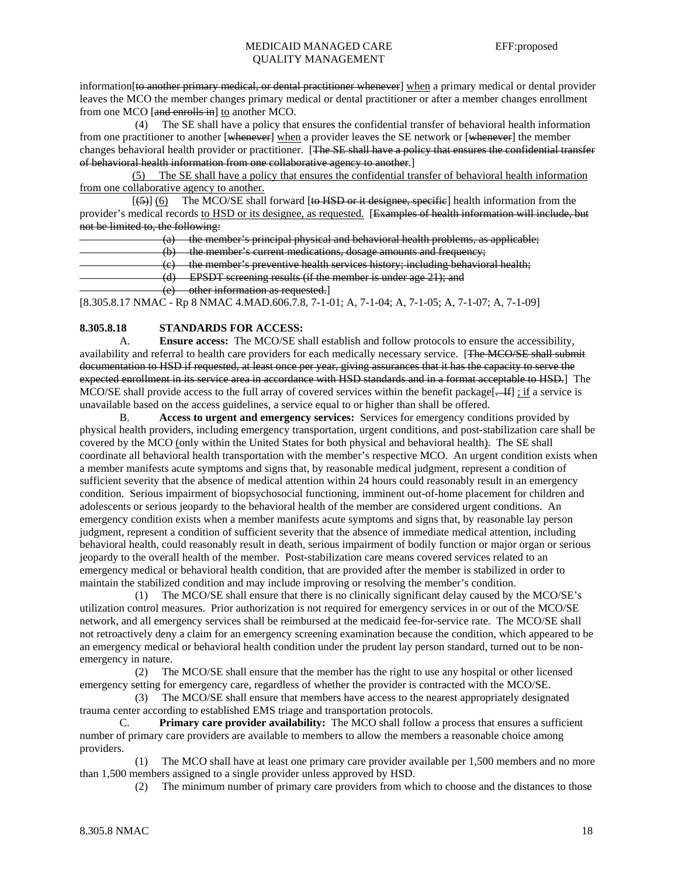information [to another primary medical, or dental practitioner whenever] when a primary medical or dental provider leaves the MCO the member changes primary medical or dental practitioner or after a member changes enrollment from one MCO [and enrolls in] to another MCO.

 (4) The SE shall have a policy that ensures the confidential transfer of behavioral health information from one practitioner to another [whenever] when a provider leaves the SE network or [whenever] the member changes behavioral health provider or practitioner. [The SE shall have a policy that ensures the confidential transfer of behavioral health information from one collaborative agency to another.]

 (5) The SE shall have a policy that ensures the confidential transfer of behavioral health information from one collaborative agency to another.

 $[5]$  (6) The MCO/SE shall forward [to HSD or it designee, specific] health information from the provider's medical records to HSD or its designee, as requested. [Examples of health information will include, but not be limited to, the following:

|     | - the member's principal physical and behavioral health problems, as applicable;           |
|-----|--------------------------------------------------------------------------------------------|
|     |                                                                                            |
| ιU. | - the member's current medications, dosage amounts and frequency;                          |
|     | $\epsilon$ ) the member's preventive health services history; including behavioral health; |
|     |                                                                                            |
|     | <b>EPSDT</b> screening results (if the member is under age 21); and                        |
|     |                                                                                            |
|     | $(a)$ other information as requested.                                                      |
|     | <del>other mrormation as requested</del> .                                                 |

[8.305.8.17 NMAC - Rp 8 NMAC 4.MAD.606.7.8, 7-1-01; A, 7-1-04; A, 7-1-05; A, 7-1-07; A, 7-1-09]

## **8.305.8.18 STANDARDS FOR ACCESS:**

 A. **Ensure access:** The MCO/SE shall establish and follow protocols to ensure the accessibility, availability and referral to health care providers for each medically necessary service. [The MCO/SE shall submit documentation to HSD if requested, at least once per year, giving assurances that it has the capacity to serve the expected enrollment in its service area in accordance with HSD standards and in a format acceptable to HSD.] The MCO/SE shall provide access to the full array of covered services within the benefit package[ $-H$ ] ; if a service is unavailable based on the access guidelines, a service equal to or higher than shall be offered.

 B. **Access to urgent and emergency services:** Services for emergency conditions provided by physical health providers, including emergency transportation, urgent conditions, and post-stabilization care shall be covered by the MCO (only within the United States for both physical and behavioral health). The SE shall coordinate all behavioral health transportation with the member's respective MCO. An urgent condition exists when a member manifests acute symptoms and signs that, by reasonable medical judgment, represent a condition of sufficient severity that the absence of medical attention within 24 hours could reasonably result in an emergency condition. Serious impairment of biopsychosocial functioning, imminent out-of-home placement for children and adolescents or serious jeopardy to the behavioral health of the member are considered urgent conditions. An emergency condition exists when a member manifests acute symptoms and signs that, by reasonable lay person judgment, represent a condition of sufficient severity that the absence of immediate medical attention, including behavioral health, could reasonably result in death, serious impairment of bodily function or major organ or serious jeopardy to the overall health of the member. Post-stabilization care means covered services related to an emergency medical or behavioral health condition, that are provided after the member is stabilized in order to maintain the stabilized condition and may include improving or resolving the member's condition.

 (1) The MCO/SE shall ensure that there is no clinically significant delay caused by the MCO/SE's utilization control measures. Prior authorization is not required for emergency services in or out of the MCO/SE network, and all emergency services shall be reimbursed at the medicaid fee-for-service rate. The MCO/SE shall not retroactively deny a claim for an emergency screening examination because the condition, which appeared to be an emergency medical or behavioral health condition under the prudent lay person standard, turned out to be nonemergency in nature.

 (2) The MCO/SE shall ensure that the member has the right to use any hospital or other licensed emergency setting for emergency care, regardless of whether the provider is contracted with the MCO/SE.

 (3) The MCO/SE shall ensure that members have access to the nearest appropriately designated trauma center according to established EMS triage and transportation protocols.

 C. **Primary care provider availability:** The MCO shall follow a process that ensures a sufficient number of primary care providers are available to members to allow the members a reasonable choice among providers.

 (1) The MCO shall have at least one primary care provider available per 1,500 members and no more than 1,500 members assigned to a single provider unless approved by HSD.

(2) The minimum number of primary care providers from which to choose and the distances to those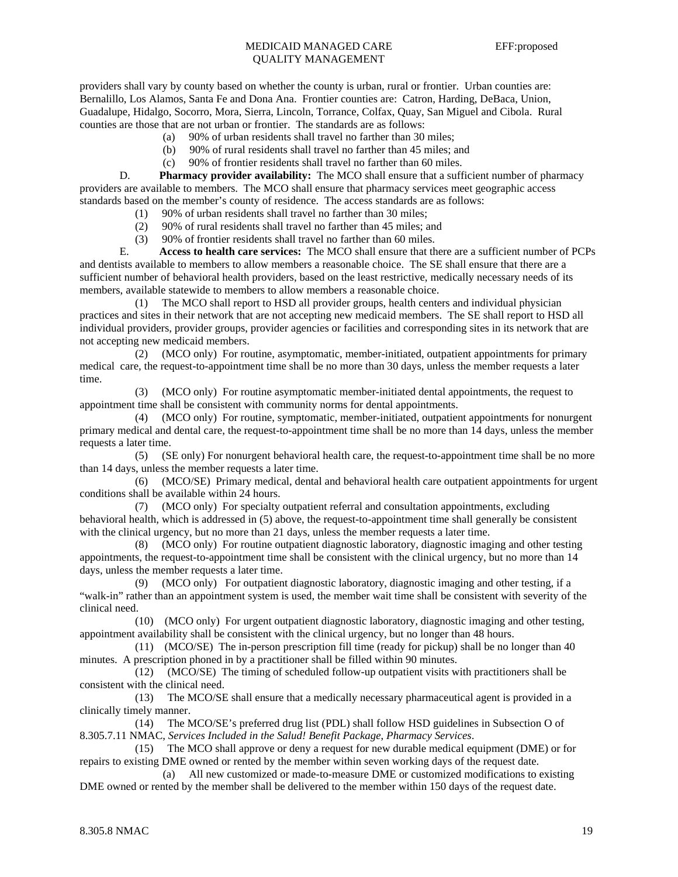providers shall vary by county based on whether the county is urban, rural or frontier. Urban counties are: Bernalillo, Los Alamos, Santa Fe and Dona Ana. Frontier counties are: Catron, Harding, DeBaca, Union, Guadalupe, Hidalgo, Socorro, Mora, Sierra, Lincoln, Torrance, Colfax, Quay, San Miguel and Cibola. Rural counties are those that are not urban or frontier. The standards are as follows:

- (a) 90% of urban residents shall travel no farther than 30 miles;
- (b) 90% of rural residents shall travel no farther than 45 miles; and
- (c) 90% of frontier residents shall travel no farther than 60 miles.

D. **Pharmacy provider availability:** The MCO shall ensure that a sufficient number of pharmacy providers are available to members. The MCO shall ensure that pharmacy services meet geographic access standards based on the member's county of residence. The access standards are as follows:

- (1) 90% of urban residents shall travel no farther than 30 miles;
- (2) 90% of rural residents shall travel no farther than 45 miles; and
- (3) 90% of frontier residents shall travel no farther than 60 miles.

 E. **Access to health care services:** The MCO shall ensure that there are a sufficient number of PCPs and dentists available to members to allow members a reasonable choice. The SE shall ensure that there are a sufficient number of behavioral health providers, based on the least restrictive, medically necessary needs of its members, available statewide to members to allow members a reasonable choice.

 (1) The MCO shall report to HSD all provider groups, health centers and individual physician practices and sites in their network that are not accepting new medicaid members. The SE shall report to HSD all individual providers, provider groups, provider agencies or facilities and corresponding sites in its network that are not accepting new medicaid members.

 (2) (MCO only) For routine, asymptomatic, member-initiated, outpatient appointments for primary medical care, the request-to-appointment time shall be no more than 30 days, unless the member requests a later time.

 (3) (MCO only) For routine asymptomatic member-initiated dental appointments, the request to appointment time shall be consistent with community norms for dental appointments.

 (4) (MCO only) For routine, symptomatic, member-initiated, outpatient appointments for nonurgent primary medical and dental care, the request-to-appointment time shall be no more than 14 days, unless the member requests a later time.

 (5) (SE only) For nonurgent behavioral health care, the request-to-appointment time shall be no more than 14 days, unless the member requests a later time.

 (6) (MCO/SE) Primary medical, dental and behavioral health care outpatient appointments for urgent conditions shall be available within 24 hours.

 (7) (MCO only) For specialty outpatient referral and consultation appointments, excluding behavioral health, which is addressed in (5) above, the request-to-appointment time shall generally be consistent with the clinical urgency, but no more than 21 days, unless the member requests a later time.

 (8) (MCO only) For routine outpatient diagnostic laboratory, diagnostic imaging and other testing appointments, the request-to-appointment time shall be consistent with the clinical urgency, but no more than 14 days, unless the member requests a later time.

 (9) (MCO only) For outpatient diagnostic laboratory, diagnostic imaging and other testing, if a "walk-in" rather than an appointment system is used, the member wait time shall be consistent with severity of the clinical need.

 (10) (MCO only) For urgent outpatient diagnostic laboratory, diagnostic imaging and other testing, appointment availability shall be consistent with the clinical urgency, but no longer than 48 hours.

 (11) (MCO/SE) The in-person prescription fill time (ready for pickup) shall be no longer than 40 minutes. A prescription phoned in by a practitioner shall be filled within 90 minutes.

 (12) (MCO/SE) The timing of scheduled follow-up outpatient visits with practitioners shall be consistent with the clinical need.

 (13) The MCO/SE shall ensure that a medically necessary pharmaceutical agent is provided in a clinically timely manner.

 (14) The MCO/SE's preferred drug list (PDL) shall follow HSD guidelines in Subsection O of 8.305.7.11 NMAC, *Services Included in the Salud! Benefit Package*, *Pharmacy Services*.

 (15) The MCO shall approve or deny a request for new durable medical equipment (DME) or for repairs to existing DME owned or rented by the member within seven working days of the request date.

 (a) All new customized or made-to-measure DME or customized modifications to existing DME owned or rented by the member shall be delivered to the member within 150 days of the request date.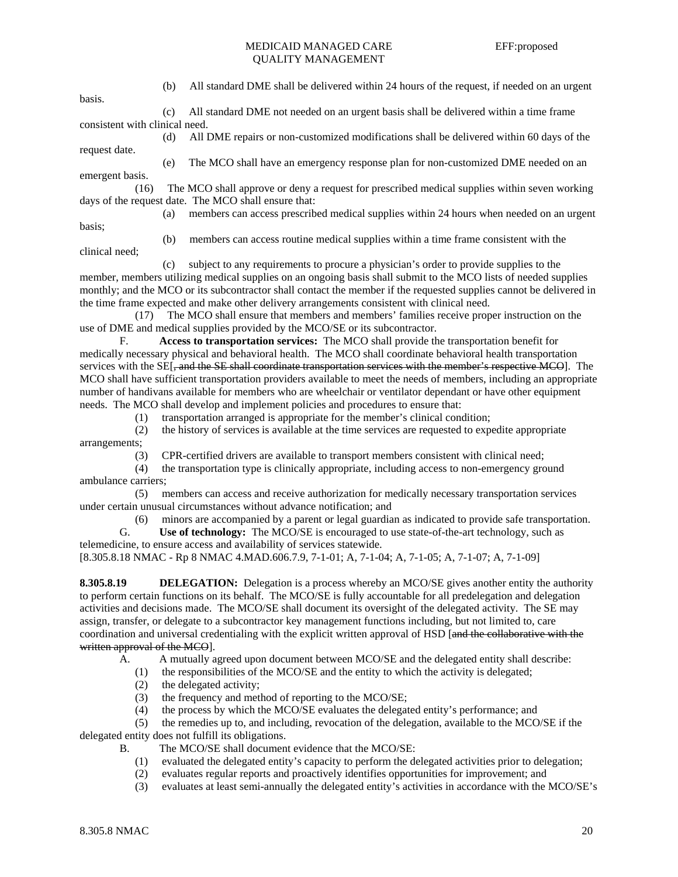|                                                                                                                     | (b) | All standard DME shall be delivered within 24 hours of the request, if needed on an urgent                      |
|---------------------------------------------------------------------------------------------------------------------|-----|-----------------------------------------------------------------------------------------------------------------|
| basis.                                                                                                              |     |                                                                                                                 |
|                                                                                                                     | (c) | All standard DME not needed on an urgent basis shall be delivered within a time frame                           |
| consistent with clinical need.                                                                                      |     |                                                                                                                 |
|                                                                                                                     | (d) | All DME repairs or non-customized modifications shall be delivered within 60 days of the                        |
| request date.                                                                                                       |     |                                                                                                                 |
|                                                                                                                     | (e) | The MCO shall have an emergency response plan for non-customized DME needed on an                               |
| emergent basis.                                                                                                     |     |                                                                                                                 |
| (16)                                                                                                                |     | The MCO shall approve or deny a request for prescribed medical supplies within seven working                    |
| days of the request date. The MCO shall ensure that:                                                                |     |                                                                                                                 |
|                                                                                                                     | (a) | members can access prescribed medical supplies within 24 hours when needed on an urgent                         |
| basis:                                                                                                              |     |                                                                                                                 |
|                                                                                                                     | (b) | members can access routine medical supplies within a time frame consistent with the                             |
| clinical need;                                                                                                      |     |                                                                                                                 |
|                                                                                                                     | (c) | subject to any requirements to procure a physician's order to provide supplies to the                           |
|                                                                                                                     |     | member, members utilizing medical supplies on an ongoing basis shall submit to the MCO lists of needed supplies |
| monthly; and the MCO or its subcontractor shall contact the member if the requested supplies cannot be delivered in |     |                                                                                                                 |

monthly; and the MCO or its subcontractor shall contact the member if the requested supplies cannot be delivered in the time frame expected and make other delivery arrangements consistent with clinical need.

 (17) The MCO shall ensure that members and members' families receive proper instruction on the use of DME and medical supplies provided by the MCO/SE or its subcontractor.

 F. **Access to transportation services:** The MCO shall provide the transportation benefit for medically necessary physical and behavioral health. The MCO shall coordinate behavioral health transportation services with the SE[, and the SE shall coordinate transportation services with the member's respective MCO]. The MCO shall have sufficient transportation providers available to meet the needs of members, including an appropriate number of handivans available for members who are wheelchair or ventilator dependant or have other equipment needs. The MCO shall develop and implement policies and procedures to ensure that:

(1) transportation arranged is appropriate for the member's clinical condition;

 (2) the history of services is available at the time services are requested to expedite appropriate arrangements;

(3) CPR-certified drivers are available to transport members consistent with clinical need;

 (4) the transportation type is clinically appropriate, including access to non-emergency ground ambulance carriers;

 (5) members can access and receive authorization for medically necessary transportation services under certain unusual circumstances without advance notification; and

(6) minors are accompanied by a parent or legal guardian as indicated to provide safe transportation.<br> **G.** Use of technology: The MCO/SE is encouraged to use state-of-the-art technology, such as

Use of technology: The MCO/SE is encouraged to use state-of-the-art technology, such as telemedicine, to ensure access and availability of services statewide. [8.305.8.18 NMAC - Rp 8 NMAC 4.MAD.606.7.9, 7-1-01; A, 7-1-04; A, 7-1-05; A, 7-1-07; A, 7-1-09]

**8.305.8.19** DELEGATION: Delegation is a process whereby an MCO/SE gives another entity the authority to perform certain functions on its behalf. The MCO/SE is fully accountable for all predelegation and delegation activities and decisions made. The MCO/SE shall document its oversight of the delegated activity. The SE may assign, transfer, or delegate to a subcontractor key management functions including, but not limited to, care coordination and universal credentialing with the explicit written approval of HSD [and the collaborative with the written approval of the MCO].

A. A mutually agreed upon document between MCO/SE and the delegated entity shall describe:

(1) the responsibilities of the MCO/SE and the entity to which the activity is delegated;

- (2) the delegated activity;
- (3) the frequency and method of reporting to the MCO/SE;
- (4) the process by which the MCO/SE evaluates the delegated entity's performance; and  $(5)$  the remedies up to, and including, revocation of the delegation, available to the MCO

the remedies up to, and including, revocation of the delegation, available to the MCO/SE if the delegated entity does not fulfill its obligations.

- B. The MCO/SE shall document evidence that the MCO/SE:
	- (1) evaluated the delegated entity's capacity to perform the delegated activities prior to delegation;
	- (2) evaluates regular reports and proactively identifies opportunities for improvement; and
	- (3) evaluates at least semi-annually the delegated entity's activities in accordance with the MCO/SE's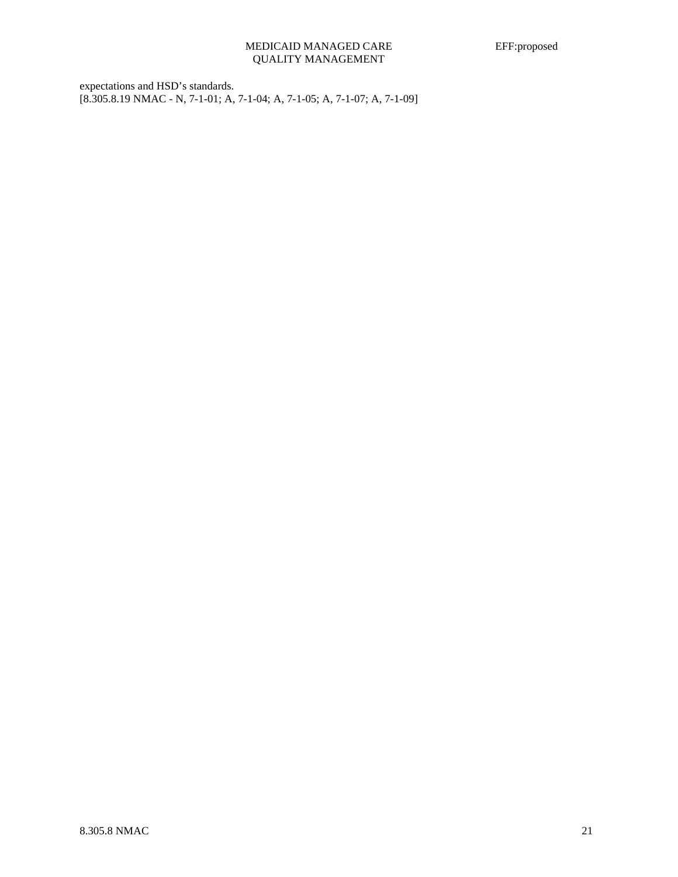expectations and HSD's standards. [8.305.8.19 NMAC - N, 7-1-01; A, 7-1-04; A, 7-1-05; A, 7-1-07; A, 7-1-09]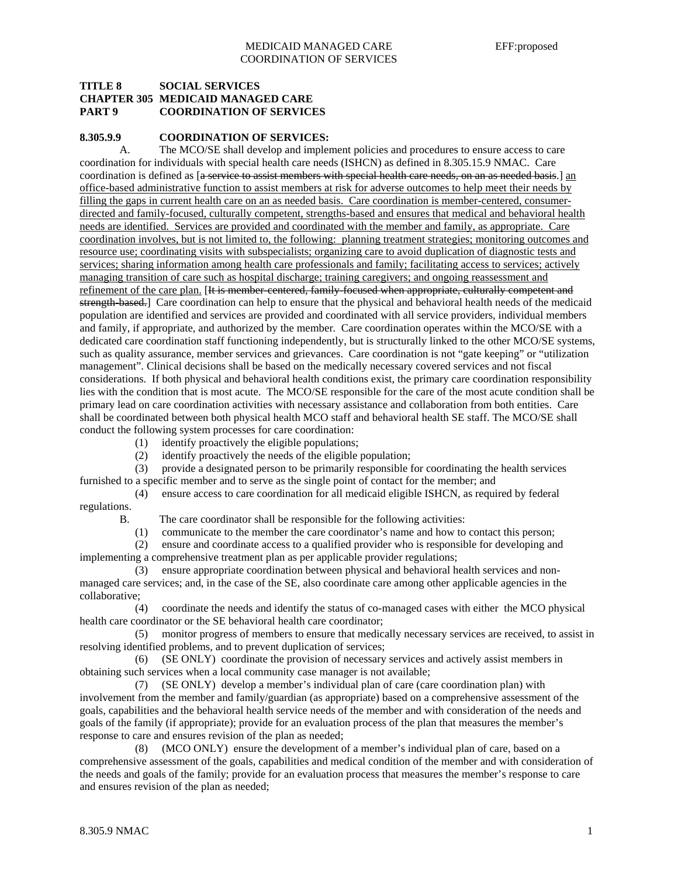## **TITLE 8 SOCIAL SERVICES CHAPTER 305 MEDICAID MANAGED CARE PART 9 COORDINATION OF SERVICES**

#### **8.305.9.9 COORDINATION OF SERVICES:**

 A. The MCO/SE shall develop and implement policies and procedures to ensure access to care coordination for individuals with special health care needs (ISHCN) as defined in 8.305.15.9 NMAC. Care coordination is defined as [a service to assist members with special health care needs, on an as needed basis.] an office-based administrative function to assist members at risk for adverse outcomes to help meet their needs by filling the gaps in current health care on an as needed basis. Care coordination is member-centered, consumerdirected and family-focused, culturally competent, strengths-based and ensures that medical and behavioral health needs are identified. Services are provided and coordinated with the member and family, as appropriate. Care coordination involves, but is not limited to, the following: planning treatment strategies; monitoring outcomes and resource use; coordinating visits with subspecialists; organizing care to avoid duplication of diagnostic tests and services; sharing information among health care professionals and family; facilitating access to services; actively managing transition of care such as hospital discharge; training caregivers; and ongoing reassessment and refinement of the care plan. [It is member-centered, family-focused when appropriate, culturally competent and strength-based.] Care coordination can help to ensure that the physical and behavioral health needs of the medicaid population are identified and services are provided and coordinated with all service providers, individual members and family, if appropriate, and authorized by the member. Care coordination operates within the MCO/SE with a dedicated care coordination staff functioning independently, but is structurally linked to the other MCO/SE systems, such as quality assurance, member services and grievances. Care coordination is not "gate keeping" or "utilization management". Clinical decisions shall be based on the medically necessary covered services and not fiscal considerations. If both physical and behavioral health conditions exist, the primary care coordination responsibility lies with the condition that is most acute. The MCO/SE responsible for the care of the most acute condition shall be primary lead on care coordination activities with necessary assistance and collaboration from both entities. Care shall be coordinated between both physical health MCO staff and behavioral health SE staff. The MCO/SE shall conduct the following system processes for care coordination:

- (1) identify proactively the eligible populations;
- (2) identify proactively the needs of the eligible population;

 (3) provide a designated person to be primarily responsible for coordinating the health services furnished to a specific member and to serve as the single point of contact for the member; and

- (4) ensure access to care coordination for all medicaid eligible ISHCN, as required by federal regulations.
	- B. The care coordinator shall be responsible for the following activities:

(1) communicate to the member the care coordinator's name and how to contact this person;

 (2) ensure and coordinate access to a qualified provider who is responsible for developing and implementing a comprehensive treatment plan as per applicable provider regulations;

 (3) ensure appropriate coordination between physical and behavioral health services and nonmanaged care services; and, in the case of the SE, also coordinate care among other applicable agencies in the collaborative;

 (4) coordinate the needs and identify the status of co-managed cases with either the MCO physical health care coordinator or the SE behavioral health care coordinator;

 (5) monitor progress of members to ensure that medically necessary services are received, to assist in resolving identified problems, and to prevent duplication of services;

 (6) (SE ONLY) coordinate the provision of necessary services and actively assist members in obtaining such services when a local community case manager is not available;

 (7) (SE ONLY) develop a member's individual plan of care (care coordination plan) with involvement from the member and family/guardian (as appropriate) based on a comprehensive assessment of the goals, capabilities and the behavioral health service needs of the member and with consideration of the needs and goals of the family (if appropriate); provide for an evaluation process of the plan that measures the member's response to care and ensures revision of the plan as needed;

 (8) (MCO ONLY) ensure the development of a member's individual plan of care, based on a comprehensive assessment of the goals, capabilities and medical condition of the member and with consideration of the needs and goals of the family; provide for an evaluation process that measures the member's response to care and ensures revision of the plan as needed;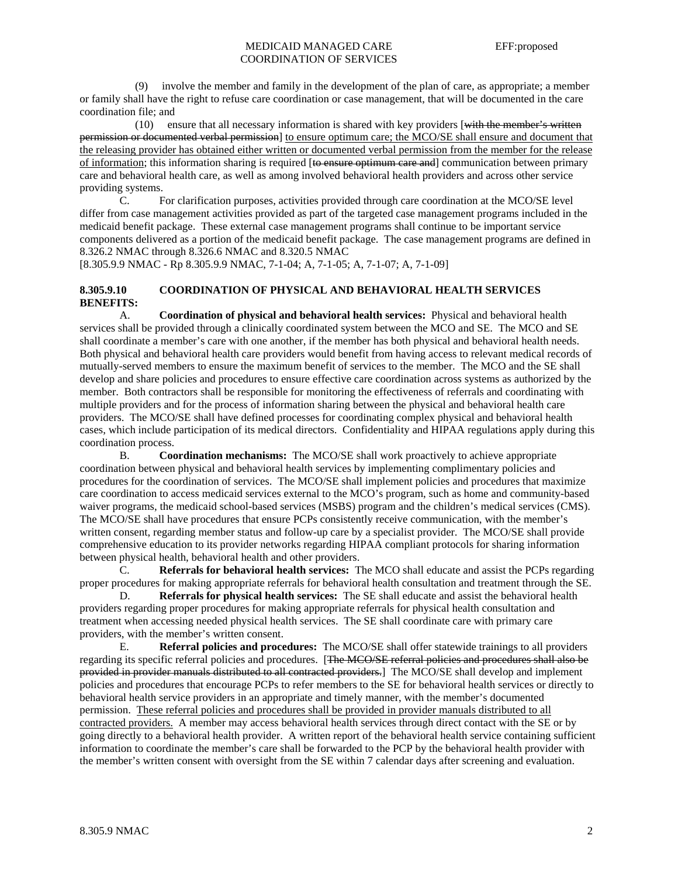(9) involve the member and family in the development of the plan of care, as appropriate; a member or family shall have the right to refuse care coordination or case management, that will be documented in the care coordination file; and

 $(10)$  ensure that all necessary information is shared with key providers [with the member's written permission or documented verbal permission] to ensure optimum care; the MCO/SE shall ensure and document that the releasing provider has obtained either written or documented verbal permission from the member for the release of information; this information sharing is required [to ensure optimum care and] communication between primary care and behavioral health care, as well as among involved behavioral health providers and across other service providing systems.

 C. For clarification purposes, activities provided through care coordination at the MCO/SE level differ from case management activities provided as part of the targeted case management programs included in the medicaid benefit package. These external case management programs shall continue to be important service components delivered as a portion of the medicaid benefit package. The case management programs are defined in 8.326.2 NMAC through 8.326.6 NMAC and 8.320.5 NMAC

[8.305.9.9 NMAC - Rp 8.305.9.9 NMAC, 7-1-04; A, 7-1-05; A, 7-1-07; A, 7-1-09]

## **8.305.9.10 COORDINATION OF PHYSICAL AND BEHAVIORAL HEALTH SERVICES BENEFITS:**

 A. **Coordination of physical and behavioral health services:** Physical and behavioral health services shall be provided through a clinically coordinated system between the MCO and SE. The MCO and SE shall coordinate a member's care with one another, if the member has both physical and behavioral health needs. Both physical and behavioral health care providers would benefit from having access to relevant medical records of mutually-served members to ensure the maximum benefit of services to the member. The MCO and the SE shall develop and share policies and procedures to ensure effective care coordination across systems as authorized by the member. Both contractors shall be responsible for monitoring the effectiveness of referrals and coordinating with multiple providers and for the process of information sharing between the physical and behavioral health care providers. The MCO/SE shall have defined processes for coordinating complex physical and behavioral health cases, which include participation of its medical directors. Confidentiality and HIPAA regulations apply during this coordination process.

 B. **Coordination mechanisms:** The MCO/SE shall work proactively to achieve appropriate coordination between physical and behavioral health services by implementing complimentary policies and procedures for the coordination of services. The MCO/SE shall implement policies and procedures that maximize care coordination to access medicaid services external to the MCO's program, such as home and community-based waiver programs, the medicaid school-based services (MSBS) program and the children's medical services (CMS). The MCO/SE shall have procedures that ensure PCPs consistently receive communication, with the member's written consent, regarding member status and follow-up care by a specialist provider. The MCO/SE shall provide comprehensive education to its provider networks regarding HIPAA compliant protocols for sharing information between physical health, behavioral health and other providers.

 C. **Referrals for behavioral health services:** The MCO shall educate and assist the PCPs regarding proper procedures for making appropriate referrals for behavioral health consultation and treatment through the SE.

 D. **Referrals for physical health services:** The SE shall educate and assist the behavioral health providers regarding proper procedures for making appropriate referrals for physical health consultation and treatment when accessing needed physical health services. The SE shall coordinate care with primary care providers, with the member's written consent.

E. **Referral policies and procedures:** The MCO/SE shall offer statewide trainings to all providers regarding its specific referral policies and procedures. [The MCO/SE referral policies and procedures shall also be provided in provider manuals distributed to all contracted providers.] The MCO/SE shall develop and implement policies and procedures that encourage PCPs to refer members to the SE for behavioral health services or directly to behavioral health service providers in an appropriate and timely manner, with the member's documented permission. These referral policies and procedures shall be provided in provider manuals distributed to all contracted providers. A member may access behavioral health services through direct contact with the SE or by going directly to a behavioral health provider. A written report of the behavioral health service containing sufficient information to coordinate the member's care shall be forwarded to the PCP by the behavioral health provider with the member's written consent with oversight from the SE within 7 calendar days after screening and evaluation.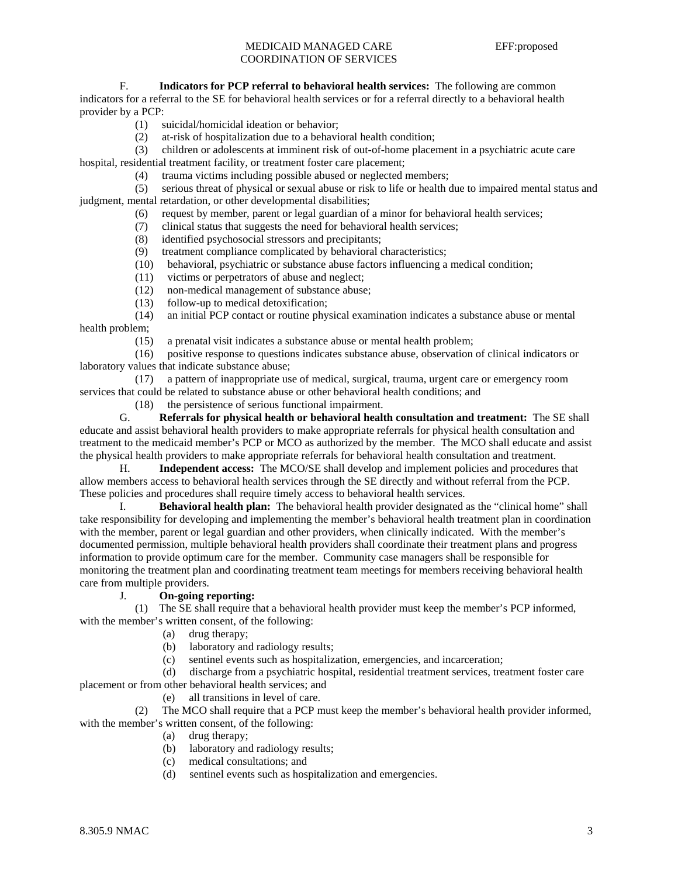F. **Indicators for PCP referral to behavioral health services:** The following are common

indicators for a referral to the SE for behavioral health services or for a referral directly to a behavioral health provider by a PCP:

- (1) suicidal/homicidal ideation or behavior;
- (2) at-risk of hospitalization due to a behavioral health condition;
- (3) children or adolescents at imminent risk of out-of-home placement in a psychiatric acute care

hospital, residential treatment facility, or treatment foster care placement;

(4) trauma victims including possible abused or neglected members;

 (5) serious threat of physical or sexual abuse or risk to life or health due to impaired mental status and judgment, mental retardation, or other developmental disabilities;

- (6) request by member, parent or legal guardian of a minor for behavioral health services;
- (7) clinical status that suggests the need for behavioral health services;
- (8) identified psychosocial stressors and precipitants;
- (9) treatment compliance complicated by behavioral characteristics;
- (10) behavioral, psychiatric or substance abuse factors influencing a medical condition;
- (11) victims or perpetrators of abuse and neglect;
- (12) non-medical management of substance abuse;
- (13) follow-up to medical detoxification;

 (14) an initial PCP contact or routine physical examination indicates a substance abuse or mental health problem;

(15) a prenatal visit indicates a substance abuse or mental health problem;

 (16) positive response to questions indicates substance abuse, observation of clinical indicators or laboratory values that indicate substance abuse;

 (17) a pattern of inappropriate use of medical, surgical, trauma, urgent care or emergency room services that could be related to substance abuse or other behavioral health conditions; and

(18) the persistence of serious functional impairment.

 G. **Referrals for physical health or behavioral health consultation and treatment:** The SE shall educate and assist behavioral health providers to make appropriate referrals for physical health consultation and treatment to the medicaid member's PCP or MCO as authorized by the member. The MCO shall educate and assist the physical health providers to make appropriate referrals for behavioral health consultation and treatment.

 H. **Independent access:** The MCO/SE shall develop and implement policies and procedures that allow members access to behavioral health services through the SE directly and without referral from the PCP. These policies and procedures shall require timely access to behavioral health services.

 I. **Behavioral health plan:** The behavioral health provider designated as the "clinical home" shall take responsibility for developing and implementing the member's behavioral health treatment plan in coordination with the member, parent or legal guardian and other providers, when clinically indicated. With the member's documented permission, multiple behavioral health providers shall coordinate their treatment plans and progress information to provide optimum care for the member. Community case managers shall be responsible for monitoring the treatment plan and coordinating treatment team meetings for members receiving behavioral health care from multiple providers.

## J. **On-going reporting:**

 (1) The SE shall require that a behavioral health provider must keep the member's PCP informed, with the member's written consent, of the following:

- (a) drug therapy;
- (b) laboratory and radiology results;
- (c) sentinel events such as hospitalization, emergencies, and incarceration;

 (d) discharge from a psychiatric hospital, residential treatment services, treatment foster care placement or from other behavioral health services; and

(e) all transitions in level of care.

 (2) The MCO shall require that a PCP must keep the member's behavioral health provider informed, with the member's written consent, of the following:

- (a) drug therapy;
- (b) laboratory and radiology results;
- (c) medical consultations; and
- (d) sentinel events such as hospitalization and emergencies.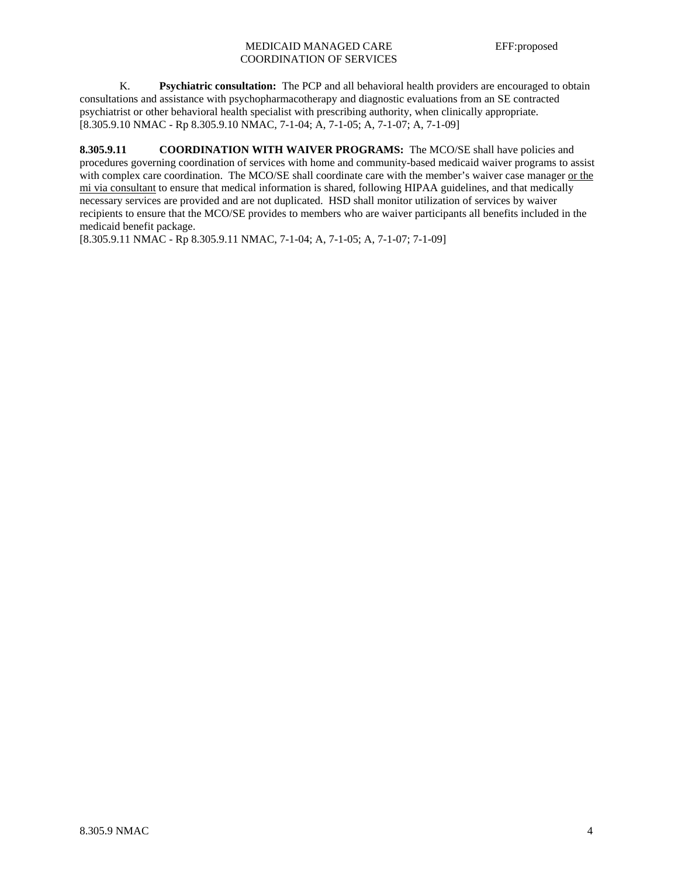## MEDICAID MANAGED CARE EFF:proposed COORDINATION OF SERVICES

 K. **Psychiatric consultation:** The PCP and all behavioral health providers are encouraged to obtain consultations and assistance with psychopharmacotherapy and diagnostic evaluations from an SE contracted psychiatrist or other behavioral health specialist with prescribing authority, when clinically appropriate. [8.305.9.10 NMAC - Rp 8.305.9.10 NMAC, 7-1-04; A, 7-1-05; A, 7-1-07; A, 7-1-09]

**8.305.9.11 COORDINATION WITH WAIVER PROGRAMS:** The MCO/SE shall have policies and procedures governing coordination of services with home and community-based medicaid waiver programs to assist with complex care coordination. The MCO/SE shall coordinate care with the member's waiver case manager or the mi via consultant to ensure that medical information is shared, following HIPAA guidelines, and that medically necessary services are provided and are not duplicated. HSD shall monitor utilization of services by waiver recipients to ensure that the MCO/SE provides to members who are waiver participants all benefits included in the medicaid benefit package.

[8.305.9.11 NMAC - Rp 8.305.9.11 NMAC, 7-1-04; A, 7-1-05; A, 7-1-07; 7-1-09]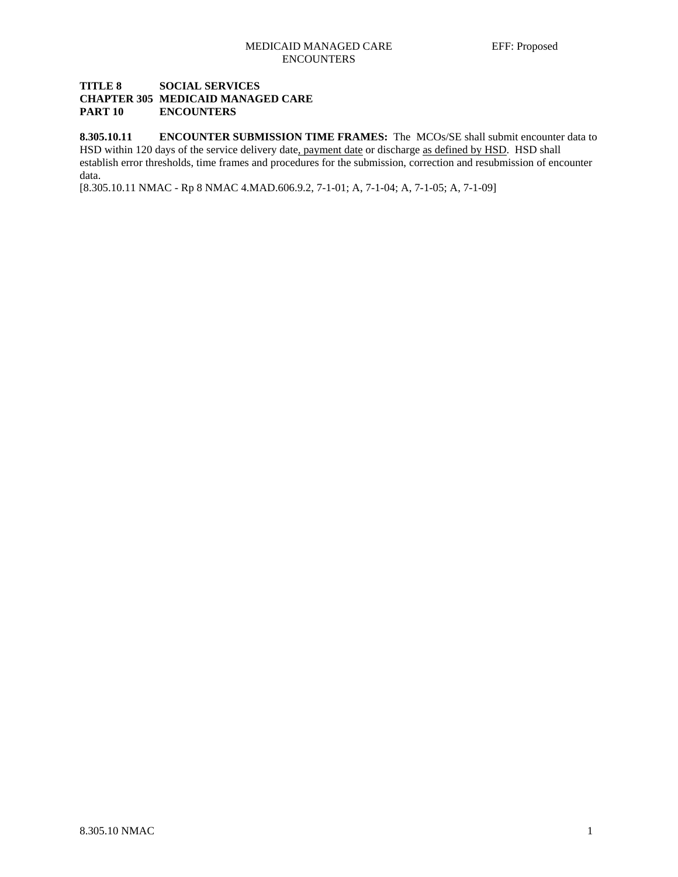## **TITLE 8 SOCIAL SERVICES CHAPTER 305 MEDICAID MANAGED CARE PART 10 ENCOUNTERS**

**8.305.10.11 ENCOUNTER SUBMISSION TIME FRAMES:** The MCOs/SE shall submit encounter data to HSD within 120 days of the service delivery date, payment date or discharge as defined by HSD. HSD shall establish error thresholds, time frames and procedures for the submission, correction and resubmission of encounter data.

[8.305.10.11 NMAC - Rp 8 NMAC 4.MAD.606.9.2, 7-1-01; A, 7-1-04; A, 7-1-05; A, 7-1-09]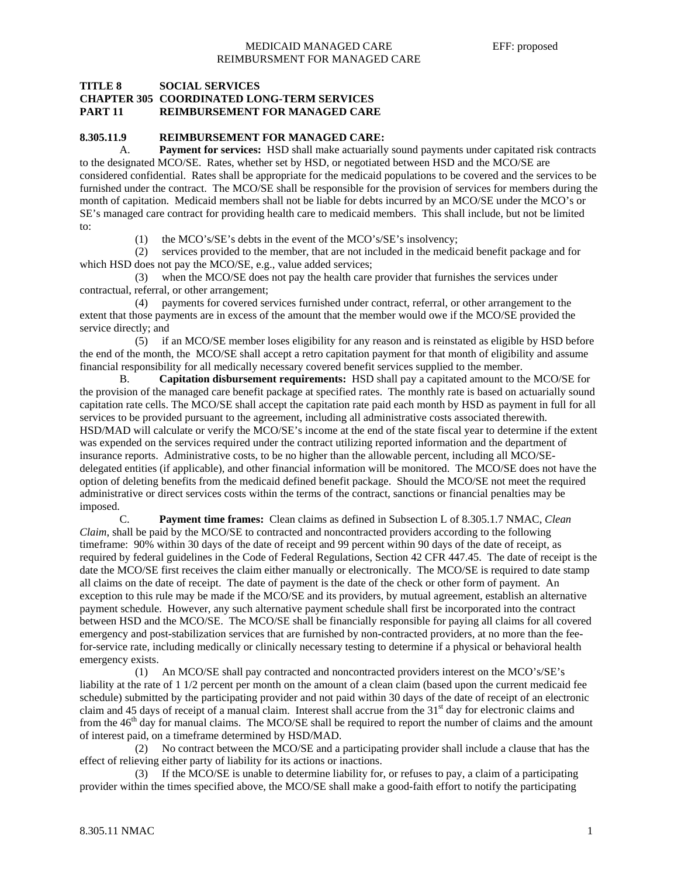## **TITLE 8 SOCIAL SERVICES CHAPTER 305 COORDINATED LONG-TERM SERVICES PART 11 REIMBURSEMENT FOR MANAGED CARE**

#### **8.305.11.9 REIMBURSEMENT FOR MANAGED CARE:**

A. **Payment for services:** HSD shall make actuarially sound payments under capitated risk contracts to the designated MCO/SE. Rates, whether set by HSD, or negotiated between HSD and the MCO/SE are considered confidential. Rates shall be appropriate for the medicaid populations to be covered and the services to be furnished under the contract. The MCO/SE shall be responsible for the provision of services for members during the month of capitation. Medicaid members shall not be liable for debts incurred by an MCO/SE under the MCO's or SE's managed care contract for providing health care to medicaid members. This shall include, but not be limited to:

(1) the MCO's/SE's debts in the event of the MCO's/SE's insolvency;

 (2) services provided to the member, that are not included in the medicaid benefit package and for which HSD does not pay the MCO/SE, e.g., value added services;

 (3) when the MCO/SE does not pay the health care provider that furnishes the services under contractual, referral, or other arrangement;

 (4) payments for covered services furnished under contract, referral, or other arrangement to the extent that those payments are in excess of the amount that the member would owe if the MCO/SE provided the service directly; and

 (5) if an MCO/SE member loses eligibility for any reason and is reinstated as eligible by HSD before the end of the month, the MCO/SE shall accept a retro capitation payment for that month of eligibility and assume financial responsibility for all medically necessary covered benefit services supplied to the member.

 B. **Capitation disbursement requirements:** HSD shall pay a capitated amount to the MCO/SE for the provision of the managed care benefit package at specified rates. The monthly rate is based on actuarially sound capitation rate cells. The MCO/SE shall accept the capitation rate paid each month by HSD as payment in full for all services to be provided pursuant to the agreement, including all administrative costs associated therewith. HSD/MAD will calculate or verify the MCO/SE's income at the end of the state fiscal year to determine if the extent was expended on the services required under the contract utilizing reported information and the department of insurance reports. Administrative costs, to be no higher than the allowable percent, including all MCO/SEdelegated entities (if applicable), and other financial information will be monitored. The MCO/SE does not have the option of deleting benefits from the medicaid defined benefit package. Should the MCO/SE not meet the required administrative or direct services costs within the terms of the contract, sanctions or financial penalties may be imposed.

 C. **Payment time frames:** Clean claims as defined in Subsection L of 8.305.1.7 NMAC, *Clean Claim*, shall be paid by the MCO/SE to contracted and noncontracted providers according to the following timeframe: 90% within 30 days of the date of receipt and 99 percent within 90 days of the date of receipt, as required by federal guidelines in the Code of Federal Regulations, Section 42 CFR 447.45. The date of receipt is the date the MCO/SE first receives the claim either manually or electronically. The MCO/SE is required to date stamp all claims on the date of receipt. The date of payment is the date of the check or other form of payment. An exception to this rule may be made if the MCO/SE and its providers, by mutual agreement, establish an alternative payment schedule. However, any such alternative payment schedule shall first be incorporated into the contract between HSD and the MCO/SE. The MCO/SE shall be financially responsible for paying all claims for all covered emergency and post-stabilization services that are furnished by non-contracted providers, at no more than the feefor-service rate, including medically or clinically necessary testing to determine if a physical or behavioral health emergency exists.

 (1) An MCO/SE shall pay contracted and noncontracted providers interest on the MCO's/SE's liability at the rate of 1 1/2 percent per month on the amount of a clean claim (based upon the current medicaid fee schedule) submitted by the participating provider and not paid within 30 days of the date of receipt of an electronic claim and 45 days of receipt of a manual claim. Interest shall accrue from the  $31<sup>st</sup>$  day for electronic claims and from the  $46<sup>th</sup>$  day for manual claims. The MCO/SE shall be required to report the number of claims and the amount of interest paid, on a timeframe determined by HSD/MAD.

 (2) No contract between the MCO/SE and a participating provider shall include a clause that has the effect of relieving either party of liability for its actions or inactions.

 (3) If the MCO/SE is unable to determine liability for, or refuses to pay, a claim of a participating provider within the times specified above, the MCO/SE shall make a good-faith effort to notify the participating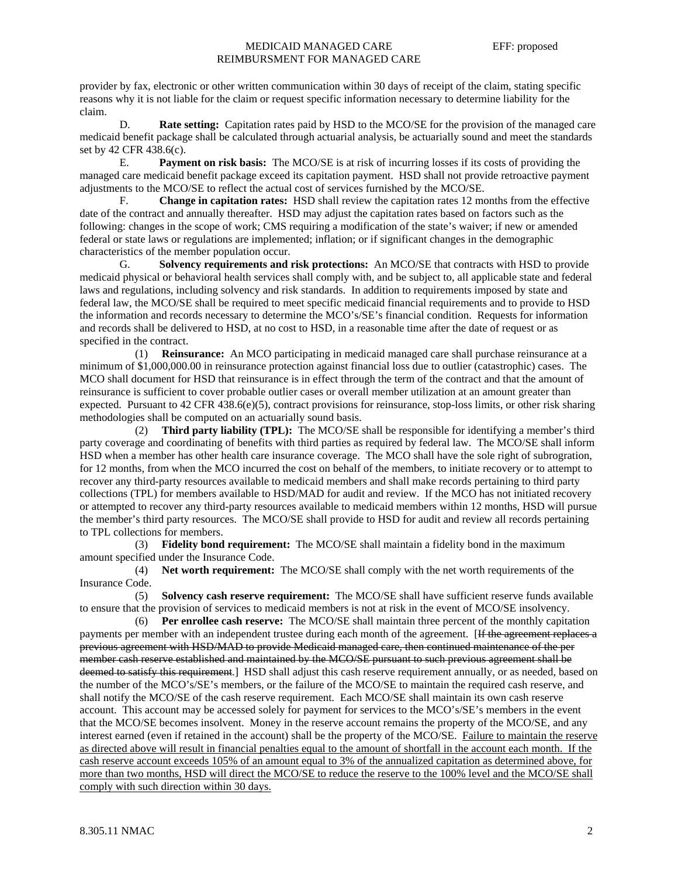## MEDICAID MANAGED CARE EFF: proposed REIMBURSMENT FOR MANAGED CARE

provider by fax, electronic or other written communication within 30 days of receipt of the claim, stating specific reasons why it is not liable for the claim or request specific information necessary to determine liability for the claim.

 D. **Rate setting:** Capitation rates paid by HSD to the MCO/SE for the provision of the managed care medicaid benefit package shall be calculated through actuarial analysis, be actuarially sound and meet the standards set by 42 CFR 438.6(c).

 E. **Payment on risk basis:** The MCO/SE is at risk of incurring losses if its costs of providing the managed care medicaid benefit package exceed its capitation payment. HSD shall not provide retroactive payment adjustments to the MCO/SE to reflect the actual cost of services furnished by the MCO/SE.

 F. **Change in capitation rates:** HSD shall review the capitation rates 12 months from the effective date of the contract and annually thereafter. HSD may adjust the capitation rates based on factors such as the following: changes in the scope of work; CMS requiring a modification of the state's waiver; if new or amended federal or state laws or regulations are implemented; inflation; or if significant changes in the demographic characteristics of the member population occur.

 G. **Solvency requirements and risk protections:** An MCO/SE that contracts with HSD to provide medicaid physical or behavioral health services shall comply with, and be subject to, all applicable state and federal laws and regulations, including solvency and risk standards. In addition to requirements imposed by state and federal law, the MCO/SE shall be required to meet specific medicaid financial requirements and to provide to HSD the information and records necessary to determine the MCO's/SE's financial condition. Requests for information and records shall be delivered to HSD, at no cost to HSD, in a reasonable time after the date of request or as specified in the contract.

 (1) **Reinsurance:** An MCO participating in medicaid managed care shall purchase reinsurance at a minimum of \$1,000,000.00 in reinsurance protection against financial loss due to outlier (catastrophic) cases. The MCO shall document for HSD that reinsurance is in effect through the term of the contract and that the amount of reinsurance is sufficient to cover probable outlier cases or overall member utilization at an amount greater than expected. Pursuant to  $42$  CFR  $438.6(e)(5)$ , contract provisions for reinsurance, stop-loss limits, or other risk sharing methodologies shall be computed on an actuarially sound basis.

 (2) **Third party liability (TPL):** The MCO/SE shall be responsible for identifying a member's third party coverage and coordinating of benefits with third parties as required by federal law. The MCO/SE shall inform HSD when a member has other health care insurance coverage. The MCO shall have the sole right of subrogration, for 12 months, from when the MCO incurred the cost on behalf of the members, to initiate recovery or to attempt to recover any third-party resources available to medicaid members and shall make records pertaining to third party collections (TPL) for members available to HSD/MAD for audit and review. If the MCO has not initiated recovery or attempted to recover any third-party resources available to medicaid members within 12 months, HSD will pursue the member's third party resources. The MCO/SE shall provide to HSD for audit and review all records pertaining to TPL collections for members.

 (3) **Fidelity bond requirement:** The MCO/SE shall maintain a fidelity bond in the maximum amount specified under the Insurance Code.

 (4) **Net worth requirement:** The MCO/SE shall comply with the net worth requirements of the Insurance Code.

 (5) **Solvency cash reserve requirement:** The MCO/SE shall have sufficient reserve funds available to ensure that the provision of services to medicaid members is not at risk in the event of MCO/SE insolvency.

 (6) **Per enrollee cash reserve:** The MCO/SE shall maintain three percent of the monthly capitation payments per member with an independent trustee during each month of the agreement. [If the agreement replaces a previous agreement with HSD/MAD to provide Medicaid managed care, then continued maintenance of the per member cash reserve established and maintained by the MCO/SE pursuant to such previous agreement shall be deemed to satisfy this requirement. HSD shall adjust this cash reserve requirement annually, or as needed, based on the number of the MCO's/SE's members, or the failure of the MCO/SE to maintain the required cash reserve, and shall notify the MCO/SE of the cash reserve requirement. Each MCO/SE shall maintain its own cash reserve account. This account may be accessed solely for payment for services to the MCO's/SE's members in the event that the MCO/SE becomes insolvent. Money in the reserve account remains the property of the MCO/SE, and any interest earned (even if retained in the account) shall be the property of the MCO/SE. Failure to maintain the reserve as directed above will result in financial penalties equal to the amount of shortfall in the account each month. If the cash reserve account exceeds 105% of an amount equal to 3% of the annualized capitation as determined above, for more than two months, HSD will direct the MCO/SE to reduce the reserve to the 100% level and the MCO/SE shall comply with such direction within 30 days.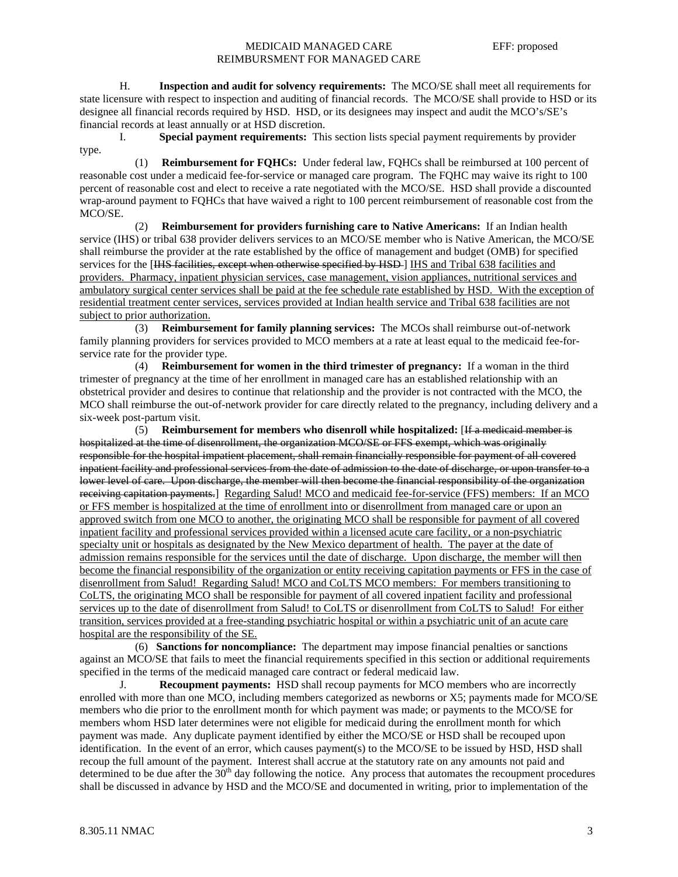## MEDICAID MANAGED CARE EFF: proposed REIMBURSMENT FOR MANAGED CARE

 H. **Inspection and audit for solvency requirements:** The MCO/SE shall meet all requirements for state licensure with respect to inspection and auditing of financial records. The MCO/SE shall provide to HSD or its designee all financial records required by HSD. HSD, or its designees may inspect and audit the MCO's/SE's financial records at least annually or at HSD discretion.

 I. **Special payment requirements:** This section lists special payment requirements by provider type.

 (1) **Reimbursement for FQHCs:** Under federal law, FQHCs shall be reimbursed at 100 percent of reasonable cost under a medicaid fee-for-service or managed care program. The FQHC may waive its right to 100 percent of reasonable cost and elect to receive a rate negotiated with the MCO/SE. HSD shall provide a discounted wrap-around payment to FQHCs that have waived a right to 100 percent reimbursement of reasonable cost from the MCO/SE.

 (2) **Reimbursement for providers furnishing care to Native Americans:** If an Indian health service (IHS) or tribal 638 provider delivers services to an MCO/SE member who is Native American, the MCO/SE shall reimburse the provider at the rate established by the office of management and budget (OMB) for specified services for the [HHS facilities, except when otherwise specified by HSD ] IHS and Tribal 638 facilities and providers. Pharmacy, inpatient physician services, case management, vision appliances, nutritional services and ambulatory surgical center services shall be paid at the fee schedule rate established by HSD. With the exception of residential treatment center services, services provided at Indian health service and Tribal 638 facilities are not subject to prior authorization.

 (3) **Reimbursement for family planning services:** The MCOs shall reimburse out-of-network family planning providers for services provided to MCO members at a rate at least equal to the medicaid fee-forservice rate for the provider type.

 (4) **Reimbursement for women in the third trimester of pregnancy:** If a woman in the third trimester of pregnancy at the time of her enrollment in managed care has an established relationship with an obstetrical provider and desires to continue that relationship and the provider is not contracted with the MCO, the MCO shall reimburse the out-of-network provider for care directly related to the pregnancy, including delivery and a six-week post-partum visit.

 (5) **Reimbursement for members who disenroll while hospitalized:** [If a medicaid member is hospitalized at the time of disenrollment, the organization MCO/SE or FFS exempt, which was originally responsible for the hospital impatient placement, shall remain financially responsible for payment of all covered inpatient facility and professional services from the date of admission to the date of discharge, or upon transfer to a lower level of care. Upon discharge, the member will then become the financial responsibility of the organization receiving capitation payments.] Regarding Salud! MCO and medicaid fee-for-service (FFS) members: If an MCO or FFS member is hospitalized at the time of enrollment into or disenrollment from managed care or upon an approved switch from one MCO to another, the originating MCO shall be responsible for payment of all covered inpatient facility and professional services provided within a licensed acute care facility, or a non-psychiatric specialty unit or hospitals as designated by the New Mexico department of health. The payer at the date of admission remains responsible for the services until the date of discharge. Upon discharge, the member will then become the financial responsibility of the organization or entity receiving capitation payments or FFS in the case of disenrollment from Salud! Regarding Salud! MCO and CoLTS MCO members: For members transitioning to CoLTS, the originating MCO shall be responsible for payment of all covered inpatient facility and professional services up to the date of disenrollment from Salud! to CoLTS or disenrollment from CoLTS to Salud! For either transition, services provided at a free-standing psychiatric hospital or within a psychiatric unit of an acute care hospital are the responsibility of the SE.

 (6) **Sanctions for noncompliance:** The department may impose financial penalties or sanctions against an MCO/SE that fails to meet the financial requirements specified in this section or additional requirements specified in the terms of the medicaid managed care contract or federal medicaid law.

J. **Recoupment payments:** HSD shall recoup payments for MCO members who are incorrectly enrolled with more than one MCO, including members categorized as newborns or X5; payments made for MCO/SE members who die prior to the enrollment month for which payment was made; or payments to the MCO/SE for members whom HSD later determines were not eligible for medicaid during the enrollment month for which payment was made. Any duplicate payment identified by either the MCO/SE or HSD shall be recouped upon identification. In the event of an error, which causes payment(s) to the MCO/SE to be issued by HSD, HSD shall recoup the full amount of the payment. Interest shall accrue at the statutory rate on any amounts not paid and determined to be due after the  $30<sup>th</sup>$  day following the notice. Any process that automates the recoupment procedures shall be discussed in advance by HSD and the MCO/SE and documented in writing, prior to implementation of the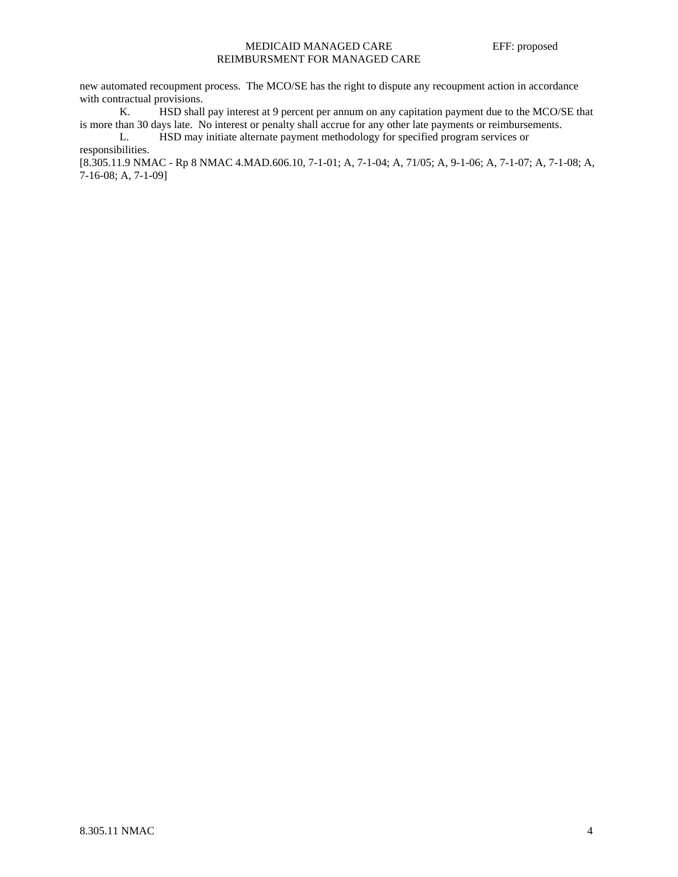## MEDICAID MANAGED CARE EFF: proposed REIMBURSMENT FOR MANAGED CARE

new automated recoupment process. The MCO/SE has the right to dispute any recoupment action in accordance with contractual provisions.

 K. HSD shall pay interest at 9 percent per annum on any capitation payment due to the MCO/SE that is more than 30 days late. No interest or penalty shall accrue for any other late payments or reimbursements.

 L. HSD may initiate alternate payment methodology for specified program services or responsibilities.

[8.305.11.9 NMAC - Rp 8 NMAC 4.MAD.606.10, 7-1-01; A, 7-1-04; A, 71/05; A, 9-1-06; A, 7-1-07; A, 7-1-08; A, 7-16-08; A, 7-1-09]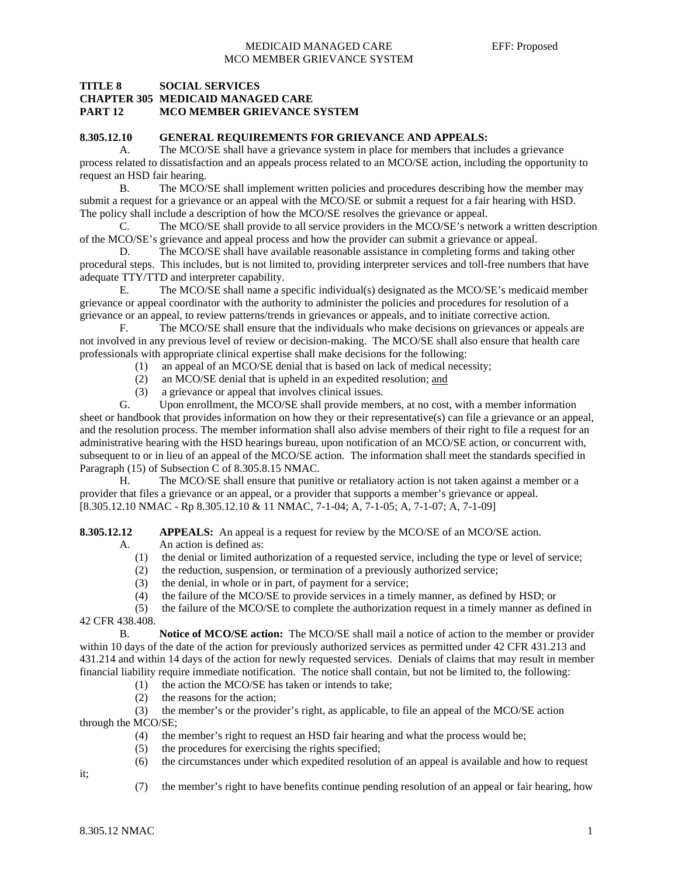## **TITLE 8 SOCIAL SERVICES CHAPTER 305 MEDICAID MANAGED CARE PART 12 MCO MEMBER GRIEVANCE SYSTEM**

#### **8.305.12.10 GENERAL REQUIREMENTS FOR GRIEVANCE AND APPEALS:**

A. The MCO/SE shall have a grievance system in place for members that includes a grievance process related to dissatisfaction and an appeals process related to an MCO/SE action, including the opportunity to request an HSD fair hearing.

 B. The MCO/SE shall implement written policies and procedures describing how the member may submit a request for a grievance or an appeal with the MCO/SE or submit a request for a fair hearing with HSD. The policy shall include a description of how the MCO/SE resolves the grievance or appeal.

 C. The MCO/SE shall provide to all service providers in the MCO/SE's network a written description of the MCO/SE's grievance and appeal process and how the provider can submit a grievance or appeal.

D. The MCO/SE shall have available reasonable assistance in completing forms and taking other procedural steps. This includes, but is not limited to, providing interpreter services and toll-free numbers that have adequate TTY/TTD and interpreter capability.

 E. The MCO/SE shall name a specific individual(s) designated as the MCO/SE's medicaid member grievance or appeal coordinator with the authority to administer the policies and procedures for resolution of a grievance or an appeal, to review patterns/trends in grievances or appeals, and to initiate corrective action.

 F. The MCO/SE shall ensure that the individuals who make decisions on grievances or appeals are not involved in any previous level of review or decision-making. The MCO/SE shall also ensure that health care professionals with appropriate clinical expertise shall make decisions for the following:

- (1) an appeal of an MCO/SE denial that is based on lack of medical necessity;
- (2) an MCO/SE denial that is upheld in an expedited resolution; and
- (3) a grievance or appeal that involves clinical issues.

 G. Upon enrollment, the MCO/SE shall provide members, at no cost, with a member information sheet or handbook that provides information on how they or their representative(s) can file a grievance or an appeal, and the resolution process. The member information shall also advise members of their right to file a request for an administrative hearing with the HSD hearings bureau, upon notification of an MCO/SE action, or concurrent with, subsequent to or in lieu of an appeal of the MCO/SE action. The information shall meet the standards specified in Paragraph (15) of Subsection C of 8.305.8.15 NMAC.

 H. The MCO/SE shall ensure that punitive or retaliatory action is not taken against a member or a provider that files a grievance or an appeal, or a provider that supports a member's grievance or appeal. [8.305.12.10 NMAC - Rp 8.305.12.10 & 11 NMAC, 7-1-04; A, 7-1-05; A, 7-1-07; A, 7-1-09]

**8.305.12.12** APPEALS: An appeal is a request for review by the MCO/SE of an MCO/SE action.

- A. An action is defined as:
	- (1) the denial or limited authorization of a requested service, including the type or level of service;
	- (2) the reduction, suspension, or termination of a previously authorized service;
	- (3) the denial, in whole or in part, of payment for a service;
	- (4) the failure of the MCO/SE to provide services in a timely manner, as defined by HSD; or

(5) the failure of the MCO/SE to complete the authorization request in a timely manner as defined in

42 CFR 438.408.

 B. **Notice of MCO/SE action:** The MCO/SE shall mail a notice of action to the member or provider within 10 days of the date of the action for previously authorized services as permitted under 42 CFR 431.213 and 431.214 and within 14 days of the action for newly requested services. Denials of claims that may result in member financial liability require immediate notification. The notice shall contain, but not be limited to, the following:

- (1) the action the MCO/SE has taken or intends to take;
- (2) the reasons for the action;

 (3) the member's or the provider's right, as applicable, to file an appeal of the MCO/SE action through the MCO/SE;

- (4) the member's right to request an HSD fair hearing and what the process would be;
- (5) the procedures for exercising the rights specified;
- (6) the circumstances under which expedited resolution of an appeal is available and how to request

it;

(7) the member's right to have benefits continue pending resolution of an appeal or fair hearing, how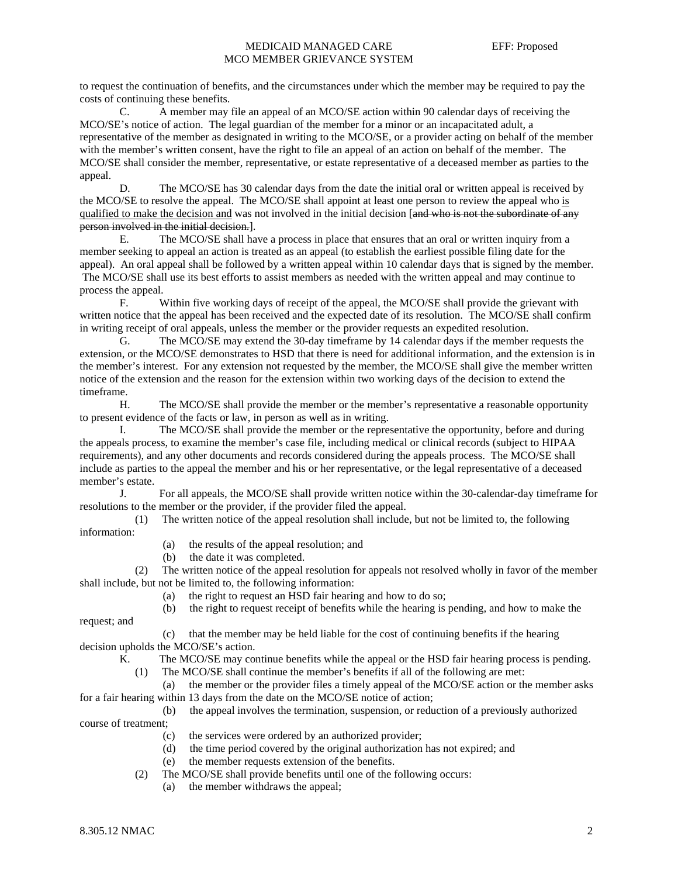## MEDICAID MANAGED CARE EFF: Proposed MCO MEMBER GRIEVANCE SYSTEM

to request the continuation of benefits, and the circumstances under which the member may be required to pay the costs of continuing these benefits.

 C. A member may file an appeal of an MCO/SE action within 90 calendar days of receiving the MCO/SE's notice of action. The legal guardian of the member for a minor or an incapacitated adult, a representative of the member as designated in writing to the MCO/SE, or a provider acting on behalf of the member with the member's written consent, have the right to file an appeal of an action on behalf of the member. The MCO/SE shall consider the member, representative, or estate representative of a deceased member as parties to the appeal.

D. The MCO/SE has 30 calendar days from the date the initial oral or written appeal is received by the MCO/SE to resolve the appeal. The MCO/SE shall appoint at least one person to review the appeal who is qualified to make the decision and was not involved in the initial decision [and who is not the subordinate of any person involved in the initial decision.].

 E. The MCO/SE shall have a process in place that ensures that an oral or written inquiry from a member seeking to appeal an action is treated as an appeal (to establish the earliest possible filing date for the appeal). An oral appeal shall be followed by a written appeal within 10 calendar days that is signed by the member. The MCO/SE shall use its best efforts to assist members as needed with the written appeal and may continue to process the appeal.

 F. Within five working days of receipt of the appeal, the MCO/SE shall provide the grievant with written notice that the appeal has been received and the expected date of its resolution. The MCO/SE shall confirm in writing receipt of oral appeals, unless the member or the provider requests an expedited resolution.

 G. The MCO/SE may extend the 30-day timeframe by 14 calendar days if the member requests the extension, or the MCO/SE demonstrates to HSD that there is need for additional information, and the extension is in the member's interest. For any extension not requested by the member, the MCO/SE shall give the member written notice of the extension and the reason for the extension within two working days of the decision to extend the timeframe.

 H. The MCO/SE shall provide the member or the member's representative a reasonable opportunity to present evidence of the facts or law, in person as well as in writing.

 I. The MCO/SE shall provide the member or the representative the opportunity, before and during the appeals process, to examine the member's case file, including medical or clinical records (subject to HIPAA requirements), and any other documents and records considered during the appeals process. The MCO/SE shall include as parties to the appeal the member and his or her representative, or the legal representative of a deceased member's estate.

 J. For all appeals, the MCO/SE shall provide written notice within the 30-calendar-day timeframe for resolutions to the member or the provider, if the provider filed the appeal.

 (1) The written notice of the appeal resolution shall include, but not be limited to, the following information:

- (a) the results of the appeal resolution; and
- (b) the date it was completed.

 (2) The written notice of the appeal resolution for appeals not resolved wholly in favor of the member shall include, but not be limited to, the following information:

- (a) the right to request an HSD fair hearing and how to do so;
- (b) the right to request receipt of benefits while the hearing is pending, and how to make the

request; and

- (c) that the member may be held liable for the cost of continuing benefits if the hearing decision upholds the MCO/SE's action.
	- K. The MCO/SE may continue benefits while the appeal or the HSD fair hearing process is pending.
		- (1) The MCO/SE shall continue the member's benefits if all of the following are met:

 (a) the member or the provider files a timely appeal of the MCO/SE action or the member asks for a fair hearing within 13 days from the date on the MCO/SE notice of action;

- (b) the appeal involves the termination, suspension, or reduction of a previously authorized course of treatment;
	- (c) the services were ordered by an authorized provider;
	- (d) the time period covered by the original authorization has not expired; and
	- (e) the member requests extension of the benefits.
	- (2) The MCO/SE shall provide benefits until one of the following occurs:
		- (a) the member withdraws the appeal;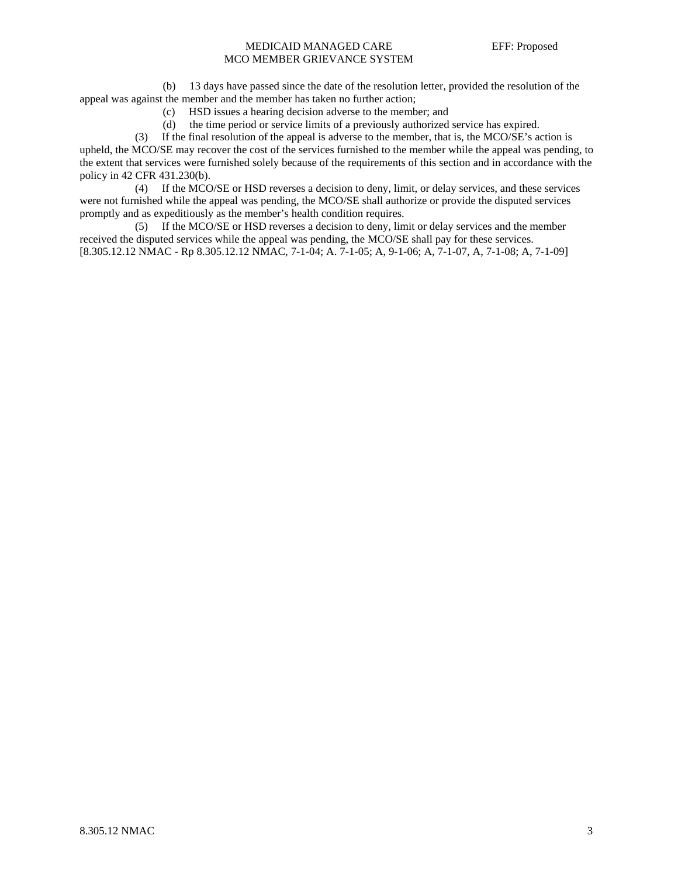## MEDICAID MANAGED CARE EFF: Proposed MCO MEMBER GRIEVANCE SYSTEM

 (b) 13 days have passed since the date of the resolution letter, provided the resolution of the appeal was against the member and the member has taken no further action;

- (c) HSD issues a hearing decision adverse to the member; and
- (d) the time period or service limits of a previously authorized service has expired.

 (3) If the final resolution of the appeal is adverse to the member, that is, the MCO/SE's action is upheld, the MCO/SE may recover the cost of the services furnished to the member while the appeal was pending, to the extent that services were furnished solely because of the requirements of this section and in accordance with the policy in 42 CFR 431.230(b).

 (4) If the MCO/SE or HSD reverses a decision to deny, limit, or delay services, and these services were not furnished while the appeal was pending, the MCO/SE shall authorize or provide the disputed services promptly and as expeditiously as the member's health condition requires.

 (5) If the MCO/SE or HSD reverses a decision to deny, limit or delay services and the member received the disputed services while the appeal was pending, the MCO/SE shall pay for these services. [8.305.12.12 NMAC - Rp 8.305.12.12 NMAC, 7-1-04; A. 7-1-05; A, 9-1-06; A, 7-1-07, A, 7-1-08; A, 7-1-09]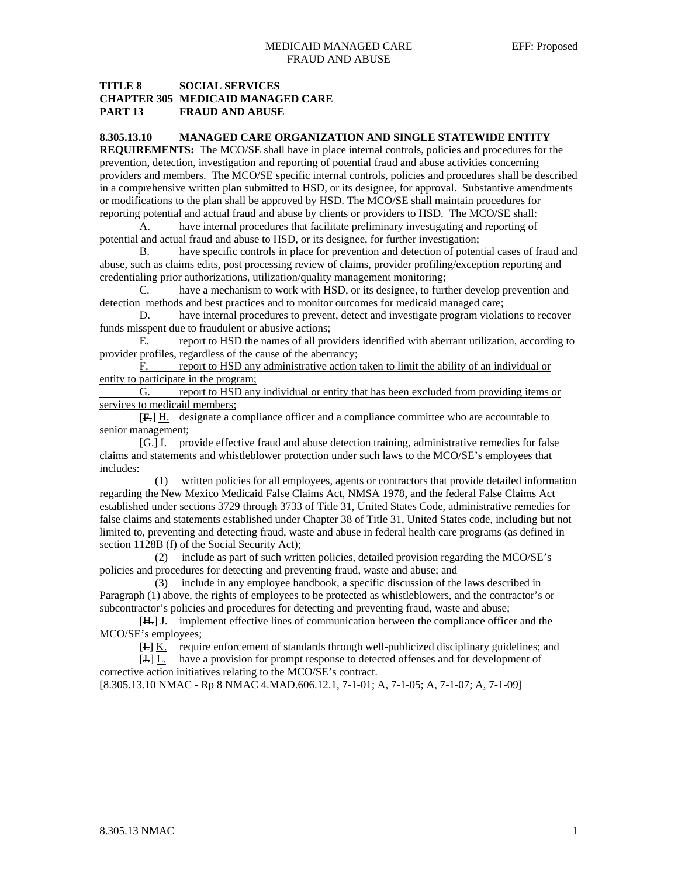## **TITLE 8 SOCIAL SERVICES CHAPTER 305 MEDICAID MANAGED CARE PART 13 FRAUD AND ABUSE**

#### **8.305.13.10 MANAGED CARE ORGANIZATION AND SINGLE STATEWIDE ENTITY**

**REQUIREMENTS:** The MCO/SE shall have in place internal controls, policies and procedures for the prevention, detection, investigation and reporting of potential fraud and abuse activities concerning providers and members. The MCO/SE specific internal controls, policies and procedures shall be described in a comprehensive written plan submitted to HSD, or its designee, for approval. Substantive amendments or modifications to the plan shall be approved by HSD. The MCO/SE shall maintain procedures for reporting potential and actual fraud and abuse by clients or providers to HSD. The MCO/SE shall:

 A. have internal procedures that facilitate preliminary investigating and reporting of potential and actual fraud and abuse to HSD, or its designee, for further investigation;

 B. have specific controls in place for prevention and detection of potential cases of fraud and abuse, such as claims edits, post processing review of claims, provider profiling/exception reporting and credentialing prior authorizations, utilization/quality management monitoring;

 C. have a mechanism to work with HSD, or its designee, to further develop prevention and detection methods and best practices and to monitor outcomes for medicaid managed care;

 D. have internal procedures to prevent, detect and investigate program violations to recover funds misspent due to fraudulent or abusive actions;

 E. report to HSD the names of all providers identified with aberrant utilization, according to provider profiles, regardless of the cause of the aberrancy;

F. report to HSD any administrative action taken to limit the ability of an individual or entity to participate in the program;

 G. report to HSD any individual or entity that has been excluded from providing items or services to medicaid members;

 [F.] H. designate a compliance officer and a compliance committee who are accountable to senior management;

 [G.] I. provide effective fraud and abuse detection training, administrative remedies for false claims and statements and whistleblower protection under such laws to the MCO/SE's employees that includes:

 (1) written policies for all employees, agents or contractors that provide detailed information regarding the New Mexico Medicaid False Claims Act, NMSA 1978, and the federal False Claims Act established under sections 3729 through 3733 of Title 31, United States Code, administrative remedies for false claims and statements established under Chapter 38 of Title 31, United States code, including but not limited to, preventing and detecting fraud, waste and abuse in federal health care programs (as defined in section 1128B (f) of the Social Security Act);

 (2) include as part of such written policies, detailed provision regarding the MCO/SE's policies and procedures for detecting and preventing fraud, waste and abuse; and

 (3) include in any employee handbook, a specific discussion of the laws described in Paragraph (1) above, the rights of employees to be protected as whistleblowers, and the contractor's or subcontractor's policies and procedures for detecting and preventing fraud, waste and abuse;

 $[H<sub>+</sub>]$  implement effective lines of communication between the compliance officer and the MCO/SE's employees;

[I.] K. require enforcement of standards through well-publicized disciplinary guidelines; and

 [J.] L. have a provision for prompt response to detected offenses and for development of corrective action initiatives relating to the MCO/SE's contract. [8.305.13.10 NMAC - Rp 8 NMAC 4.MAD.606.12.1, 7-1-01; A, 7-1-05; A, 7-1-07; A, 7-1-09]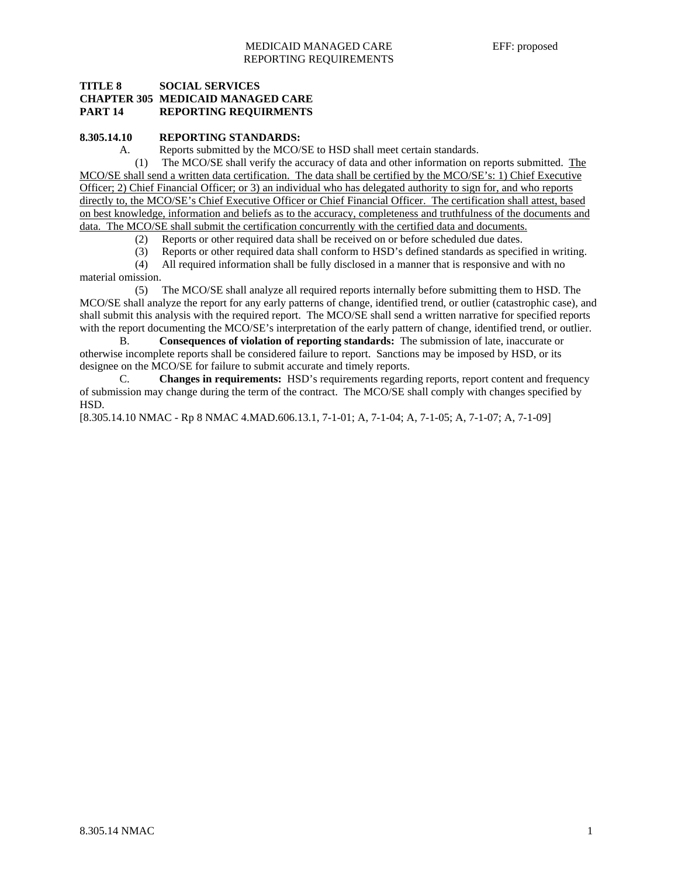## **TITLE 8 SOCIAL SERVICES CHAPTER 305 MEDICAID MANAGED CARE PART 14 REPORTING REQUIRMENTS**

#### **8.305.14.10 REPORTING STANDARDS:**

A. Reports submitted by the MCO/SE to HSD shall meet certain standards.

 (1) The MCO/SE shall verify the accuracy of data and other information on reports submitted. The MCO/SE shall send a written data certification. The data shall be certified by the MCO/SE's: 1) Chief Executive Officer; 2) Chief Financial Officer; or 3) an individual who has delegated authority to sign for, and who reports directly to, the MCO/SE's Chief Executive Officer or Chief Financial Officer. The certification shall attest, based on best knowledge, information and beliefs as to the accuracy, completeness and truthfulness of the documents and data. The MCO/SE shall submit the certification concurrently with the certified data and documents.

(2) Reports or other required data shall be received on or before scheduled due dates.

(3) Reports or other required data shall conform to HSD's defined standards as specified in writing.

 (4) All required information shall be fully disclosed in a manner that is responsive and with no material omission.

 (5) The MCO/SE shall analyze all required reports internally before submitting them to HSD. The MCO/SE shall analyze the report for any early patterns of change, identified trend, or outlier (catastrophic case), and shall submit this analysis with the required report. The MCO/SE shall send a written narrative for specified reports with the report documenting the MCO/SE's interpretation of the early pattern of change, identified trend, or outlier.

 B. **Consequences of violation of reporting standards:** The submission of late, inaccurate or otherwise incomplete reports shall be considered failure to report. Sanctions may be imposed by HSD, or its designee on the MCO/SE for failure to submit accurate and timely reports.

 C. **Changes in requirements:** HSD's requirements regarding reports, report content and frequency of submission may change during the term of the contract. The MCO/SE shall comply with changes specified by HSD.

[8.305.14.10 NMAC - Rp 8 NMAC 4.MAD.606.13.1, 7-1-01; A, 7-1-04; A, 7-1-05; A, 7-1-07; A, 7-1-09]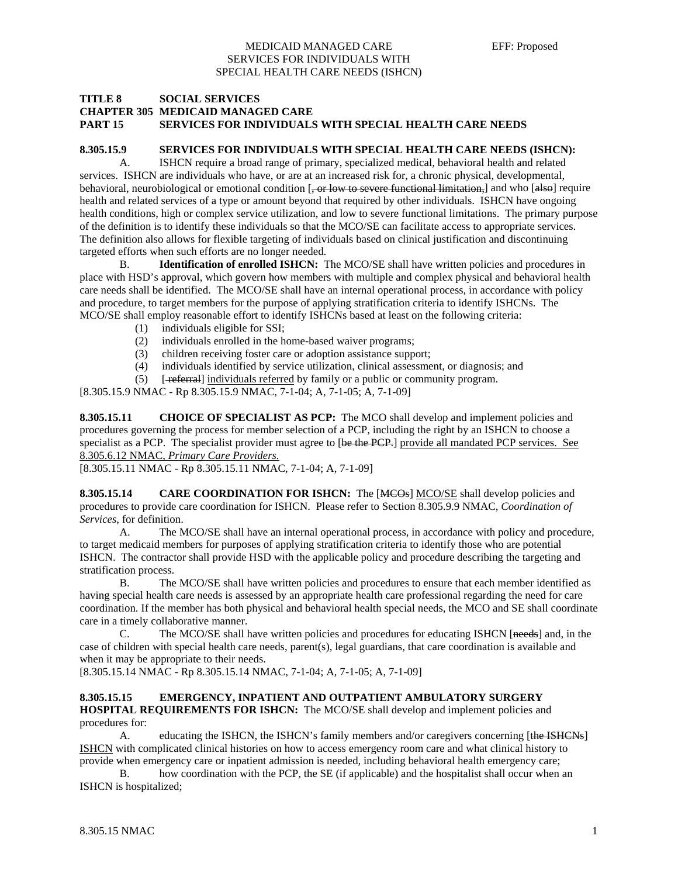#### MEDICAID MANAGED CARE EFF: Proposed SERVICES FOR INDIVIDUALS WITH SPECIAL HEALTH CARE NEEDS (ISHCN)

#### **TITLE 8 SOCIAL SERVICES CHAPTER 305 MEDICAID MANAGED CARE PART 15 SERVICES FOR INDIVIDUALS WITH SPECIAL HEALTH CARE NEEDS**

## **8.305.15.9 SERVICES FOR INDIVIDUALS WITH SPECIAL HEALTH CARE NEEDS (ISHCN):**

 A. ISHCN require a broad range of primary, specialized medical, behavioral health and related services. ISHCN are individuals who have, or are at an increased risk for, a chronic physical, developmental, behavioral, neurobiological or emotional condition [, or low to severe functional limitation,] and who [also] require health and related services of a type or amount beyond that required by other individuals. ISHCN have ongoing health conditions, high or complex service utilization, and low to severe functional limitations. The primary purpose of the definition is to identify these individuals so that the MCO/SE can facilitate access to appropriate services. The definition also allows for flexible targeting of individuals based on clinical justification and discontinuing targeted efforts when such efforts are no longer needed.

 B. **Identification of enrolled ISHCN:** The MCO/SE shall have written policies and procedures in place with HSD's approval, which govern how members with multiple and complex physical and behavioral health care needs shall be identified. The MCO/SE shall have an internal operational process, in accordance with policy and procedure, to target members for the purpose of applying stratification criteria to identify ISHCNs. The MCO/SE shall employ reasonable effort to identify ISHCNs based at least on the following criteria:

- (1) individuals eligible for SSI;
- (2) individuals enrolled in the home-based waiver programs;
- (3) children receiving foster care or adoption assistance support;
- (4) individuals identified by service utilization, clinical assessment, or diagnosis; and
- (5) [ referral] individuals referred by family or a public or community program.

[8.305.15.9 NMAC - Rp 8.305.15.9 NMAC, 7-1-04; A, 7-1-05; A, 7-1-09]

**8.305.15.11 CHOICE OF SPECIALIST AS PCP:** The MCO shall develop and implement policies and procedures governing the process for member selection of a PCP, including the right by an ISHCN to choose a specialist as a PCP. The specialist provider must agree to [be the PCP.] provide all mandated PCP services. See 8.305.6.12 NMAC, *Primary Care Providers.*

[8.305.15.11 NMAC - Rp 8.305.15.11 NMAC, 7-1-04; A, 7-1-09]

**8.305.15.14** CARE COORDINATION FOR ISHCN: The [MCOs] MCO/SE shall develop policies and procedures to provide care coordination for ISHCN. Please refer to Section 8.305.9.9 NMAC, *Coordination of Services*, for definition.

 A. The MCO/SE shall have an internal operational process, in accordance with policy and procedure, to target medicaid members for purposes of applying stratification criteria to identify those who are potential ISHCN. The contractor shall provide HSD with the applicable policy and procedure describing the targeting and stratification process.

 B. The MCO/SE shall have written policies and procedures to ensure that each member identified as having special health care needs is assessed by an appropriate health care professional regarding the need for care coordination. If the member has both physical and behavioral health special needs, the MCO and SE shall coordinate care in a timely collaborative manner.

 C. The MCO/SE shall have written policies and procedures for educating ISHCN [needs] and, in the case of children with special health care needs, parent(s), legal guardians, that care coordination is available and when it may be appropriate to their needs.

[8.305.15.14 NMAC - Rp 8.305.15.14 NMAC, 7-1-04; A, 7-1-05; A, 7-1-09]

## **8.305.15.15 EMERGENCY, INPATIENT AND OUTPATIENT AMBULATORY SURGERY HOSPITAL REQUIREMENTS FOR ISHCN:** The MCO/SE shall develop and implement policies and

procedures for:

A. educating the ISHCN, the ISHCN's family members and/or caregivers concerning [the ISHCNs] ISHCN with complicated clinical histories on how to access emergency room care and what clinical history to provide when emergency care or inpatient admission is needed, including behavioral health emergency care;

 B. how coordination with the PCP, the SE (if applicable) and the hospitalist shall occur when an ISHCN is hospitalized;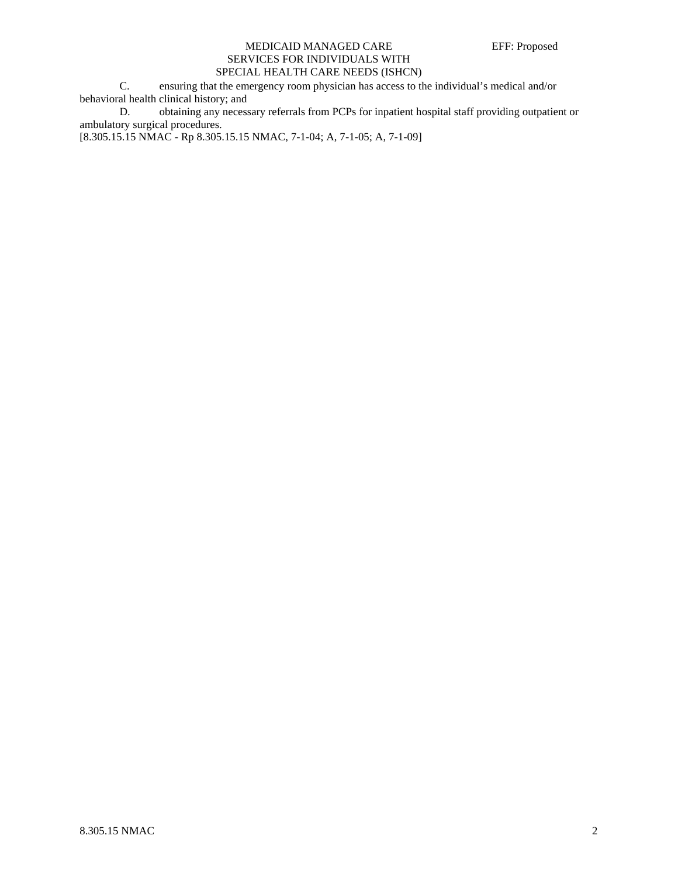## MEDICAID MANAGED CARE EFF: Proposed SERVICES FOR INDIVIDUALS WITH SPECIAL HEALTH CARE NEEDS (ISHCN)

 C. ensuring that the emergency room physician has access to the individual's medical and/or behavioral health clinical history; and

 D. obtaining any necessary referrals from PCPs for inpatient hospital staff providing outpatient or ambulatory surgical procedures.

[8.305.15.15 NMAC - Rp 8.305.15.15 NMAC, 7-1-04; A, 7-1-05; A, 7-1-09]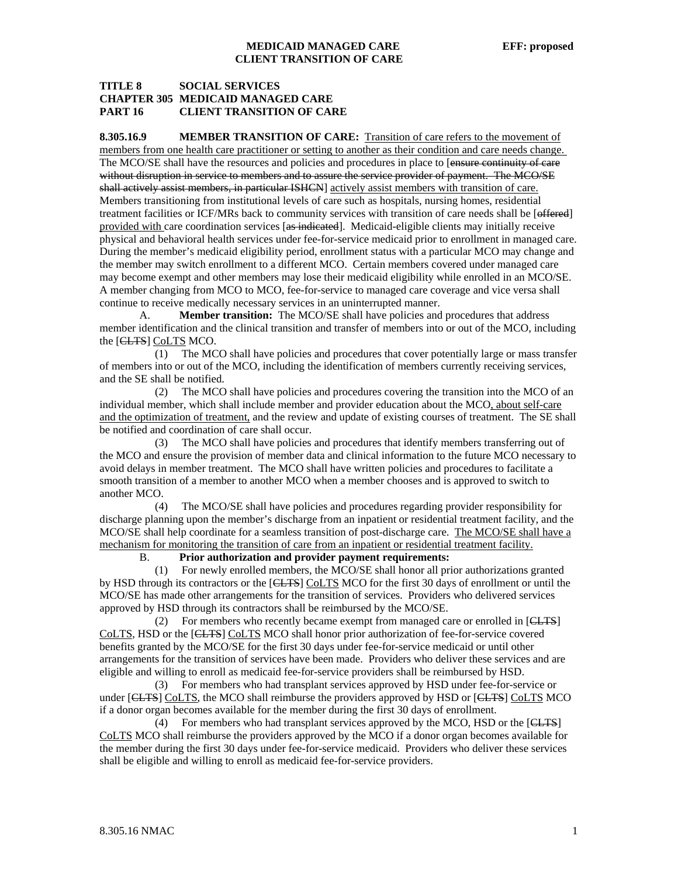## **MEDICAID MANAGED CARE EFF: proposed CLIENT TRANSITION OF CARE**

## **TITLE 8 SOCIAL SERVICES CHAPTER 305 MEDICAID MANAGED CARE PART 16 CLIENT TRANSITION OF CARE**

**8.305.16.9 MEMBER TRANSITION OF CARE:** Transition of care refers to the movement of members from one health care practitioner or setting to another as their condition and care needs change. The MCO/SE shall have the resources and policies and procedures in place to [ensure continuity of care without disruption in service to members and to assure the service provider of payment. The MCO/SE shall actively assist members, in particular ISHCN] actively assist members with transition of care. Members transitioning from institutional levels of care such as hospitals, nursing homes, residential treatment facilities or ICF/MRs back to community services with transition of care needs shall be [effered] provided with care coordination services [as indicated]. Medicaid-eligible clients may initially receive physical and behavioral health services under fee-for-service medicaid prior to enrollment in managed care. During the member's medicaid eligibility period, enrollment status with a particular MCO may change and the member may switch enrollment to a different MCO. Certain members covered under managed care may become exempt and other members may lose their medicaid eligibility while enrolled in an MCO/SE. A member changing from MCO to MCO, fee-for-service to managed care coverage and vice versa shall continue to receive medically necessary services in an uninterrupted manner.

 A. **Member transition:** The MCO/SE shall have policies and procedures that address member identification and the clinical transition and transfer of members into or out of the MCO, including the [CLTS] CoLTS MCO.

 (1) The MCO shall have policies and procedures that cover potentially large or mass transfer of members into or out of the MCO, including the identification of members currently receiving services, and the SE shall be notified.

 (2) The MCO shall have policies and procedures covering the transition into the MCO of an individual member, which shall include member and provider education about the MCO, about self-care and the optimization of treatment, and the review and update of existing courses of treatment. The SE shall be notified and coordination of care shall occur.

 (3) The MCO shall have policies and procedures that identify members transferring out of the MCO and ensure the provision of member data and clinical information to the future MCO necessary to avoid delays in member treatment. The MCO shall have written policies and procedures to facilitate a smooth transition of a member to another MCO when a member chooses and is approved to switch to another MCO.

 (4) The MCO/SE shall have policies and procedures regarding provider responsibility for discharge planning upon the member's discharge from an inpatient or residential treatment facility, and the MCO/SE shall help coordinate for a seamless transition of post-discharge care. The MCO/SE shall have a mechanism for monitoring the transition of care from an inpatient or residential treatment facility.

## B. **Prior authorization and provider payment requirements:**

 (1) For newly enrolled members, the MCO/SE shall honor all prior authorizations granted by HSD through its contractors or the [CLTS] CoLTS MCO for the first 30 days of enrollment or until the MCO/SE has made other arrangements for the transition of services. Providers who delivered services approved by HSD through its contractors shall be reimbursed by the MCO/SE.

 (2) For members who recently became exempt from managed care or enrolled in [CLTS] CoLTS, HSD or the [CLTS] CoLTS MCO shall honor prior authorization of fee-for-service covered benefits granted by the MCO/SE for the first 30 days under fee-for-service medicaid or until other arrangements for the transition of services have been made. Providers who deliver these services and are eligible and willing to enroll as medicaid fee-for-service providers shall be reimbursed by HSD.

 (3) For members who had transplant services approved by HSD under fee-for-service or under [CLTS] CoLTS, the MCO shall reimburse the providers approved by HSD or [CLTS] CoLTS MCO if a donor organ becomes available for the member during the first 30 days of enrollment.

 (4) For members who had transplant services approved by the MCO, HSD or the [CLTS] CoLTS MCO shall reimburse the providers approved by the MCO if a donor organ becomes available for the member during the first 30 days under fee-for-service medicaid. Providers who deliver these services shall be eligible and willing to enroll as medicaid fee-for-service providers.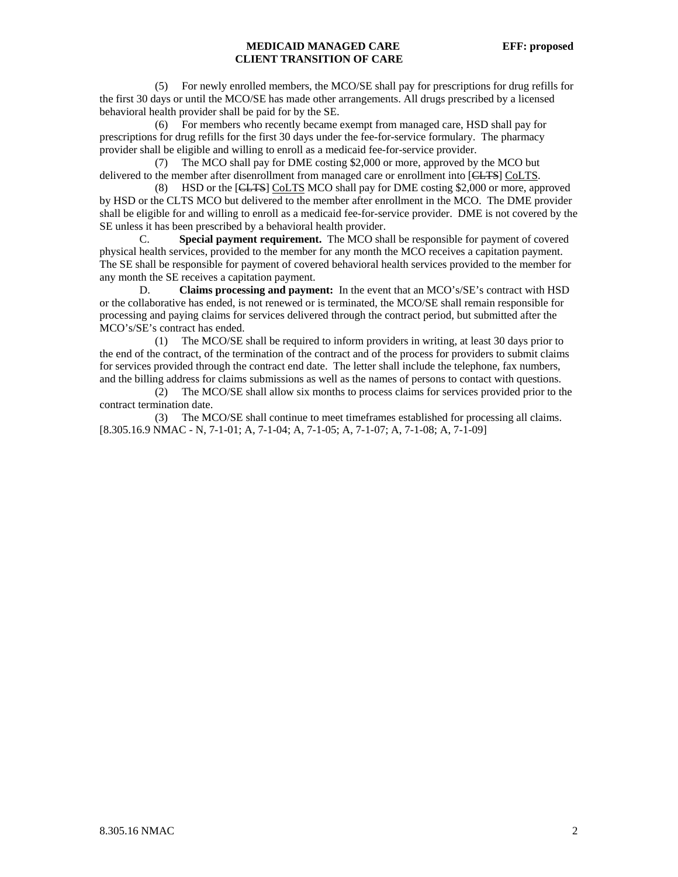## **MEDICAID MANAGED CARE EFF: proposed CLIENT TRANSITION OF CARE**

 (5) For newly enrolled members, the MCO/SE shall pay for prescriptions for drug refills for the first 30 days or until the MCO/SE has made other arrangements. All drugs prescribed by a licensed behavioral health provider shall be paid for by the SE.

 (6) For members who recently became exempt from managed care, HSD shall pay for prescriptions for drug refills for the first 30 days under the fee-for-service formulary. The pharmacy provider shall be eligible and willing to enroll as a medicaid fee-for-service provider.

 (7) The MCO shall pay for DME costing \$2,000 or more, approved by the MCO but delivered to the member after disenrollment from managed care or enrollment into [CLTS] CoLTS.

 (8) HSD or the [CLTS] CoLTS MCO shall pay for DME costing \$2,000 or more, approved by HSD or the CLTS MCO but delivered to the member after enrollment in the MCO. The DME provider shall be eligible for and willing to enroll as a medicaid fee-for-service provider. DME is not covered by the SE unless it has been prescribed by a behavioral health provider.

 C. **Special payment requirement.** The MCO shall be responsible for payment of covered physical health services, provided to the member for any month the MCO receives a capitation payment. The SE shall be responsible for payment of covered behavioral health services provided to the member for any month the SE receives a capitation payment.

 D. **Claims processing and payment:** In the event that an MCO's/SE's contract with HSD or the collaborative has ended, is not renewed or is terminated, the MCO/SE shall remain responsible for processing and paying claims for services delivered through the contract period, but submitted after the MCO's/SE's contract has ended.

 (1) The MCO/SE shall be required to inform providers in writing, at least 30 days prior to the end of the contract, of the termination of the contract and of the process for providers to submit claims for services provided through the contract end date. The letter shall include the telephone, fax numbers, and the billing address for claims submissions as well as the names of persons to contact with questions.

 (2) The MCO/SE shall allow six months to process claims for services provided prior to the contract termination date.

 (3) The MCO/SE shall continue to meet timeframes established for processing all claims. [8.305.16.9 NMAC - N, 7-1-01; A, 7-1-04; A, 7-1-05; A, 7-1-07; A, 7-1-08; A, 7-1-09]